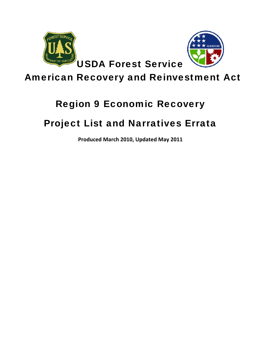

# American Recovery and Reinvestment Act

# Region 9 Economic Recovery

# Project List and Narratives Errata

**Produced March 2010, Updated May 2011**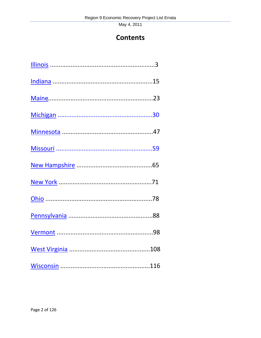# **Contents**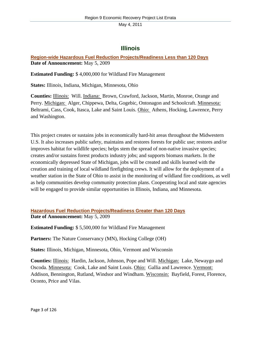# **Illinois**

# <span id="page-2-0"></span>**Region-wide Hazardous Fuel Reduction Projects/Readiness Less than 120 Days Date of Announcement:** May 5, 2009

**Estimated Funding:** \$ 4,000,000 for Wildland Fire Management

**States:** Illinois, Indiana, Michigan, Minnesota, Ohio

**Counties:** Illinois: Will. Indiana: Brown, Crawford, Jackson, Martin, Monroe, Orange and Perry. Michigan: Alger, Chippewa, Delta, Gogebic, Ontonagon and Schoolcraft. Minnesota: Beltrami, Cass, Cook, Itasca, Lake and Saint Louis. Ohio: Athens, Hocking, Lawrence, Perry and Washington.

This project creates or sustains jobs in economically hard-hit areas throughout the Midwestern U.S. It also increases public safety, maintains and restores forests for public use; restores and/or improves habitat for wildlife species; helps stem the spread of non-native invasive species; creates and/or sustains forest products industry jobs; and supports biomass markets. In the economically depressed State of Michigan, jobs will be created and skills learned with the creation and training of local wildland firefighting crews. It will allow for the deployment of a weather station in the State of Ohio to assist in the monitoring of wildland fire conditions, as well as help communities develop community protection plans. Cooperating local and state agencies will be engaged to provide similar opportunities in Illinois, Indiana, and Minnesota.

**Hazardous Fuel Reduction Projects/Readiness Greater than 120 Days Date of Announcement:** May 5, 2009

**Estimated Funding:** \$ 5,500,000 for Wildland Fire Management

**Partners:** The Nature Conservancy (MN), Hocking College (OH)

**States:** Illinois, Michigan, Minnesota, Ohio, Vermont and Wisconsin

**Counties:** Illinois: Hardin, Jackson, Johnson, Pope and Will. Michigan: Lake, Newaygo and Oscoda. Minnesota: Cook, Lake and Saint Louis. Ohio: Gallia and Lawrence. Vermont: Addison, Bennington, Rutland, Windsor and Windham. Wisconsin: Bayfield, Forest, Florence, Oconto, Price and Vilas.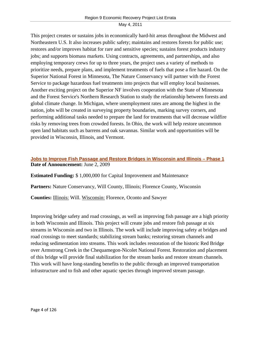This project creates or sustains jobs in economically hard-hit areas throughout the Midwest and Northeastern U.S. It also increases public safety; maintains and restores forests for public use; restores and/or improves habitat for rare and sensitive species; sustains forest products industry jobs; and supports biomass markets. Using contracts, agreements, and partnerships, and also employing temporary crews for up to three years, the project uses a variety of methods to prioritize needs, prepare plans, and implement treatments of fuels that pose a fire hazard. On the Superior National Forest in Minnesota, The Nature Conservancy will partner with the Forest Service to package hazardous fuel treatments into projects that will employ local businesses. Another exciting project on the Superior NF involves cooperation with the State of Minnesota and the Forest Service's Northern Research Station to study the relationship between forests and global climate change. In Michigan, where unemployment rates are among the highest in the nation, jobs will be created in surveying property boundaries, marking survey corners, and performing additional tasks needed to prepare the land for treatments that will decrease wildfire risks by removing trees from crowded forests. In Ohio, the work will help restore uncommon open land habitats such as barrens and oak savannas. Similar work and opportunities will be provided in Wisconsin, Illinois, and Vermont.

# **Jobs to Improve Fish Passage and Restore Bridges in Wisconsin and Illinois – Phase 1 Date of Announcement:** June 2, 2009

**Estimated Funding:** \$ 1,000,000 for Capital Improvement and Maintenance

**Partners:** Nature Conservancy, Will County, Illinois; Florence County, Wisconsin

**Counties:** Illinois: Will. Wisconsin: Florence, Oconto and Sawyer

Improving bridge safety and road crossings, as well as improving fish passage are a high priority in both Wisconsin and Illinois. This project will create jobs and restore fish passage at six streams in Wisconsin and two in Illinois. The work will include improving safety at bridges and road crossings to meet standards; stabilizing stream banks; restoring stream channels and reducing sedimentation into streams. This work includes restoration of the historic Red Bridge over Armstrong Creek in the Chequamegon-Nicolet National Forest. Restoration and placement of this bridge will provide final stabilization for the stream banks and restore stream channels. This work will have long-standing benefits to the public through an improved transportation infrastructure and to fish and other aquatic species through improved stream passage.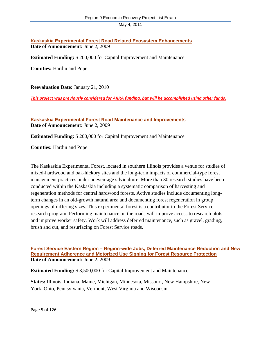# **Kaskaskia Experimental Forest Road Related Ecosystem Enhancements Date of Announcement:** June 2, 2009

**Estimated Funding:** \$ 200,000 for Capital Improvement and Maintenance

**Counties:** Hardin and Pope

**Reevaluation Date:** January 21, 2010

*This project was previously considered for ARRA funding, but will be accomplished using other funds.*

### **Kaskaskia Experimental Forest Road Maintenance and Improvements Date of Announcement:** June 2, 2009

**Estimated Funding:** \$ 200,000 for Capital Improvement and Maintenance

**Counties:** Hardin and Pope

The Kaskaskia Experimental Forest, located in southern Illinois provides a venue for studies of mixed-hardwood and oak-hickory sites and the long-term impacts of commercial-type forest management practices under uneven-age silviculture. More than 30 research studies have been conducted within the Kaskaskia including a systematic comparison of harvesting and regeneration methods for central hardwood forests. Active studies include documenting longterm changes in an old-growth natural area and documenting forest regeneration in group openings of differing sizes. This experimental forest is a contributor to the Forest Service research program. Performing maintenance on the roads will improve access to research plots and improve worker safety. Work will address deferred maintenance, such as gravel, grading, brush and cut, and resurfacing on Forest Service roads.

**Forest Service Eastern Region – Region-wide Jobs, Deferred Maintenance Reduction and New Requirement Adherence and Motorized Use Signing for Forest Resource Protection Date of Announcement:** June 2, 2009

**Estimated Funding:** \$ 3,500,000 for Capital Improvement and Maintenance

**States:** Illinois, Indiana, Maine, Michigan, Minnesota, Missouri, New Hampshire, New York, Ohio, Pennsylvania, Vermont, West Virginia and Wisconsin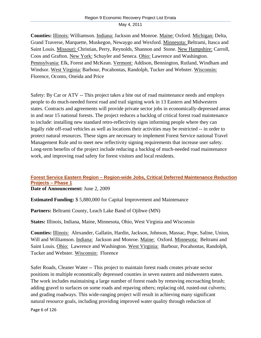**Counties:** Illinois: Williamson. Indiana: Jackson and Monroe. Maine: Oxford. Michigan: Delta, Grand Traverse, Marquette, Muskegon, Newaygo and Wexford. Minnesota: Beltrami, Itasca and Saint Louis. Missouri: Christian, Perry, Reynolds, Shannon and Stone. New Hampshire: Carroll, Coos and Grafton. New York: Schuyler and Seneca. Ohio: Lawrence and Washington. Pennsylvania: Elk, Forest and McKean. Vermont: Addison, Bennington, Rutland, Windham and Windsor. West Virginia: Barbour, Pocahontas, Randolph, Tucker and Webster. Wisconsin: Florence, Oconto, Oneida and Price

Safety: By Car or ATV -- This project takes a bite out of road maintenance needs and employs people to do much-needed forest road and trail signing work in 13 Eastern and Midwestern states. Contracts and agreements will provide private sector jobs in economically-depressed areas in and near 15 national forests. The project reduces a backlog of critical forest road maintenance to include: installing new standard retro-reflectivity signs informing people where they can legally ride off-road vehicles as well as locations their activities may be restricted -- in order to protect natural resources. These signs are necessary to implement Forest Service national Travel Management Rule and to meet new reflectivity signing requirements that increase user safety. Long-term benefits of the project include reducing a backlog of much-needed road maintenance work, and improving road safety for forest visitors and local residents.

#### **Forest Service Eastern Region – Region-wide Jobs, Critical Deferred Maintenance Reduction Projects – Phase 1 Date of Announcement:** June 2, 2009

**Estimated Funding:** \$ 5,880,000 for Capital Improvement and Maintenance

**Partners:** Beltrami County, Leach Lake Band of Ojibwe (MN)

**States:** Illinois, Indiana, Maine, Minnesota, Ohio, West Virginia and Wisconsin

**Counties:** Illinois: Alexander, Gallatin, Hardin, Jackson, Johnson, Massac, Pope, Saline, Union, Will and Williamson. Indiana: Jackson and Monroe. Maine: Oxford. Minnesota: Beltrami and Saint Louis. Ohio: Lawrence and Washington. West Virginia: Barbour, Pocahontas, Randolph, Tucker and Webster. Wisconsin: Florence

Safer Roads, Cleaner Water -- This project to maintain forest roads creates private sector positions in multiple economically depressed counties in seven eastern and midwestern states. The work includes maintaining a large number of forest roads by removing encroaching brush; adding gravel to surfaces on some roads and repaving others; replacing old, rusted-out culverts; and grading roadways. This wide-ranging project will result in achieving many significant natural resource goals, including providing improved water quality through reduction of

Page 6 of 126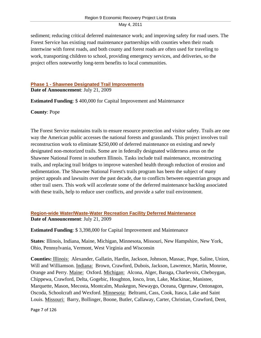sediment; reducing critical deferred maintenance work; and improving safety for road users. The Forest Service has existing road maintenance partnerships with counties when their roads intertwine with forest roads, and both county and forest roads are often used for traveling to work, transporting children to school, providing emergency services, and deliveries, so the project offers noteworthy long-term benefits to local communities.

# **Phase 1 - Shawnee Designated Trail Improvements**

**Date of Announcement**: July 21, 2009

**Estimated Funding**: \$ 400,000 for Capital Improvement and Maintenance

**County**: Pope

The Forest Service maintains trails to ensure resource protection and visitor safety. Trails are one way the American public accesses the national forests and grasslands. This project involves trail reconstruction work to eliminate \$250,000 of deferred maintenance on existing and newly designated non-motorized trails. Some are in federally designated wilderness areas on the Shawnee National Forest in southern Illinois. Tasks include trail maintenance, reconstructing trails, and replacing trail bridges to improve watershed health through reduction of erosion and sedimentation. The Shawnee National Forest's trails program has been the subject of many project appeals and lawsuits over the past decade, due to conflicts between equestrian groups and other trail users. This work will accelerate some of the deferred maintenance backlog associated with these trails, help to reduce user conflicts, and provide a safer trail environment.

# **Region-wide Water/Waste-Water Recreation Facility Deferred Maintenance Date of Announcement**: July 21, 2009

**Estimated Funding**: \$ 3,398,000 for Capital Improvement and Maintenance

**States**: Illinois, Indiana, Maine, Michigan, Minnesota, Missouri, New Hampshire, New York, Ohio, Pennsylvania, Vermont, West Virginia and Wisconsin

**Counties:** Illinois: Alexander, Gallatin, Hardin, Jackson, Johnson, Massac, Pope, Saline, Union, Will and Williamson. Indiana: Brown, Crawford, Dubois, Jackson, Lawrence, Martin, Monroe, Orange and Perry. Maine: Oxford. Michigan: Alcona, Alger, Baraga, Charlevoix, Cheboygan, Chippewa, Crawford, Delta, Gogebic, Houghton, Iosco, Iron, Lake, Mackinac, Manistee, Marquette, Mason, Mecosta, Montcalm, Muskegon, Newaygo, Oceana, Ogemaw, Ontonagon, Oscoda, Schoolcraft and Wexford. Minnesota: Beltrami, Cass, Cook, Itasca, Lake and Saint Louis. Missouri: Barry, Bollinger, Boone, Butler, Callaway, Carter, Christian, Crawford, Dent,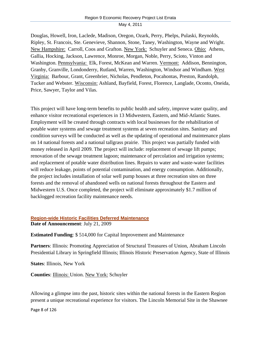Douglas, Howell, Iron, Laclede, Madison, Oregon, Ozark, Perry, Phelps, Pulaski, Reynolds, Ripley, St. Francois, Ste. Genevieve, Shannon, Stone, Taney, Washington, Wayne and Wright. New Hampshire: Carroll, Coos and Grafton. New York: Schuyler and Seneca. Ohio: Athens, Gallia, Hocking, Jackson, Lawrence, Monroe, Morgan, Noble, Perry, Scioto, Vinton and Washington. Pennsylvania: Elk, Forest, McKean and Warren. Vermont: Addison, Bennington, Granby, Granville, Londonderry, Rutland, Warren, Washington, Windsor and Windham. West Virginia: Barbour, Grant, Greenbrier, Nicholas, Pendleton, Pocahontas, Preston, Randolph, Tucker and Webster. Wisconsin: Ashland, Bayfield, Forest, Florence, Langlade, Oconto, Oneida, Price, Sawyer, Taylor and Vilas.

This project will have long-term benefits to public health and safety, improve water quality, and enhance visitor recreational experiences in 13 Midwestern, Eastern, and Mid-Atlantic States. Employment will be created through contracts with local businesses for the rehabilitation of potable water systems and sewage treatment systems at seven recreation sites. Sanitary and condition surveys will be conducted as well as the updating of operational and maintenance plans on 14 national forests and a national tallgrass prairie. This project was partially funded with money released in April 2009. The project will include: replacement of sewage lift pumps; renovation of the sewage treatment lagoon; maintenance of percolation and irrigation systems; and replacement of potable water distribution lines. Repairs to water and waste-water facilities will reduce leakage, points of potential contamination, and energy consumption. Additionally, the project includes installation of solar well pump houses at three recreation sites on three forests and the removal of abandoned wells on national forests throughout the Eastern and Midwestern U.S. Once completed, the project will eliminate approximately \$1.7 million of backlogged recreation facility maintenance needs.

#### **Region-wide Historic Facilities Deferred Maintenance Date of Announcement**: July 21, 2009

**Estimated Funding**: \$ 514,000 for Capital Improvement and Maintenance

**Partners**: Illinois: Promoting Appreciation of Structural Treasures of Union, Abraham Lincoln Presidential Library in Springfield Illinois; Illinois Historic Preservation Agency, State of Illinois

**States**: Illinois, New York

**Counties**: Illinois: Union. New York: Schuyler

Allowing a glimpse into the past, historic sites within the national forests in the Eastern Region present a unique recreational experience for visitors. The Lincoln Memorial Site in the Shawnee

Page 8 of 126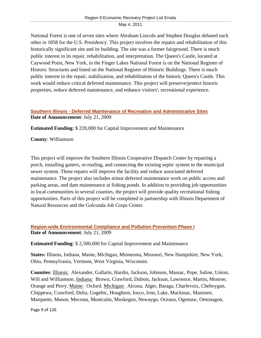National Forest is one of seven sites where Abraham Lincoln and Stephen Douglas debated each other in 1858 for the U.S. Presidency. This project involves the repairs and rehabilitation of this historically significant site and its building. The site was a former fairground. There is much public interest in its repair, rehabilitation, and interpretation. The Queen's Castle, located at Caywood Point, New York, in the Finger Lakes National Forest is on the National Register of Historic Structures and listed on the National Register of Historic Buildings. There is much public interest in the repair, stabilization, and rehabilitation of the historic Queen's Castle. This work would reduce critical deferred maintenance. This project will preserve/protect historic properties, reduce deferred maintenance, and enhance visitors'; recreational experience.

# **Southern Illinois - Deferred Maintenance of Recreation and Administrative Sites Date of Announcement**: July 21, 2009

**Estimated Funding**: \$ 220,000 for Capital Improvement and Maintenance

**County**: Williamson

This project will improve the Southern Illinois Cooperative Dispatch Center by repairing a porch, installing gutters, re-roofing, and connecting the existing septic system to the municipal sewer system. These repairs will improve the facility and reduce associated deferred maintenance. The project also includes minor deferred maintenance work on public access and parking areas, and dam maintenance at fishing ponds. In addition to providing job opportunities in local communities in several counties, the project will provide quality recreational fishing opportunities. Parts of this project will be completed in partnership with Illinois Department of Natural Resources and the Golconda Job Corps Center.

# **Region-wide Environmental Compliance and Pollution Prevention Phase I Date of Announcement**: July 21, 2009

**Estimated Funding**: \$ 2,500,000 for Capital Improvement and Maintenance

**States:** Illinois, Indiana, Maine, Michigan, Minnesota, Missouri, New Hampshire, New York, Ohio, Pennsylvania, Vermont, West Virginia, Wisconsin.

**Counties**: Illinois: Alexander, Gallatin, Hardin, Jackson, Johnson, Massac, Pope, Saline, Union, Will and Williamson. Indiana: Brown, Crawford, Dubois, Jackson, Lawrence, Martin, Monroe, Orange and Perry. Maine: Oxford. Michigan: Alcona, Alger, Baraga, Charlevoix, Cheboygan, Chippewa, Crawford, Delta, Gogebic, Houghton, Iosco, Iron, Lake, Mackinac, Manistee, Marquette, Mason, Mecosta, Montcalm, Muskegon, Newaygo, Oceana, Ogemaw, Ontonagon,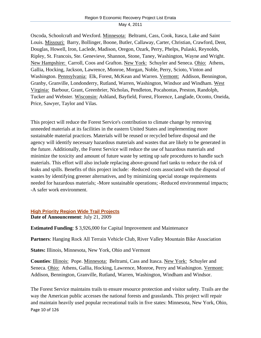Oscoda, Schoolcraft and Wexford. Minnesota: Beltrami, Cass, Cook, Itasca, Lake and Saint Louis. Missouri: Barry, Bollinger, Boone, Butler, Callaway, Carter, Christian, Crawford, Dent, Douglas, Howell, Iron, Laclede, Madison, Oregon, Ozark, Perry, Phelps, Pulaski, Reynolds, Ripley, St. Francois, Ste. Genevieve, Shannon, Stone, Taney, Washington, Wayne and Wright. New Hampshire: Carroll, Coos and Grafton. New York: Schuyler and Seneca. Ohio: Athens, Gallia, Hocking, Jackson, Lawrence, Monroe, Morgan, Noble, Perry, Scioto, Vinton and Washington. Pennsylvania: Elk, Forest, McKean and Warren. Vermont: Addison, Bennington, Granby, Granville, Londonderry, Rutland, Warren, Washington, Windsor and Windham. West Virginia: Barbour, Grant, Greenbrier, Nicholas, Pendleton, Pocahontas, Preston, Randolph, Tucker and Webster. Wisconsin: Ashland, Bayfield, Forest, Florence, Langlade, Oconto, Oneida, Price, Sawyer, Taylor and Vilas.

This project will reduce the Forest Service's contribution to climate change by removing unneeded materials at its facilities in the eastern United States and implementing more sustainable material practices. Materials will be reused or recycled before disposal and the agency will identify necessary hazardous materials and wastes that are likely to be generated in the future. Additionally, the Forest Service will reduce the use of hazardous materials and minimize the toxicity and amount of future waste by setting up safe procedures to handle such materials. This effort will also include replacing above-ground fuel tanks to reduce the risk of leaks and spills. Benefits of this project include: -Reduced costs associated with the disposal of wastes by identifying greener alternatives, and by minimizing special storage requirements needed for hazardous materials; -More sustainable operations; -Reduced environmental impacts; -A safer work environment.

# **High Priority Region Wide Trail Projects**

**Date of Announcement**: July 21, 2009

**Estimated Funding**: \$ 3,926,000 for Capital Improvement and Maintenance

**Partners**: Hanging Rock All Terrain Vehicle Club, River Valley Mountain Bike Association

**States:** Illinois, Minnesota, New York, Ohio and Vermont

**Counties**: Illinois: Pope. Minnesota: Beltrami, Cass and Itasca. New York: Schuyler and Seneca. Ohio: Athens, Gallia, Hocking, Lawrence, Monroe, Perry and Washington. Vermont: Addison, Bennington, Granville, Rutland, Warren, Washington, Windham and Windsor.

Page 10 of 126 The Forest Service maintains trails to ensure resource protection and visitor safety. Trails are the way the American public accesses the national forests and grasslands. This project will repair and maintain heavily used popular recreational trails in five states: Minnesota, New York, Ohio,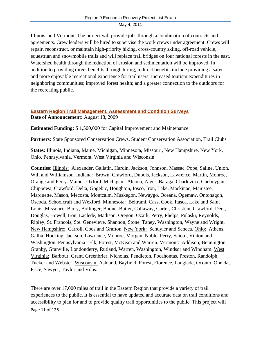Illinois, and Vermont. The project will provide jobs through a combination of contracts and agreements. Crew leaders will be hired to supervise the work crews under agreement. Crews will repair, reconstruct, or maintain high-priority hiking, cross-country skiing, off-road vehicle, equestrian and snowmobile trails and will replace trail bridges on four national forests in the east. Watershed health through the reduction of erosion and sedimentation will be improved. In addition to providing direct benefits through hiring, indirect benefits include providing a safer and more enjoyable recreational experience for trail users; increased tourism expenditures in neighboring communities; improved forest health; and a greater connection to the outdoors for the recreating public.

## **Eastern Region Trail Management, Assessment and Condition Surveys Date of Announcement:** August 18, 2009

**Estimated Funding:** \$ 1,500,000 for Capital Improvement and Maintenance

**Partners:** State Sponsored Conservation Crews, Student Conservation Association, Trail Clubs

**States:** Illinois, Indiana, Maine, Michigan, Minnesota, Missouri, New Hampshire, New York, Ohio, Pennsylvania, Vermont, West Virginia and Wisconsin

**Counties:** Illinois: Alexander, Gallatin, Hardin, Jackson, Johnson, Massac, Pope, Saline, Union, Will and Williamson. Indiana: Brown, Crawford, Dubois, Jackson, Lawrence, Martin, Monroe, Orange and Perry. Maine: Oxford. Michigan: Alcona, Alger, Baraga, Charlevoix, Cheboygan, Chippewa, Crawford, Delta, Gogebic, Houghton, Iosco, Iron, Lake, Mackinac, Manistee, Marquette, Mason, Mecosta, Montcalm, Muskegon, Newaygo, Oceana, Ogemaw, Ontonagon, Oscoda, Schoolcraft and Wexford. Minnesota: Beltrami, Cass, Cook, Itasca, Lake and Saint Louis. Missouri: Barry, Bollinger, Boone, Butler, Callaway, Carter, Christian, Crawford, Dent, Douglas, Howell, Iron, Laclede, Madison, Oregon, Ozark, Perry, Phelps, Pulaski, Reynolds, Ripley, St. Francois, Ste. Genevieve, Shannon, Stone, Taney, Washington, Wayne and Wright. New Hampshire: Carroll, Coos and Grafton. New York: Schuyler and Seneca. Ohio: Athens, Gallia, Hocking, Jackson, Lawrence, Monroe, Morgan, Noble, Perry, Scioto, Vinton and Washington. Pennsylvania: Elk, Forest, McKean and Warren. Vermont: Addison, Bennington, Granby, Granville, Londonderry, Rutland, Warren, Washington, Windsor and Windham. West Virginia: Barbour, Grant, Greenbrier, Nicholas, Pendleton, Pocahontas, Preston, Randolph, Tucker and Webster. Wisconsin: Ashland, Bayfield, Forest, Florence, Langlade, Oconto, Oneida, Price, Sawyer, Taylor and Vilas.

Page 11 of 126 There are over 17,000 miles of trail in the Eastern Region that provide a variety of trail experiences to the public. It is essential to have updated and accurate data on trail conditions and accessibility to plan for and to provide quality trail opportunities to the public. This project will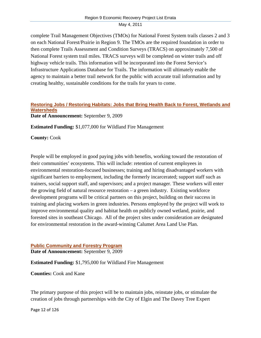complete Trail Management Objectives (TMOs) for National Forest System trails classes 2 and 3 on each National Forest/Prairie in Region 9. The TMOs are the required foundation in order to then complete Trails Assessment and Condition Surveys (TRACS) on approximately 7,500 of National Forest system trail miles. TRACS surveys will be completed on winter trails and off highway vehicle trails. This information will be incorporated into the Forest Service's Infrastructure Applications Database for Trails. The information will ultimately enable the agency to maintain a better trail network for the public with accurate trail information and by creating healthy, sustainable conditions for the trails for years to come.

# **Restoring Jobs / Restoring Habitats: Jobs that Bring Health Back to Forest, Wetlands and Watersheds**

**Date of Announcement:** September 9, 2009

**Estimated Funding:** \$1,077,000 for Wildland Fire Management

**County:** Cook

People will be employed in good paying jobs with benefits, working toward the restoration of their communities' ecosystems. This will include: retention of current employees in environmental restoration-focused businesses; training and hiring disadvantaged workers with significant barriers to employment, including the formerly incarcerated; support staff such as trainers, social support staff, and supervisors; and a project manager. These workers will enter the growing field of natural resource restoration – a green industry. Existing workforce development programs will be critical partners on this project, building on their success in training and placing workers in green industries. Persons employed by the project will work to improve environmental quality and habitat health on publicly owned wetland, prairie, and forested sites in southeast Chicago. All of the project sites under consideration are designated for environmental restoration in the award-winning Calumet Area Land Use Plan.

# **Public Community and Forestry Program**

**Date of Announcement:** September 9, 2009

**Estimated Funding:** \$1,795,000 for Wildland Fire Management

**Counties:** Cook and Kane

The primary purpose of this project will be to maintain jobs, reinstate jobs, or stimulate the creation of jobs through partnerships with the City of Elgin and The Davey Tree Expert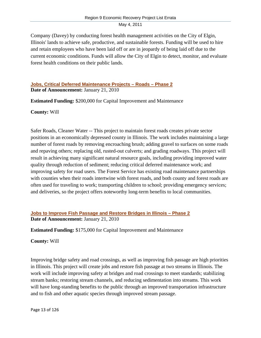Company (Davey) by conducting forest health management activities on the City of Elgin, Illinois' lands to achieve safe, productive, and sustainable forests. Funding will be used to hire and retain employees who have been laid off or are in jeopardy of being laid off due to the current economic conditions. Funds will allow the City of Elgin to detect, monitor, and evaluate forest health conditions on their public lands.

#### **Jobs, Critical Deferred Maintenance Projects – Roads – Phase 2 Date of Announcement:** January 21, 2010

**Estimated Funding:** \$200,000 for Capital Improvement and Maintenance

**County:** Will

Safer Roads, Cleaner Water -- This project to maintain forest roads creates private sector positions in an economically depressed county in Illinois. The work includes maintaining a large number of forest roads by removing encroaching brush; adding gravel to surfaces on some roads and repaving others; replacing old, rusted-out culverts; and grading roadways. This project will result in achieving many significant natural resource goals, including providing improved water quality through reduction of sediment; reducing critical deferred maintenance work; and improving safety for road users. The Forest Service has existing road maintenance partnerships with counties when their roads intertwine with forest roads, and both county and forest roads are often used for traveling to work; transporting children to school; providing emergency services; and deliveries, so the project offers noteworthy long-term benefits to local communities.

# **Jobs to Improve Fish Passage and Restore Bridges in Illinois – Phase 2 Date of Announcement:** January 21, 2010

**Estimated Funding:** \$175,000 for Capital Improvement and Maintenance

**County:** Will

Improving bridge safety and road crossings, as well as improving fish passage are high priorities in Illinois. This project will create jobs and restore fish passage at two streams in Illinois. The work will include improving safety at bridges and road crossings to meet standards; stabilizing stream banks; restoring stream channels, and reducing sedimentation into streams. This work will have long-standing benefits to the public through an improved transportation infrastructure and to fish and other aquatic species through improved stream passage.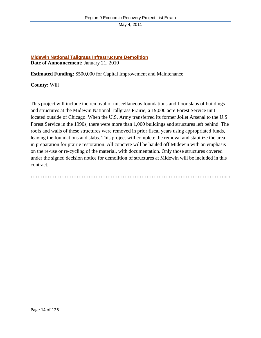## **Midewin National Tallgrass Infrastructure Demolition Date of Announcement:** January 21, 2010

**Estimated Funding:** \$500,000 for Capital Improvement and Maintenance

**County:** Will

This project will include the removal of miscellaneous foundations and floor slabs of buildings and structures at the Midewin National Tallgrass Prairie, a 19,000 acre Forest Service unit located outside of Chicago. When the U.S. Army transferred its former Joilet Arsenal to the U.S. Forest Service in the 1990s, there were more than 1,000 buildings and structures left behind. The roofs and walls of these structures were removed in prior fiscal years using appropriated funds, leaving the foundations and slabs. This project will complete the removal and stabilize the area in preparation for prairie restoration. All concrete will be hauled off Midewin with an emphasis on the re-use or re-cycling of the material, with documentation. Only those structures covered under the signed decision notice for demolition of structures at Midewin will be included in this contract.

**……………………………………………………………………………………………………....**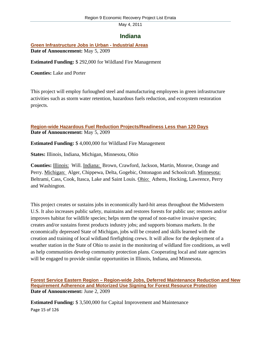# **Indiana**

#### <span id="page-14-0"></span>**Green Infrastructure Jobs in Urban - Industrial Areas Date of Announcement:** May 5, 2009

**Estimated Funding:** \$ 292,000 for Wildland Fire Management

**Counties:** Lake and Porter

This project will employ furloughed steel and manufacturing employees in green infrastructure activities such as storm water retention, hazardous fuels reduction, and ecosystem restoration projects.

# **Region-wide Hazardous Fuel Reduction Projects/Readiness Less than 120 Days Date of Announcement:** May 5, 2009

**Estimated Funding:** \$ 4,000,000 for Wildland Fire Management

**States:** Illinois, Indiana, Michigan, Minnesota, Ohio

**Counties:** Illinois: Will. Indiana: Brown, Crawford, Jackson, Martin, Monroe, Orange and Perry. Michigan: Alger, Chippewa, Delta, Gogebic, Ontonagon and Schoolcraft. Minnesota: Beltrami, Cass, Cook, Itasca, Lake and Saint Louis. Ohio: Athens, Hocking, Lawrence, Perry and Washington.

This project creates or sustains jobs in economically hard-hit areas throughout the Midwestern U.S. It also increases public safety, maintains and restores forests for public use; restores and/or improves habitat for wildlife species; helps stem the spread of non-native invasive species; creates and/or sustains forest products industry jobs; and supports biomass markets. In the economically depressed State of Michigan, jobs will be created and skills learned with the creation and training of local wildland firefighting crews. It will allow for the deployment of a weather station in the State of Ohio to assist in the monitoring of wildland fire conditions, as well as help communities develop community protection plans. Cooperating local and state agencies will be engaged to provide similar opportunities in Illinois, Indiana, and Minnesota.

#### **Forest Service Eastern Region – Region-wide Jobs, Deferred Maintenance Reduction and New Requirement Adherence and Motorized Use Signing for Forest Resource Protection Date of Announcement:** June 2, 2009

Page 15 of 126 **Estimated Funding:** \$ 3,500,000 for Capital Improvement and Maintenance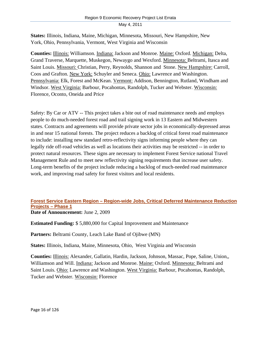**States:** Illinois, Indiana, Maine, Michigan, Minnesota, Missouri, New Hampshire, New York, Ohio, Pennsylvania, Vermont, West Virginia and Wisconsin

**Counties:** Illinois: Williamson. Indiana: Jackson and Monroe. Maine: Oxford. Michigan: Delta, Grand Traverse, Marquette, Muskegon, Newaygo and Wexford. Minnesota: Beltrami, Itasca and Saint Louis. Missouri: Christian, Perry, Reynolds, Shannon and Stone. New Hampshire: Carroll, Coos and Grafton. New York: Schuyler and Seneca. Ohio: Lawrence and Washington. Pennsylvania: Elk, Forest and McKean. Vermont: Addison, Bennington, Rutland, Windham and Windsor. West Virginia: Barbour, Pocahontas, Randolph, Tucker and Webster. Wisconsin: Florence, Oconto, Oneida and Price

Safety: By Car or ATV -- This project takes a bite out of road maintenance needs and employs people to do much-needed forest road and trail signing work in 13 Eastern and Midwestern states. Contracts and agreements will provide private sector jobs in economically-depressed areas in and near 15 national forests. The project reduces a backlog of critical forest road maintenance to include: installing new standard retro-reflectivity signs informing people where they can legally ride off-road vehicles as well as locations their activities may be restricted -- in order to protect natural resources. These signs are necessary to implement Forest Service national Travel Management Rule and to meet new reflectivity signing requirements that increase user safety. Long-term benefits of the project include reducing a backlog of much-needed road maintenance work, and improving road safety for forest visitors and local residents.

# **Forest Service Eastern Region – Region-wide Jobs, Critical Deferred Maintenance Reduction Projects – Phase 1**

**Date of Announcement:** June 2, 2009

**Estimated Funding:** \$ 5,880,000 for Capital Improvement and Maintenance

**Partners:** Beltrami County, Leach Lake Band of Ojibwe (MN)

**States:** Illinois, Indiana, Maine, Minnesota, Ohio, West Virginia and Wisconsin

**Counties:** Illinois: Alexander, Gallatin, Hardin, Jackson, Johnson, Massac, Pope, Saline, Union,, Williamson and Will. Indiana: Jackson and Monroe. Maine: Oxford. Minnesota: Beltrami and Saint Louis. Ohio: Lawrence and Washington. West Virginia: Barbour, Pocahontas, Randolph, Tucker and Webster. Wisconsin: Florence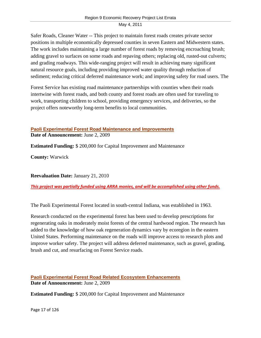Safer Roads, Cleaner Water -- This project to maintain forest roads creates private sector positions in multiple economically depressed counties in seven Eastern and Midwestern states. The work includes maintaining a large number of forest roads by removing encroaching brush; adding gravel to surfaces on some roads and repaving others; replacing old, rusted-out culverts; and grading roadways. This wide-ranging project will result in achieving many significant natural resource goals, including providing improved water quality through reduction of sediment; reducing critical deferred maintenance work; and improving safety for road users. The

Forest Service has existing road maintenance partnerships with counties when their roads intertwine with forest roads, and both county and forest roads are often used for traveling to work, transporting children to school, providing emergency services, and deliveries, so the project offers noteworthy long-term benefits to local communities.

## **Paoli Experimental Forest Road Maintenance and Improvements Date of Announcement:** June 2, 2009

**Estimated Funding:** \$ 200,000 for Capital Improvement and Maintenance

**County:** Warwick

**Reevaluation Date:** January 21, 2010

*This project was partially funded using ARRA monies, and will be accomplished using other funds.*

The Paoli Experimental Forest located in south-central Indiana, was established in 1963.

Research conducted on the experimental forest has been used to develop prescriptions for regenerating oaks in moderately moist forests of the central hardwood region. The research has added to the knowledge of how oak regeneration dynamics vary by ecoregion in the eastern United States. Performing maintenance on the roads will improve access to research plots and improve worker safety. The project will address deferred maintenance, such as gravel, grading, brush and cut, and resurfacing on Forest Service roads.

**Paoli Experimental Forest Road Related Ecosystem Enhancements Date of Announcement:** June 2, 2009

**Estimated Funding:** \$ 200,000 for Capital Improvement and Maintenance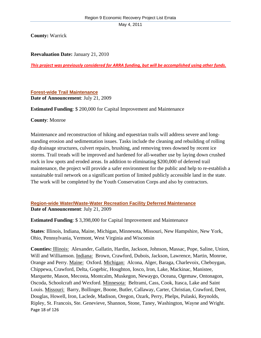**County:** Warrick

**Reevaluation Date:** January 21, 2010

*This project was previously considered for ARRA funding, but will be accomplished using other funds.*

**Forest-wide Trail Maintenance Date of Announcement**: July 21, 2009

**Estimated Funding**: \$ 200,000 for Capital Improvement and Maintenance

**County**: Monroe

Maintenance and reconstruction of hiking and equestrian trails will address severe and longstanding erosion and sedimentation issues. Tasks include the cleaning and rebuilding of rolling dip drainage structures, culvert repairs, brushing, and removing trees downed by recent ice storms. Trail treads will be improved and hardened for all-weather use by laying down crushed rock in low spots and eroded areas. In addition to eliminating \$200,000 of deferred trail maintenance, the project will provide a safer environment for the public and help to re-establish a sustainable trail network on a significant portion of limited publicly accessible land in the state. The work will be completed by the Youth Conservation Corps and also by contractors.

**Region-wide Water/Waste-Water Recreation Facility Deferred Maintenance Date of Announcement**: July 21, 2009

**Estimated Funding**: \$ 3,398,000 for Capital Improvement and Maintenance

**States**: Illinois, Indiana, Maine, Michigan, Minnesota, Missouri, New Hampshire, New York, Ohio, Pennsylvania, Vermont, West Virginia and Wisconsin

Page 18 of 126 **Counties:** Illinois: Alexander, Gallatin, Hardin, Jackson, Johnson, Massac, Pope, Saline, Union, Will and Williamson. Indiana: Brown, Crawford, Dubois, Jackson, Lawrence, Martin, Monroe, Orange and Perry. Maine: Oxford. Michigan: Alcona, Alger, Baraga, Charlevoix, Cheboygan, Chippewa, Crawford, Delta, Gogebic, Houghton, Iosco, Iron, Lake, Mackinac, Manistee, Marquette, Mason, Mecosta, Montcalm, Muskegon, Newaygo, Oceana, Ogemaw, Ontonagon, Oscoda, Schoolcraft and Wexford. Minnesota: Beltrami, Cass, Cook, Itasca, Lake and Saint Louis. Missouri: Barry, Bollinger, Boone, Butler, Callaway, Carter, Christian, Crawford, Dent, Douglas, Howell, Iron, Laclede, Madison, Oregon, Ozark, Perry, Phelps, Pulaski, Reynolds, Ripley, St. Francois, Ste. Genevieve, Shannon, Stone, Taney, Washington, Wayne and Wright.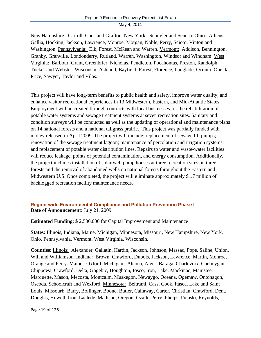New Hampshire: Carroll, Coos and Grafton. New York: Schuyler and Seneca. Ohio: Athens, Gallia, Hocking, Jackson, Lawrence, Monroe, Morgan, Noble, Perry, Scioto, Vinton and Washington. Pennsylvania: Elk, Forest, McKean and Warren. Vermont: Addison, Bennington, Granby, Granville, Londonderry, Rutland, Warren, Washington, Windsor and Windham. West Virginia: Barbour, Grant, Greenbrier, Nicholas, Pendleton, Pocahontas, Preston, Randolph, Tucker and Webster. Wisconsin: Ashland, Bayfield, Forest, Florence, Langlade, Oconto, Oneida, Price, Sawyer, Taylor and Vilas.

This project will have long-term benefits to public health and safety, improve water quality, and enhance visitor recreational experiences in 13 Midwestern, Eastern, and Mid-Atlantic States. Employment will be created through contracts with local businesses for the rehabilitation of potable water systems and sewage treatment systems at seven recreation sites. Sanitary and condition surveys will be conducted as well as the updating of operational and maintenance plans on 14 national forests and a national tallgrass prairie. This project was partially funded with money released in April 2009. The project will include: replacement of sewage lift pumps; renovation of the sewage treatment lagoon; maintenance of percolation and irrigation systems; and replacement of potable water distribution lines. Repairs to water and waste-water facilities will reduce leakage, points of potential contamination, and energy consumption. Additionally, the project includes installation of solar well pump houses at three recreation sites on three forests and the removal of abandoned wells on national forests throughout the Eastern and Midwestern U.S. Once completed, the project will eliminate approximately \$1.7 million of backlogged recreation facility maintenance needs.

# **Region-wide Environmental Compliance and Pollution Prevention Phase I Date of Announcement**: July 21, 2009

**Estimated Funding**: \$ 2,500,000 for Capital Improvement and Maintenance

**States:** Illinois, Indiana, Maine, Michigan, Minnesota, Missouri, New Hampshire, New York, Ohio, Pennsylvania, Vermont, West Virginia, Wisconsin.

**Counties**: Illinois: Alexander, Gallatin, Hardin, Jackson, Johnson, Massac, Pope, Saline, Union, Will and Williamson. Indiana: Brown, Crawford, Dubois, Jackson, Lawrence, Martin, Monroe, Orange and Perry. Maine: Oxford. Michigan: Alcona, Alger, Baraga, Charlevoix, Cheboygan, Chippewa, Crawford, Delta, Gogebic, Houghton, Iosco, Iron, Lake, Mackinac, Manistee, Marquette, Mason, Mecosta, Montcalm, Muskegon, Newaygo, Oceana, Ogemaw, Ontonagon, Oscoda, Schoolcraft and Wexford. Minnesota: Beltrami, Cass, Cook, Itasca, Lake and Saint Louis. Missouri: Barry, Bollinger, Boone, Butler, Callaway, Carter, Christian, Crawford, Dent, Douglas, Howell, Iron, Laclede, Madison, Oregon, Ozark, Perry, Phelps, Pulaski, Reynolds,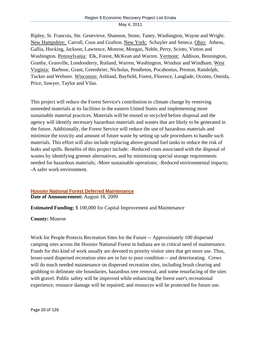Ripley, St. Francois, Ste. Genevieve, Shannon, Stone, Taney, Washington, Wayne and Wright. New Hampshire: Carroll, Coos and Grafton. New York: Schuyler and Seneca. Ohio: Athens, Gallia, Hocking, Jackson, Lawrence, Monroe, Morgan, Noble, Perry, Scioto, Vinton and Washington. Pennsylvania: Elk, Forest, McKean and Warren. Vermont: Addison, Bennington, Granby, Granville, Londonderry, Rutland, Warren, Washington, Windsor and Windham. West Virginia: Barbour, Grant, Greenbrier, Nicholas, Pendleton, Pocahontas, Preston, Randolph, Tucker and Webster. Wisconsin: Ashland, Bayfield, Forest, Florence, Langlade, Oconto, Oneida, Price, Sawyer, Taylor and Vilas.

This project will reduce the Forest Service's contribution to climate change by removing unneeded materials at its facilities in the eastern United States and implementing more sustainable material practices. Materials will be reused or recycled before disposal and the agency will identify necessary hazardous materials and wastes that are likely to be generated in the future. Additionally, the Forest Service will reduce the use of hazardous materials and minimize the toxicity and amount of future waste by setting up safe procedures to handle such materials. This effort will also include replacing above-ground fuel tanks to reduce the risk of leaks and spills. Benefits of this project include: -Reduced costs associated with the disposal of wastes by identifying greener alternatives, and by minimizing special storage requirements needed for hazardous materials; -More sustainable operations; -Reduced environmental impacts; -A safer work environment.

## **Hoosier National Forest Deferred Maintenance Date of Announcement:** August 18, 2009

**Estimated Funding:** \$ 100,000 for Capital Improvement and Maintenance

**County:** Monroe

Work for People Protects Recreation Sites for the Future -- Approximately 100 dispersed camping sites across the Hoosier National Forest in Indiana are in critical need of maintenance. Funds for this kind of work usually are devoted to priority visitor sites that get more use. Thus, lesser-used dispersed recreation sites are in fair to poor condition -- and deteriorating. Crews will do much needed maintenance on dispersed recreation sites, including brush clearing and grubbing to delineate site boundaries, hazardous tree removal, and some resurfacing of the sites with gravel. Public safety will be improved while enhancing the forest user's recreational experience; resource damage will be repaired; and resources will be protected for future use.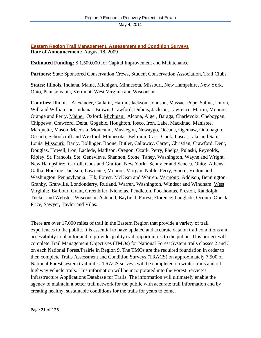## **Eastern Region Trail Management, Assessment and Condition Surveys Date of Announcement:** August 18, 2009

**Estimated Funding:** \$ 1,500,000 for Capital Improvement and Maintenance

**Partners:** State Sponsored Conservation Crews, Student Conservation Association, Trail Clubs

**States:** Illinois, Indiana, Maine, Michigan, Minnesota, Missouri, New Hampshire, New York, Ohio, Pennsylvania, Vermont, West Virginia and Wisconsin

**Counties:** Illinois: Alexander, Gallatin, Hardin, Jackson, Johnson, Massac, Pope, Saline, Union, Will and Williamson. Indiana: Brown, Crawford, Dubois, Jackson, Lawrence, Martin, Monroe, Orange and Perry. Maine: Oxford. Michigan: Alcona, Alger, Baraga, Charlevoix, Cheboygan, Chippewa, Crawford, Delta, Gogebic, Houghton, Iosco, Iron, Lake, Mackinac, Manistee, Marquette, Mason, Mecosta, Montcalm, Muskegon, Newaygo, Oceana, Ogemaw, Ontonagon, Oscoda, Schoolcraft and Wexford. Minnesota: Beltrami, Cass, Cook, Itasca, Lake and Saint Louis. Missouri: Barry, Bollinger, Boone, Butler, Callaway, Carter, Christian, Crawford, Dent, Douglas, Howell, Iron, Laclede, Madison, Oregon, Ozark, Perry, Phelps, Pulaski, Reynolds, Ripley, St. Francois, Ste. Genevieve, Shannon, Stone, Taney, Washington, Wayne and Wright. New Hampshire: Carroll, Coos and Grafton. New York: Schuyler and Seneca. Ohio: Athens, Gallia, Hocking, Jackson, Lawrence, Monroe, Morgan, Noble, Perry, Scioto, Vinton and Washington. Pennsylvania: Elk, Forest, McKean and Warren. Vermont: Addison, Bennington, Granby, Granville, Londonderry, Rutland, Warren, Washington, Windsor and Windham. West Virginia: Barbour, Grant, Greenbrier, Nicholas, Pendleton, Pocahontas, Preston, Randolph, Tucker and Webster. Wisconsin: Ashland, Bayfield, Forest, Florence, Langlade, Oconto, Oneida, Price, Sawyer, Taylor and Vilas.

There are over 17,000 miles of trail in the Eastern Region that provide a variety of trail experiences to the public. It is essential to have updated and accurate data on trail conditions and accessibility to plan for and to provide quality trail opportunities to the public. This project will complete Trail Management Objectives (TMOs) for National Forest System trails classes 2 and 3 on each National Forest/Prairie in Region 9. The TMOs are the required foundation in order to then complete Trails Assessment and Condition Surveys (TRACS) on approximately 7,500 of National Forest system trail miles. TRACS surveys will be completed on winter trails and off highway vehicle trails. This information will be incorporated into the Forest Service's Infrastructure Applications Database for Trails. The information will ultimately enable the agency to maintain a better trail network for the public with accurate trail information and by creating healthy, sustainable conditions for the trails for years to come.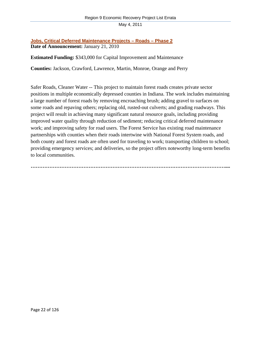## **Jobs, Critical Deferred Maintenance Projects – Roads – Phase 2 Date of Announcement:** January 21, 2010

**Estimated Funding:** \$343,000 for Capital Improvement and Maintenance

**Counties:** Jackson, Crawford, Lawrence, Martin, Monroe, Orange and Perry

Safer Roads, Cleaner Water -- This project to maintain forest roads creates private sector positions in multiple economically depressed counties in Indiana. The work includes maintaining a large number of forest roads by removing encroaching brush; adding gravel to surfaces on some roads and repaving others; replacing old, rusted-out culverts; and grading roadways. This project will result in achieving many significant natural resource goals, including providing improved water quality through reduction of sediment; reducing critical deferred maintenance work; and improving safety for road users. The Forest Service has existing road maintenance partnerships with counties when their roads intertwine with National Forest System roads, and both county and forest roads are often used for traveling to work; transporting children to school; providing emergency services; and deliveries, so the project offers noteworthy long-term benefits to local communities.

**……………………………………………………………………………………………………....**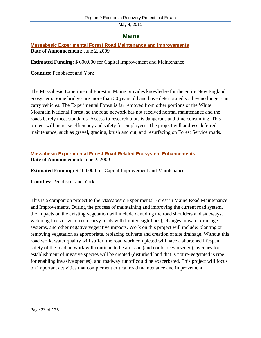# **Maine**

# <span id="page-22-0"></span>**Massabesic Experimental Forest Road Maintenance and Improvements Date of Announcement**: June 2, 2009

**Estimated Funding**: \$ 600,000 for Capital Improvement and Maintenance

**Counties**: Penobscot and York

The Massabesic Experimental Forest in Maine provides knowledge for the entire New England ecosystem. Some bridges are more than 30 years old and have deteriorated so they no longer can carry vehicles. The Experimental Forest is far removed from other portions of the White Mountain National Forest, so the road network has not received normal maintenance and the roads barely meet standards. Access to research plots is dangerous and time consuming. This project will increase efficiency and safety for employees. The project will address deferred maintenance, such as gravel, grading, brush and cut, and resurfacing on Forest Service roads.

## **Massabesic Experimental Forest Road Related Ecosystem Enhancements Date of Announcement:** June 2, 2009

**Estimated Funding:** \$ 400,000 for Capital Improvement and Maintenance

**Counties:** Penobscot and York

This is a companion project to the Massabesic Experimental Forest in Maine Road Maintenance and Improvements. During the process of maintaining and improving the current road system, the impacts on the existing vegetation will include denuding the road shoulders and sideways, widening lines of vision (on curvy roads with limited sightlines), changes in water drainage systems, and other negative vegetative impacts. Work on this project will include: planting or removing vegetation as appropriate, replacing culverts and creation of site drainage. Without this road work, water quality will suffer, the road work completed will have a shortened lifespan, safety of the road network will continue to be an issue (and could be worsened), avenues for establishment of invasive species will be created (disturbed land that is not re-vegetated is ripe for enabling invasive species), and roadway runoff could be exacerbated. This project will focus on important activities that complement critical road maintenance and improvement.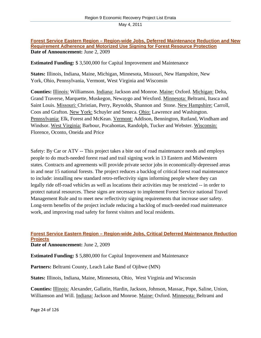#### **Forest Service Eastern Region – Region-wide Jobs, Deferred Maintenance Reduction and New Requirement Adherence and Motorized Use Signing for Forest Resource Protection Date of Announcement:** June 2, 2009

**Estimated Funding:** \$ 3,500,000 for Capital Improvement and Maintenance

**States:** Illinois, Indiana, Maine, Michigan, Minnesota, Missouri, New Hampshire, New York, Ohio, Pennsylvania, Vermont, West Virginia and Wisconsin

**Counties:** Illinois: Williamson. Indiana: Jackson and Monroe. Maine: Oxford. Michigan: Delta, Grand Traverse, Marquette, Muskegon, Newaygo and Wexford. Minnesota: Beltrami, Itasca and Saint Louis. Missouri: Christian, Perry, Reynolds, Shannon and Stone. New Hampshire: Carroll, Coos and Grafton. New York: Schuyler and Seneca. Ohio: Lawrence and Washington. Pennsylvania: Elk, Forest and McKean. Vermont: Addison, Bennington, Rutland, Windham and Windsor. West Virginia: Barbour, Pocahontas, Randolph, Tucker and Webster. Wisconsin: Florence, Oconto, Oneida and Price

Safety: By Car or ATV -- This project takes a bite out of road maintenance needs and employs people to do much-needed forest road and trail signing work in 13 Eastern and Midwestern states. Contracts and agreements will provide private sector jobs in economically-depressed areas in and near 15 national forests. The project reduces a backlog of critical forest road maintenance to include: installing new standard retro-reflectivity signs informing people where they can legally ride off-road vehicles as well as locations their activities may be restricted -- in order to protect natural resources. These signs are necessary to implement Forest Service national Travel Management Rule and to meet new reflectivity signing requirements that increase user safety. Long-term benefits of the project include reducing a backlog of much-needed road maintenance work, and improving road safety for forest visitors and local residents.

# **Forest Service Eastern Region – Region-wide Jobs, Critical Deferred Maintenance Reduction Projects**

**Date of Announcement:** June 2, 2009

**Estimated Funding:** \$ 5,880,000 for Capital Improvement and Maintenance

**Partners:** Beltrami County, Leach Lake Band of Ojibwe (MN)

**States:** Illinois, Indiana, Maine, Minnesota, Ohio, West Virginia and Wisconsin

**Counties:** Illinois: Alexander, Gallatin, Hardin, Jackson, Johnson, Massac, Pope, Saline, Union, Williamson and Will. Indiana: Jackson and Monroe. Maine: Oxford. Minnesota: Beltrami and

Page 24 of 126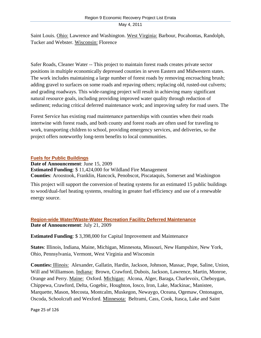Saint Louis. Ohio: Lawrence and Washington. West Virginia: Barbour, Pocahontas, Randolph, Tucker and Webster. Wisconsin: Florence

Safer Roads, Cleaner Water -- This project to maintain forest roads creates private sector positions in multiple economically depressed counties in seven Eastern and Midwestern states. The work includes maintaining a large number of forest roads by removing encroaching brush; adding gravel to surfaces on some roads and repaving others; replacing old, rusted-out culverts; and grading roadways. This wide-ranging project will result in achieving many significant natural resource goals, including providing improved water quality through reduction of sediment; reducing critical deferred maintenance work; and improving safety for road users. The

Forest Service has existing road maintenance partnerships with counties when their roads intertwine with forest roads, and both county and forest roads are often used for traveling to work, transporting children to school, providing emergency services, and deliveries, so the project offers noteworthy long-term benefits to local communities.

## **Fuels for Public Buildings**

**Date of Announcement**: June 15, 2009 **Estimated Funding**: \$ 11,424,000 for Wildland Fire Management **Counties**: Aroostook, Franklin, Hancock, Penobscot, Piscataquis, Somerset and Washington

This project will support the conversion of heating systems for an estimated 15 public buildings to wood/dual-fuel heating systems, resulting in greater fuel efficiency and use of a renewable energy source.

# **Region-wide Water/Waste-Water Recreation Facility Deferred Maintenance Date of Announcement**: July 21, 2009

**Estimated Funding**: \$ 3,398,000 for Capital Improvement and Maintenance

**States**: Illinois, Indiana, Maine, Michigan, Minnesota, Missouri, New Hampshire, New York, Ohio, Pennsylvania, Vermont, West Virginia and Wisconsin

**Counties:** Illinois: Alexander, Gallatin, Hardin, Jackson, Johnson, Massac, Pope, Saline, Union, Will and Williamson. Indiana: Brown, Crawford, Dubois, Jackson, Lawrence, Martin, Monroe, Orange and Perry. Maine: Oxford. Michigan: Alcona, Alger, Baraga, Charlevoix, Cheboygan, Chippewa, Crawford, Delta, Gogebic, Houghton, Iosco, Iron, Lake, Mackinac, Manistee, Marquette, Mason, Mecosta, Montcalm, Muskegon, Newaygo, Oceana, Ogemaw, Ontonagon, Oscoda, Schoolcraft and Wexford. Minnesota: Beltrami, Cass, Cook, Itasca, Lake and Saint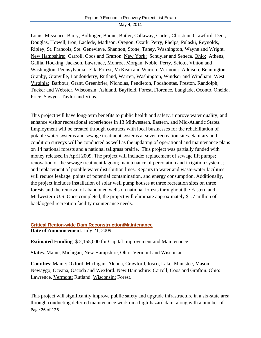Louis. Missouri: Barry, Bollinger, Boone, Butler, Callaway, Carter, Christian, Crawford, Dent, Douglas, Howell, Iron, Laclede, Madison, Oregon, Ozark, Perry, Phelps, Pulaski, Reynolds, Ripley, St. Francois, Ste. Genevieve, Shannon, Stone, Taney, Washington, Wayne and Wright. New Hampshire: Carroll, Coos and Grafton. New York: Schuyler and Seneca. Ohio: Athens, Gallia, Hocking, Jackson, Lawrence, Monroe, Morgan, Noble, Perry, Scioto, Vinton and Washington. Pennsylvania: Elk, Forest, McKean and Warren. Vermont: Addison, Bennington, Granby, Granville, Londonderry, Rutland, Warren, Washington, Windsor and Windham. West Virginia: Barbour, Grant, Greenbrier, Nicholas, Pendleton, Pocahontas, Preston, Randolph, Tucker and Webster. Wisconsin: Ashland, Bayfield, Forest, Florence, Langlade, Oconto, Oneida, Price, Sawyer, Taylor and Vilas.

This project will have long-term benefits to public health and safety, improve water quality, and enhance visitor recreational experiences in 13 Midwestern, Eastern, and Mid-Atlantic States. Employment will be created through contracts with local businesses for the rehabilitation of potable water systems and sewage treatment systems at seven recreation sites. Sanitary and condition surveys will be conducted as well as the updating of operational and maintenance plans on 14 national forests and a national tallgrass prairie. This project was partially funded with money released in April 2009. The project will include: replacement of sewage lift pumps; renovation of the sewage treatment lagoon; maintenance of percolation and irrigation systems; and replacement of potable water distribution lines. Repairs to water and waste-water facilities will reduce leakage, points of potential contamination, and energy consumption. Additionally, the project includes installation of solar well pump houses at three recreation sites on three forests and the removal of abandoned wells on national forests throughout the Eastern and Midwestern U.S. Once completed, the project will eliminate approximately \$1.7 million of backlogged recreation facility maintenance needs.

# **Critical Region-wide Dam Reconstruction/Maintenance**

**Date of Announcement**: July 21, 2009

**Estimated Funding**: \$ 2,155,000 for Capital Improvement and Maintenance

**States**: Maine, Michigan, New Hampshire, Ohio, Vermont and Wisconsin

**Counties**: Maine: Oxford. Michigan: Alcona, Crawford, Iosco, Lake, Manistee, Mason, Newaygo, Oceana, Oscoda and Wexford. New Hampshire: Carroll, Coos and Grafton. Ohio: Lawrence. Vermont: Rutland. Wisconsin: Forest.

Page 26 of 126 This project will significantly improve public safety and upgrade infrastructure in a six-state area through conducting deferred maintenance work on a high-hazard dam, along with a number of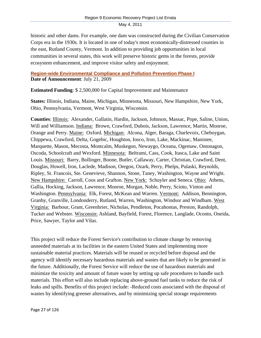historic and other dams. For example, one dam was constructed during the Civilian Conservation Corps era in the 1930s. It is located in one of today's most economically-distressed counties in the east, Rutland County, Vermont. In addition to providing job opportunities in local communities in several states, this work will preserve historic gems in the forests, provide ecosystem enhancement, and improve visitor safety and enjoyment.

## **Region-wide Environmental Compliance and Pollution Prevention Phase I Date of Announcement**: July 21, 2009

**Estimated Funding**: \$ 2,500,000 for Capital Improvement and Maintenance

**States:** Illinois, Indiana, Maine, Michigan, Minnesota, Missouri, New Hampshire, New York, Ohio, Pennsylvania, Vermont, West Virginia, Wisconsin.

**Counties**: Illinois: Alexander, Gallatin, Hardin, Jackson, Johnson, Massac, Pope, Saline, Union, Will and Williamson. Indiana: Brown, Crawford, Dubois, Jackson, Lawrence, Martin, Monroe, Orange and Perry. Maine: Oxford. Michigan: Alcona, Alger, Baraga, Charlevoix, Cheboygan, Chippewa, Crawford, Delta, Gogebic, Houghton, Iosco, Iron, Lake, Mackinac, Manistee, Marquette, Mason, Mecosta, Montcalm, Muskegon, Newaygo, Oceana, Ogemaw, Ontonagon, Oscoda, Schoolcraft and Wexford. Minnesota: Beltrami, Cass, Cook, Itasca, Lake and Saint Louis. Missouri: Barry, Bollinger, Boone, Butler, Callaway, Carter, Christian, Crawford, Dent, Douglas, Howell, Iron, Laclede, Madison, Oregon, Ozark, Perry, Phelps, Pulaski, Reynolds, Ripley, St. Francois, Ste. Genevieve, Shannon, Stone, Taney, Washington, Wayne and Wright. New Hampshire: Carroll, Coos and Grafton. New York: Schuyler and Seneca. Ohio: Athens, Gallia, Hocking, Jackson, Lawrence, Monroe, Morgan, Noble, Perry, Scioto, Vinton and Washington. Pennsylvania: Elk, Forest, McKean and Warren. Vermont: Addison, Bennington, Granby, Granville, Londonderry, Rutland, Warren, Washington, Windsor and Windham. West Virginia: Barbour, Grant, Greenbrier, Nicholas, Pendleton, Pocahontas, Preston, Randolph, Tucker and Webster. Wisconsin: Ashland, Bayfield, Forest, Florence, Langlade, Oconto, Oneida, Price, Sawyer, Taylor and Vilas.

This project will reduce the Forest Service's contribution to climate change by removing unneeded materials at its facilities in the eastern United States and implementing more sustainable material practices. Materials will be reused or recycled before disposal and the agency will identify necessary hazardous materials and wastes that are likely to be generated in the future. Additionally, the Forest Service will reduce the use of hazardous materials and minimize the toxicity and amount of future waste by setting up safe procedures to handle such materials. This effort will also include replacing above-ground fuel tanks to reduce the risk of leaks and spills. Benefits of this project include: -Reduced costs associated with the disposal of wastes by identifying greener alternatives, and by minimizing special storage requirements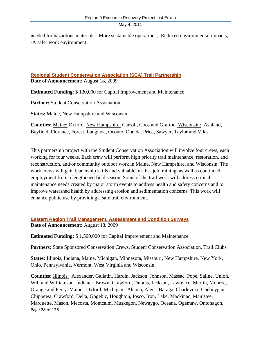needed for hazardous materials; -More sustainable operations; -Reduced environmental impacts; -A safer work environment.

#### **Regional Student Conservation Association (SCA) Trail Partnership Date of Announcement**: August 18, 2009

**Estimated Funding**: \$ 120,000 for Capital Improvement and Maintenance

**Partner:** Student Conservation Association

**States:** Maine, New Hampshire and Wisconsin

**Counties:** Maine: Oxford. New Hampshire: Carroll, Coos and Grafton. Wisconsin: Ashland, Bayfield, Florence, Forest, Langlade, Oconto, Oneida, Price, Sawyer, Taylor and Vilas.

This partnership project with the Student Conservation Association will involve four crews, each working for four weeks. Each crew will perform high priority trail maintenance, restoration, and reconstruction, and/or community outdoor work in Maine, New Hampshire, and Wisconsin. The work crews will gain leadership skills and valuable on-the- job training, as well as continued employment from a lengthened field season. Some of the trail work will address critical maintenance needs created by major storm events to address health and safety concerns and to improve watershed health by addressing erosion and sedimentation concerns. This work will enhance public use by providing a safe trail environment.

# **Eastern Region Trail Management, Assessment and Condition Surveys Date of Announcement:** August 18, 2009

**Estimated Funding:** \$ 1,500,000 for Capital Improvement and Maintenance

**Partners:** State Sponsored Conservation Crews, Student Conservation Association, Trail Clubs

**States:** Illinois, Indiana, Maine, Michigan, Minnesota, Missouri, New Hampshire, New York, Ohio, Pennsylvania, Vermont, West Virginia and Wisconsin

Page 28 of 126 **Counties:** Illinois: Alexander, Gallatin, Hardin, Jackson, Johnson, Massac, Pope, Saline, Union, Will and Williamson. Indiana: Brown, Crawford, Dubois, Jackson, Lawrence, Martin, Monroe, Orange and Perry. Maine: Oxford. Michigan: Alcona, Alger, Baraga, Charlevoix, Cheboygan, Chippewa, Crawford, Delta, Gogebic, Houghton, Iosco, Iron, Lake, Mackinac, Manistee, Marquette, Mason, Mecosta, Montcalm, Muskegon, Newaygo, Oceana, Ogemaw, Ontonagon,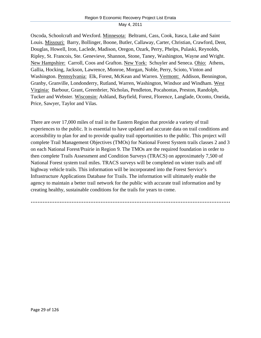Oscoda, Schoolcraft and Wexford. Minnesota: Beltrami, Cass, Cook, Itasca, Lake and Saint Louis. Missouri: Barry, Bollinger, Boone, Butler, Callaway, Carter, Christian, Crawford, Dent, Douglas, Howell, Iron, Laclede, Madison, Oregon, Ozark, Perry, Phelps, Pulaski, Reynolds, Ripley, St. Francois, Ste. Genevieve, Shannon, Stone, Taney, Washington, Wayne and Wright. New Hampshire: Carroll, Coos and Grafton. New York: Schuyler and Seneca. Ohio: Athens, Gallia, Hocking, Jackson, Lawrence, Monroe, Morgan, Noble, Perry, Scioto, Vinton and Washington. Pennsylvania: Elk, Forest, McKean and Warren. Vermont: Addison, Bennington, Granby, Granville, Londonderry, Rutland, Warren, Washington, Windsor and Windham. West Virginia: Barbour, Grant, Greenbrier, Nicholas, Pendleton, Pocahontas, Preston, Randolph, Tucker and Webster. Wisconsin: Ashland, Bayfield, Forest, Florence, Langlade, Oconto, Oneida, Price, Sawyer, Taylor and Vilas.

There are over 17,000 miles of trail in the Eastern Region that provide a variety of trail experiences to the public. It is essential to have updated and accurate data on trail conditions and accessibility to plan for and to provide quality trail opportunities to the public. This project will complete Trail Management Objectives (TMOs) for National Forest System trails classes 2 and 3 on each National Forest/Prairie in Region 9. The TMOs are the required foundation in order to then complete Trails Assessment and Condition Surveys (TRACS) on approximately 7,500 of National Forest system trail miles. TRACS surveys will be completed on winter trails and off highway vehicle trails. This information will be incorporated into the Forest Service's Infrastructure Applications Database for Trails. The information will ultimately enable the agency to maintain a better trail network for the public with accurate trail information and by creating healthy, sustainable conditions for the trails for years to come.

**………………………………………………………………………………………………………**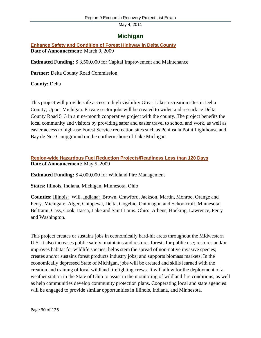# **Michigan**

## <span id="page-29-0"></span>**Enhance Safety and Condition of Forest Highway in Delta County Date of Announcement:** March 9, 2009

**Estimated Funding:** \$ 3,500,000 for Capital Improvement and Maintenance

**Partner:** Delta County Road Commission

**County:** Delta

This project will provide safe access to high visibility Great Lakes recreation sites in Delta County, Upper Michigan. Private sector jobs will be created to widen and re-surface Delta County Road 513 in a nine-month cooperative project with the county. The project benefits the local community and visitors by providing safer and easier travel to school and work, as well as easier access to high-use Forest Service recreation sites such as Peninsula Point Lighthouse and Bay de Noc Campground on the northern shore of Lake Michigan.

# **Region-wide Hazardous Fuel Reduction Projects/Readiness Less than 120 Days Date of Announcement:** May 5, 2009

**Estimated Funding:** \$ 4,000,000 for Wildland Fire Management

**States:** Illinois, Indiana, Michigan, Minnesota, Ohio

**Counties:** Illinois: Will. Indiana: Brown, Crawford, Jackson, Martin, Monroe, Orange and Perry. Michigan: Alger, Chippewa, Delta, Gogebic, Ontonagon and Schoolcraft. Minnesota: Beltrami, Cass, Cook, Itasca, Lake and Saint Louis. Ohio: Athens, Hocking, Lawrence, Perry and Washington.

This project creates or sustains jobs in economically hard-hit areas throughout the Midwestern U.S. It also increases public safety, maintains and restores forests for public use; restores and/or improves habitat for wildlife species; helps stem the spread of non-native invasive species; creates and/or sustains forest products industry jobs; and supports biomass markets. In the economically depressed State of Michigan, jobs will be created and skills learned with the creation and training of local wildland firefighting crews. It will allow for the deployment of a weather station in the State of Ohio to assist in the monitoring of wildland fire conditions, as well as help communities develop community protection plans. Cooperating local and state agencies will be engaged to provide similar opportunities in Illinois, Indiana, and Minnesota.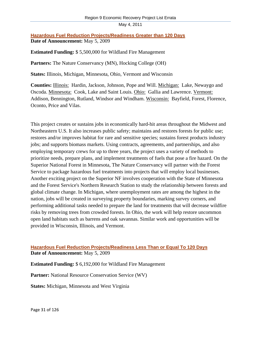## **Hazardous Fuel Reduction Projects/Readiness Greater than 120 Days Date of Announcement:** May 5, 2009

**Estimated Funding:** \$ 5,500,000 for Wildland Fire Management

**Partners:** The Nature Conservancy (MN), Hocking College (OH)

**States:** Illinois, Michigan, Minnesota, Ohio, Vermont and Wisconsin

**Counties:** Illinois: Hardin, Jackson, Johnson, Pope and Will. Michigan: Lake, Newaygo and Oscoda. Minnesota: Cook, Lake and Saint Louis. Ohio: Gallia and Lawrence. Vermont: Addison, Bennington, Rutland, Windsor and Windham. Wisconsin: Bayfield, Forest, Florence, Oconto, Price and Vilas.

This project creates or sustains jobs in economically hard-hit areas throughout the Midwest and Northeastern U.S. It also increases public safety; maintains and restores forests for public use; restores and/or improves habitat for rare and sensitive species; sustains forest products industry jobs; and supports biomass markets. Using contracts, agreements, and partnerships, and also employing temporary crews for up to three years, the project uses a variety of methods to prioritize needs, prepare plans, and implement treatments of fuels that pose a fire hazard. On the Superior National Forest in Minnesota, The Nature Conservancy will partner with the Forest Service to package hazardous fuel treatments into projects that will employ local businesses. Another exciting project on the Superior NF involves cooperation with the State of Minnesota and the Forest Service's Northern Research Station to study the relationship between forests and global climate change. In Michigan, where unemployment rates are among the highest in the nation, jobs will be created in surveying property boundaries, marking survey corners, and performing additional tasks needed to prepare the land for treatments that will decrease wildfire risks by removing trees from crowded forests. In Ohio, the work will help restore uncommon open land habitats such as barrens and oak savannas. Similar work and opportunities will be provided in Wisconsin, Illinois, and Vermont.

## **Hazardous Fuel Reduction Projects/Readiness Less Than or Equal To 120 Days Date of Announcement:** May 5, 2009

**Estimated Funding:** \$ 6,192,000 for Wildland Fire Management

Partner: National Resource Conservation Service (WV)

**States:** Michigan, Minnesota and West Virginia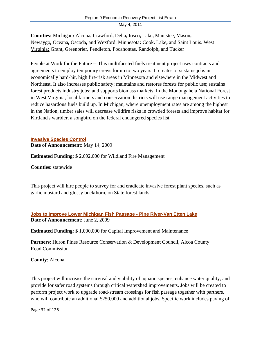**Counties:** Michigan**:** Alcona**,** Crawford**,** Delta**,** Iosco**,** Lake**,** Manistee, Mason**,** Newaygo**,** Oceana**,** Oscoda**,** and Wexford. Minnesota**:** Cook**,** Lake**,** and Saint Louis. West Virginia**:** Grant**,** Greenbrier**,** Pendleton**,** Pocahontas**,** Randolph**,** and Tucker

People at Work for the Future -- This multifaceted fuels treatment project uses contracts and agreements to employ temporary crews for up to two years. It creates or sustains jobs in economically hard-hit, high fire-risk areas in Minnesota and elsewhere in the Midwest and Northeast. It also increases public safety; maintains and restores forests for public use; sustains forest products industry jobs; and supports biomass markets. In the Monongahela National Forest in West Virginia, local farmers and conservation districts will use range management activities to reduce hazardous fuels build up. In Michigan, where unemployment rates are among the highest in the Nation, timber sales will decrease wildfire risks in crowded forests and improve habitat for Kirtland's warbler, a songbird on the federal endangered species list.

**Invasive Species Control Date of Announcement**: May 14, 2009

**Estimated Funding**: \$ 2,692,000 for Wildland Fire Management

**Counties**: statewide

This project will hire people to survey for and eradicate invasive forest plant species, such as garlic mustard and glossy buckthorn, on State forest lands.

**Jobs to Improve Lower Michigan Fish Passage - Pine River-Van Etten Lake Date of Announcement**: June 2, 2009

**Estimated Funding**: \$ 1,000,000 for Capital Improvement and Maintenance

**Partners:** Huron Pines Resource Conservation & Development Council, Alcoa County Road Commission

**County**: Alcona

This project will increase the survival and viability of aquatic species, enhance water quality, and provide for safer road systems through critical watershed improvements. Jobs will be created to perform project work to upgrade road-stream crossings for fish passage together with partners, who will contribute an additional \$250,000 and additional jobs. Specific work includes paving of

Page 32 of 126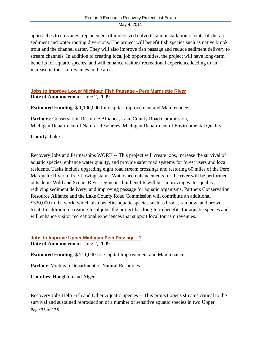approaches to crossings; replacement of undersized culverts; and installation of state-of-the-art sediment and water routing diversions. The project will benefit fish species such as native brook trout and the channel darter. They will also improve fish passage and reduce sediment delivery to stream channels. In addition to creating local job opportunities, the project will have long-term benefits for aquatic species, and will enhance visitors' recreational experience leading to an increase in tourism revenues in the area.

# **Jobs to Improve Lower Michigan Fish Passage - Pere Marquette River Date of Announcement**: June 2, 2009

**Estimated Funding**: \$ 1,100,000 for Capital Improvement and Maintenance

**Partners**: Conservation Resource Alliance, Lake County Road Commission, Michigan Department of Natural Resources, Michigan Department of Environmental Quality

**County**: Lake

Recovery Jobs and Partnerships WORK -- This project will create jobs, increase the survival of aquatic species, enhance water quality, and provide safer road systems for forest users and local residents. Tasks include upgrading eight road stream crossings and restoring 60 miles of the Pere Marquette River to free-flowing status. Watershed enhancements for the river will be performed outside its Wild and Scenic River segments, but benefits will be: improving water quality, reducing sediment delivery, and improving passage for aquatic organisms. Partners Conservation Resource Alliance and the Lake County Road Commission will contribute an additional \$330,000 to the work, which also benefits aquatic species such as brook, rainbow, and brown trout. In addition to creating local jobs, the project has long-term benefits for aquatic species and will enhance visitor recreational experiences that support local tourism revenues.

# **Jobs to Improve Upper Michigan Fish Passage - 1**

**Date of Announcement**: June 2, 2009

**Estimated Funding**: \$ 711,000 for Capital Improvement and Maintenance

**Partner**: Michigan Department of Natural Resources

**Counties**: Houghton and Alger

Page 33 of 126 Recovery Jobs Help Fish and Other Aquatic Species -- This project opens streams critical to the survival and sustained reproduction of a number of sensitive aquatic species in two Upper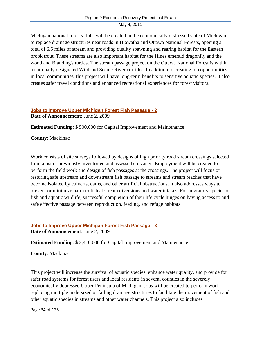Michigan national forests. Jobs will be created in the economically distressed state of Michigan to replace drainage structures near roads in Hiawatha and Ottawa National Forests, opening a total of 6.5 miles of stream and providing quality spawning and rearing habitat for the Eastern brook trout. These streams are also important habitat for the Hines emerald dragonfly and the wood and Blanding's turtles. The stream passage project on the Ottawa National Forest is within a nationally designated Wild and Scenic River corridor. In addition to creating job opportunities in local communities, this project will have long-term benefits to sensitive aquatic species. It also creates safer travel conditions and enhanced recreational experiences for forest visitors.

# **Jobs to Improve Upper Michigan Forest Fish Passage - 2**

**Date of Announcement**: June 2, 2009

**Estimated Funding**: \$ 500,000 for Capital Improvement and Maintenance

**County**: Mackinac

Work consists of site surveys followed by designs of high priority road stream crossings selected from a list of previously inventoried and assessed crossings. Employment will be created to perform the field work and design of fish passages at the crossings. The project will focus on restoring safe upstream and downstream fish passage to streams and stream reaches that have become isolated by culverts, dams, and other artificial obstructions. It also addresses ways to prevent or minimize harm to fish at stream diversions and water intakes. For migratory species of fish and aquatic wildlife, successful completion of their life cycle hinges on having access to and safe effective passage between reproduction, feeding, and refuge habitats.

#### **Jobs to Improve Upper Michigan Forest Fish Passage - 3 Date of Announcement**: June 2, 2009

**Estimated Funding**: \$ 2,410,000 for Capital Improvement and Maintenance

**County**: Mackinac

This project will increase the survival of aquatic species, enhance water quality, and provide for safer road systems for forest users and local residents in several counties in the severely economically depressed Upper Peninsula of Michigan. Jobs will be created to perform work replacing multiple undersized or failing drainage structures to facilitate the movement of fish and other aquatic species in streams and other water channels. This project also includes

Page 34 of 126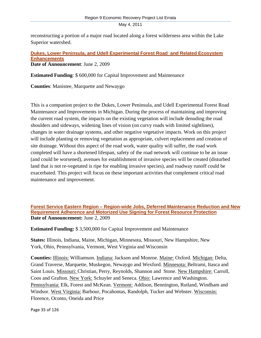reconstructing a portion of a major road located along a forest wilderness area within the Lake Superior watershed.

# **Dukes, Lower Peninsula, and Udell Experimental Forest Road and Related Ecosystem Enhancements**

**Date of Announcement**: June 2, 2009

**Estimated Funding**: \$ 600,000 for Capital Improvement and Maintenance

**Counties**: Manistee, Marquette and Newaygo

This is a companion project to the Dukes, Lower Peninsula, and Udell Experimental Forest Road Maintenance and Improvements in Michigan. During the process of maintaining and improving the current road system, the impacts on the existing vegetation will include denuding the road shoulders and sideways, widening lines of vision (on curvy roads with limited sightlines), changes in water drainage systems, and other negative vegetative impacts. Work on this project will include planting or removing vegetation as appropriate, culvert replacement and creation of site drainage. Without this aspect of the road work, water quality will suffer, the road work completed will have a shortened lifespan, safety of the road network will continue to be an issue (and could be worsened), avenues for establishment of invasive species will be created (disturbed land that is not re-vegetated is ripe for enabling invasive species), and roadway runoff could be exacerbated. This project will focus on these important activities that complement critical road maintenance and improvement.

**Forest Service Eastern Region – Region-wide Jobs, Deferred Maintenance Reduction and New Requirement Adherence and Motorized Use Signing for Forest Resource Protection Date of Announcement:** June 2, 2009

**Estimated Funding:** \$ 3,500,000 for Capital Improvement and Maintenance

**States:** Illinois, Indiana, Maine, Michigan, Minnesota, Missouri, New Hampshire, New York, Ohio, Pennsylvania, Vermont, West Virginia and Wisconsin

**Counties:** Illinois: Williamson. Indiana: Jackson and Monroe. Maine: Oxford. Michigan: Delta, Grand Traverse, Marquette, Muskegon, Newaygo and Wexford. Minnesota: Beltrami, Itasca and Saint Louis. Missouri: Christian, Perry, Reynolds, Shannon and Stone. New Hampshire: Carroll, Coos and Grafton. New York: Schuyler and Seneca. Ohio: Lawrence and Washington. Pennsylvania: Elk, Forest and McKean. Vermont: Addison, Bennington, Rutland, Windham and Windsor. West Virginia: Barbour, Pocahontas, Randolph, Tucker and Webster. Wisconsin: Florence, Oconto, Oneida and Price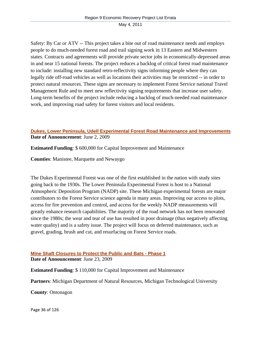Safety: By Car or ATV -- This project takes a bite out of road maintenance needs and employs people to do much-needed forest road and trail signing work in 13 Eastern and Midwestern states. Contracts and agreements will provide private sector jobs in economically-depressed areas in and near 15 national forests. The project reduces a backlog of critical forest road maintenance to include: installing new standard retro-reflectivity signs informing people where they can legally ride off-road vehicles as well as locations their activities may be restricted -- in order to protect natural resources. These signs are necessary to implement Forest Service national Travel Management Rule and to meet new reflectivity signing requirements that increase user safety. Long-term benefits of the project include reducing a backlog of much-needed road maintenance work, and improving road safety for forest visitors and local residents.

# **Dukes, Lower Peninsula, Udell Experimental Forest Road Maintenance and Improvements Date of Announcement**: June 2, 2009

**Estimated Funding**: \$ 600,000 for Capital Improvement and Maintenance

**Counties**: Manistee, Marquette and Newaygo

The Dukes Experimental Forest was one of the first established in the nation with study sites going back to the 1930s. The Lower Peninsula Experimental Forest is host to a National Atmospheric Deposition Program (NADP) site. These Michigan experimental forests are major contributors to the Forest Service science agenda in many areas. Improving our access to plots, access for fire prevention and control, and access for the weekly NADP measurements will greatly enhance research capabilities. The majority of the road network has not been renovated since the 1980s; the wear and tear of use has resulted in poor drainage (thus negatively affecting water quality) and is a safety issue. The project will focus on deferred maintenance, such as gravel, grading, brush and cut, and resurfacing on Forest Service roads.

#### **Mine Shaft Closures to Protect the Public and Bats - Phase 1 Date of Announcement**: June 23, 2009

**Estimated Funding**: \$ 110,000 for Capital Improvement and Maintenance

**Partners**: Michigan Department of Natural Resources, Michigan Technological University

**County**: Ontonagon

Page 36 of 126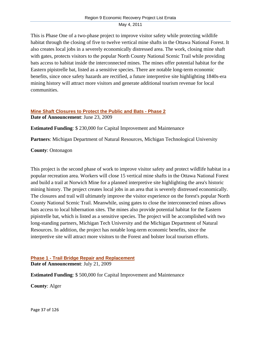This is Phase One of a two-phase project to improve visitor safety while protecting wildlife habitat through the closing of five to twelve vertical mine shafts in the Ottawa National Forest. It also creates local jobs in a severely economically distressed area. The work, closing mine shaft with gates, protects visitors to the popular North County National Scenic Trail while providing bats access to habitat inside the interconnected mines. The mines offer potential habitat for the Eastern pipistrelle bat, listed as a sensitive species. There are notable long-term economic benefits, since once safety hazards are rectified, a future interpretive site highlighting 1840s-era mining history will attract more visitors and generate additional tourism revenue for local communities.

#### **Mine Shaft Closures to Protect the Public and Bats - Phase 2 Date of Announcement**: June 23, 2009

**Estimated Funding**: \$ 230,000 for Capital Improvement and Maintenance

**Partners**: Michigan Department of Natural Resources, Michigan Technological University

**County**: Ontonagon

This project is the second phase of work to improve visitor safety and protect wildlife habitat in a popular recreation area. Workers will close 15 vertical mine shafts in the Ottawa National Forest and build a trail at Norwich Mine for a planned interpretive site highlighting the area's historic mining history. The project creates local jobs in an area that is severely distressed economically. The closures and trail will ultimately improve the visitor experience on the forest's popular North County National Scenic Trail. Meanwhile, using gates to close the interconnected mines allows bats access to local hibernation sites. The mines also provide potential habitat for the Eastern pipistrelle bat, which is listed as a sensitive species. The project will be accomplished with two long-standing partners, Michigan Tech University and the Michigan Department of Natural Resources. In addition, the project has notable long-term economic benefits, since the interpretive site will attract more visitors to the Forest and bolster local tourism efforts.

# **Phase 1 - Trail Bridge Repair and Replacement**

**Date of Announcement**: July 21, 2009

**Estimated Funding**: \$ 500,000 for Capital Improvement and Maintenance

**County**: Alger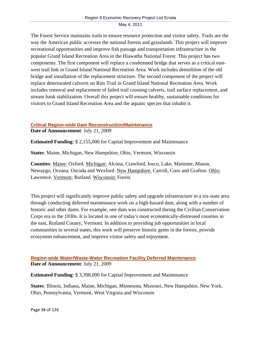The Forest Service maintains trails to ensure resource protection and visitor safety. Trails are the way the American public accesses the national forests and grasslands. This project will improve recreational opportunities and improve fish passage and transportation infrastructure in the popular Grand Island Recreation Area in the Hiawatha National Forest. This project has two components. The first component will replace a condemned bridge that serves as a critical eastwest trail link in Grand Island National Recreation Area. Work includes demolition of the old bridge and installation of the replacement structure. The second component of the project will replace deteriorated culverts on Rim Trail in Grand Island National Recreation Area. Work includes removal and replacement of failed trail crossing culverts, trail surface replacement, and stream bank stabilization. Overall this project will ensure healthy, sustainable conditions for visitors to Grand Island Recreation Area and the aquatic species that inhabit it.

## **Critical Region-wide Dam Reconstruction/Maintenance**

**Date of Announcement**: July 21, 2009

**Estimated Funding**: \$ 2,155,000 for Capital Improvement and Maintenance

**States**: Maine, Michigan, New Hampshire, Ohio, Vermont, Wisconsin

**Counties**: Maine: Oxford. Michigan: Alcona, Crawford, Iosco, Lake, Manistee, Mason, Newaygo, Oceana, Oscoda and Wexford. New Hampshire: Carroll, Coos and Grafton. Ohio: Lawrence. Vermont: Rutland. Wisconsin: Forest.

This project will significantly improve public safety and upgrade infrastructure in a six-state area through conducting deferred maintenance work on a high-hazard dam, along with a number of historic and other dams. For example, one dam was constructed during the Civilian Conservation Corps era in the 1930s. It is located in one of today's most economically-distressed counties in the east, Rutland County, Vermont. In addition to providing job opportunities in local communities in several states, this work will preserve historic gems in the forests, provide ecosystem enhancement, and improve visitor safety and enjoyment.

## **Region-wide Water/Waste-Water Recreation Facility Deferred Maintenance Date of Announcement**: July 21, 2009

**Estimated Funding**: \$ 3,398,000 for Capital Improvement and Maintenance

**States**: Illinois, Indiana, Maine, Michigan, Minnesota, Missouri, New Hampshire, New York, Ohio, Pennsylvania, Vermont, West Virginia and Wisconsin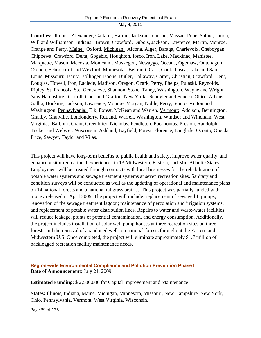**Counties:** Illinois: Alexander, Gallatin, Hardin, Jackson, Johnson, Massac, Pope, Saline, Union, Will and Williamson. Indiana: Brown, Crawford, Dubois, Jackson, Lawrence, Martin, Monroe, Orange and Perry. Maine: Oxford. Michigan: Alcona, Alger, Baraga, Charlevoix, Cheboygan, Chippewa, Crawford, Delta, Gogebic, Houghton, Iosco, Iron, Lake, Mackinac, Manistee, Marquette, Mason, Mecosta, Montcalm, Muskegon, Newaygo, Oceana, Ogemaw, Ontonagon, Oscoda, Schoolcraft and Wexford. Minnesota: Beltrami, Cass, Cook, Itasca, Lake and Saint Louis. Missouri: Barry, Bollinger, Boone, Butler, Callaway, Carter, Christian, Crawford, Dent, Douglas, Howell, Iron, Laclede, Madison, Oregon, Ozark, Perry, Phelps, Pulaski, Reynolds, Ripley, St. Francois, Ste. Genevieve, Shannon, Stone, Taney, Washington, Wayne and Wright. New Hampshire: Carroll, Coos and Grafton. New York: Schuyler and Seneca. Ohio: Athens, Gallia, Hocking, Jackson, Lawrence, Monroe, Morgan, Noble, Perry, Scioto, Vinton and Washington. Pennsylvania: Elk, Forest, McKean and Warren. Vermont: Addison, Bennington, Granby, Granville, Londonderry, Rutland, Warren, Washington, Windsor and Windham. West Virginia: Barbour, Grant, Greenbrier, Nicholas, Pendleton, Pocahontas, Preston, Randolph, Tucker and Webster. Wisconsin: Ashland, Bayfield, Forest, Florence, Langlade, Oconto, Oneida, Price, Sawyer, Taylor and Vilas.

This project will have long-term benefits to public health and safety, improve water quality, and enhance visitor recreational experiences in 13 Midwestern, Eastern, and Mid-Atlantic States. Employment will be created through contracts with local businesses for the rehabilitation of potable water systems and sewage treatment systems at seven recreation sites. Sanitary and condition surveys will be conducted as well as the updating of operational and maintenance plans on 14 national forests and a national tallgrass prairie. This project was partially funded with money released in April 2009. The project will include: replacement of sewage lift pumps; renovation of the sewage treatment lagoon; maintenance of percolation and irrigation systems; and replacement of potable water distribution lines. Repairs to water and waste-water facilities will reduce leakage, points of potential contamination, and energy consumption. Additionally, the project includes installation of solar well pump houses at three recreation sites on three forests and the removal of abandoned wells on national forests throughout the Eastern and Midwestern U.S. Once completed, the project will eliminate approximately \$1.7 million of backlogged recreation facility maintenance needs.

## **Region-wide Environmental Compliance and Pollution Prevention Phase I Date of Announcement**: July 21, 2009

**Estimated Funding**: \$ 2,500,000 for Capital Improvement and Maintenance

**States:** Illinois, Indiana, Maine, Michigan, Minnesota, Missouri, New Hampshire, New York, Ohio, Pennsylvania, Vermont, West Virginia, Wisconsin.

Page 39 of 126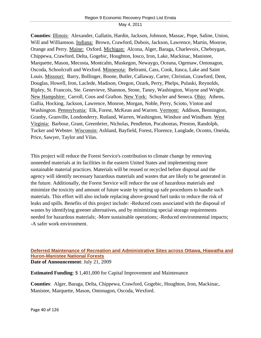**Counties**: Illinois: Alexander, Gallatin, Hardin, Jackson, Johnson, Massac, Pope, Saline, Union, Will and Williamson. Indiana: Brown, Crawford, Dubois, Jackson, Lawrence, Martin, Monroe, Orange and Perry. Maine: Oxford. Michigan: Alcona, Alger, Baraga, Charlevoix, Cheboygan, Chippewa, Crawford, Delta, Gogebic, Houghton, Iosco, Iron, Lake, Mackinac, Manistee, Marquette, Mason, Mecosta, Montcalm, Muskegon, Newaygo, Oceana, Ogemaw, Ontonagon, Oscoda, Schoolcraft and Wexford. Minnesota: Beltrami, Cass, Cook, Itasca, Lake and Saint Louis. Missouri: Barry, Bollinger, Boone, Butler, Callaway, Carter, Christian, Crawford, Dent, Douglas, Howell, Iron, Laclede, Madison, Oregon, Ozark, Perry, Phelps, Pulaski, Reynolds, Ripley, St. Francois, Ste. Genevieve, Shannon, Stone, Taney, Washington, Wayne and Wright. New Hampshire: Carroll, Coos and Grafton. New York: Schuyler and Seneca. Ohio: Athens, Gallia, Hocking, Jackson, Lawrence, Monroe, Morgan, Noble, Perry, Scioto, Vinton and Washington. Pennsylvania: Elk, Forest, McKean and Warren. Vermont: Addison, Bennington, Granby, Granville, Londonderry, Rutland, Warren, Washington, Windsor and Windham. West Virginia: Barbour, Grant, Greenbrier, Nicholas, Pendleton, Pocahontas, Preston, Randolph, Tucker and Webster. Wisconsin: Ashland, Bayfield, Forest, Florence, Langlade, Oconto, Oneida, Price, Sawyer, Taylor and Vilas.

This project will reduce the Forest Service's contribution to climate change by removing unneeded materials at its facilities in the eastern United States and implementing more sustainable material practices. Materials will be reused or recycled before disposal and the agency will identify necessary hazardous materials and wastes that are likely to be generated in the future. Additionally, the Forest Service will reduce the use of hazardous materials and minimize the toxicity and amount of future waste by setting up safe procedures to handle such materials. This effort will also include replacing above-ground fuel tanks to reduce the risk of leaks and spills. Benefits of this project include: -Reduced costs associated with the disposal of wastes by identifying greener alternatives, and by minimizing special storage requirements needed for hazardous materials; -More sustainable operations; -Reduced environmental impacts; -A safer work environment.

# **Deferred Maintenance of Recreation and Administrative Sites across Ottawa, Hiawatha and Huron-Manistee National Forests**

**Date of Announcement**: July 21, 2009

**Estimated Funding**: \$ 1,401,000 for Capital Improvement and Maintenance

**Counties**: Alger, Baraga, Delta, Chippewa, Crawford, Gogebic, Houghton, Iron, Mackinac, Manistee, Marquette, Mason, Ontonagon, Oscoda, Wexford.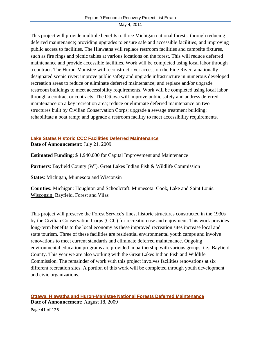This project will provide multiple benefits to three Michigan national forests, through reducing deferred maintenance; providing upgrades to ensure safe and accessible facilities; and improving public access to facilities. The Hiawatha will replace restroom facilities and campsite fixtures, such as fire rings and picnic tables at various locations on the forest. This will reduce deferred maintenance and provide accessible facilities. Work will be completed using local labor through a contract. The Huron-Manistee will reconstruct river access on the Pine River, a nationally designated scenic river; improve public safety and upgrade infrastructure in numerous developed recreation areas to reduce or eliminate deferred maintenance; and replace and/or upgrade restroom buildings to meet accessibility requirements. Work will be completed using local labor through a contract or contracts. The Ottawa will improve public safety and address deferred maintenance on a key recreation area; reduce or eliminate deferred maintenance on two structures built by Civilian Conservation Corps; upgrade a sewage treatment building; rehabilitate a boat ramp; and upgrade a restroom facility to meet accessibility requirements.

# **Lake States Historic CCC Facilities Deferred Maintenance**

**Date of Announcement**: July 21, 2009

**Estimated Funding**: \$ 1,940,000 for Capital Improvement and Maintenance

**Partners**: Bayfield County (WI), Great Lakes Indian Fish & Wildlife Commission

**States**: Michigan, Minnesota and Wisconsin

**Counties:** Michigan: Houghton and Schoolcraft. Minnesota: Cook, Lake and Saint Louis. Wisconsin: Bayfield, Forest and Vilas

This project will preserve the Forest Service's finest historic structures constructed in the 1930s by the Civilian Conservation Corps (CCC) for recreation use and enjoyment. This work provides long-term benefits to the local economy as these improved recreation sites increase local and state tourism. Three of these facilities are residential environmental youth camps and involve renovations to meet current standards and eliminate deferred maintenance. Ongoing environmental education programs are provided in partnership with various groups, i.e., Bayfield County. This year we are also working with the Great Lakes Indian Fish and Wildlife Commission. The remainder of work with this project involves facilities renovations at six different recreation sites. A portion of this work will be completed through youth development and civic organizations.

**Ottawa, Hiawatha and Huron-Manistee National Forests Deferred Maintenance Date of Announcement:** August 18, 2009

Page 41 of 126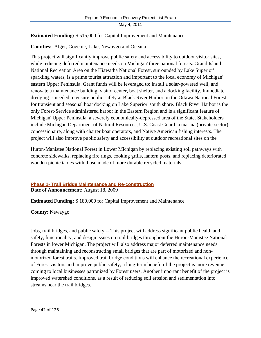## **Estimated Funding:** \$ 515,000 for Capital Improvement and Maintenance

## **Counties:** Alger, Gogebic, Lake, Newaygo and Oceana

This project will significantly improve public safety and accessibility to outdoor visitor sites, while reducing deferred maintenance needs on Michigan' three national forests. Grand Island National Recreation Area on the Hiawatha National Forest, surrounded by Lake Superior' sparkling waters, is a prime tourist attraction and important to the local economy of Michigan' eastern Upper Peninsula. Grant funds will be leveraged to: install a solar-powered well, and renovate a maintenance building, visitor center, boat shelter, and a docking facility. Immediate dredging is needed to ensure public safety at Black River Harbor on the Ottawa National Forest for transient and seasonal boat docking on Lake Superior' south shore. Black River Harbor is the only Forest-Service administered harbor in the Eastern Region and is a significant feature of Michigan' Upper Peninsula, a severely economically-depressed area of the State. Stakeholders include Michigan Department of Natural Resources, U.S. Coast Guard, a marina (private-sector) concessionaire, along with charter boat operators, and Native American fishing interests. The project will also improve public safety and accessibility at outdoor recreational sites on the

Huron-Manistee National Forest in Lower Michigan by replacing existing soil pathways with concrete sidewalks, replacing fire rings, cooking grills, lantern posts, and replacing deteriorated wooden picnic tables with those made of more durable recycled materials.

### **Phase 1- Trail Bridge Maintenance and Re-construction Date of Announcement:** August 18, 2009

**Estimated Funding:** \$ 180,000 for Capital Improvement and Maintenance

**County:** Newaygo

Jobs, trail bridges, and public safety -- This project will address significant public health and safety, functionality, and design issues on trail bridges throughout the Huron-Manistee National Forests in lower Michigan. The project will also address major deferred maintenance needs through maintaining and reconstructing small bridges that are part of motorized and nonmotorized forest trails. Improved trail bridge conditions will enhance the recreational experience of Forest visitors and improve public safety; a long-term benefit of the project is more revenue coming to local businesses patronized by Forest users. Another important benefit of the project is improved watershed conditions, as a result of reducing soil erosion and sedimentation into streams near the trail bridges.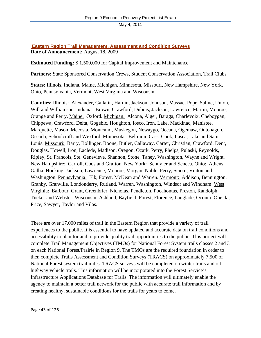## **Eastern Region Trail Management, Assessment and Condition Surveys Date of Announcement:** August 18, 2009

**Estimated Funding:** \$ 1,500,000 for Capital Improvement and Maintenance

**Partners:** State Sponsored Conservation Crews, Student Conservation Association, Trail Clubs

**States:** Illinois, Indiana, Maine, Michigan, Minnesota, Missouri, New Hampshire, New York, Ohio, Pennsylvania, Vermont, West Virginia and Wisconsin

**Counties:** Illinois: Alexander, Gallatin, Hardin, Jackson, Johnson, Massac, Pope, Saline, Union, Will and Williamson. Indiana: Brown, Crawford, Dubois, Jackson, Lawrence, Martin, Monroe, Orange and Perry. Maine: Oxford. Michigan: Alcona, Alger, Baraga, Charlevoix, Cheboygan, Chippewa, Crawford, Delta, Gogebic, Houghton, Iosco, Iron, Lake, Mackinac, Manistee, Marquette, Mason, Mecosta, Montcalm, Muskegon, Newaygo, Oceana, Ogemaw, Ontonagon, Oscoda, Schoolcraft and Wexford. Minnesota: Beltrami, Cass, Cook, Itasca, Lake and Saint Louis. Missouri: Barry, Bollinger, Boone, Butler, Callaway, Carter, Christian, Crawford, Dent, Douglas, Howell, Iron, Laclede, Madison, Oregon, Ozark, Perry, Phelps, Pulaski, Reynolds, Ripley, St. Francois, Ste. Genevieve, Shannon, Stone, Taney, Washington, Wayne and Wright. New Hampshire: Carroll, Coos and Grafton. New York: Schuyler and Seneca. Ohio: Athens, Gallia, Hocking, Jackson, Lawrence, Monroe, Morgan, Noble, Perry, Scioto, Vinton and Washington. Pennsylvania: Elk, Forest, McKean and Warren. Vermont: Addison, Bennington, Granby, Granville, Londonderry, Rutland, Warren, Washington, Windsor and Windham. West Virginia: Barbour, Grant, Greenbrier, Nicholas, Pendleton, Pocahontas, Preston, Randolph, Tucker and Webster. Wisconsin: Ashland, Bayfield, Forest, Florence, Langlade, Oconto, Oneida, Price, Sawyer, Taylor and Vilas.

There are over 17,000 miles of trail in the Eastern Region that provide a variety of trail experiences to the public. It is essential to have updated and accurate data on trail conditions and accessibility to plan for and to provide quality trail opportunities to the public. This project will complete Trail Management Objectives (TMOs) for National Forest System trails classes 2 and 3 on each National Forest/Prairie in Region 9. The TMOs are the required foundation in order to then complete Trails Assessment and Condition Surveys (TRACS) on approximately 7,500 of National Forest system trail miles. TRACS surveys will be completed on winter trails and off highway vehicle trails. This information will be incorporated into the Forest Service's Infrastructure Applications Database for Trails. The information will ultimately enable the agency to maintain a better trail network for the public with accurate trail information and by creating healthy, sustainable conditions for the trails for years to come.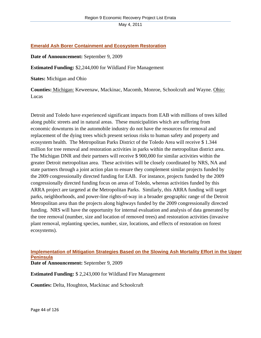## **Emerald Ash Borer Containment and Ecosystem Restoration**

**Date of Announcement:** September 9, 2009

**Estimated Funding:** \$2,244,000 for Wildland Fire Management

**States:** Michigan and Ohio

**Counties:** Michigan: Keweenaw, Mackinac, Macomb, Monroe, Schoolcraft and Wayne. Ohio: Lucas

Detroit and Toledo have experienced significant impacts from EAB with millions of trees killed along public streets and in natural areas. These municipalities which are suffering from economic downturns in the automobile industry do not have the resources for removal and replacement of the dying trees which present serious risks to human safety and property and ecosystem health. The Metropolitan Parks District of the Toledo Area will receive \$ 1.344 million for tree removal and restoration activities in parks within the metropolitan district area. The Michigan DNR and their partners will receive \$ 900,000 for similar activities within the greater Detroit metropolitan area. These activities will be closely coordinated by NRS, NA and state partners through a joint action plan to ensure they complement similar projects funded by the 2009 congressionally directed funding for EAB. For instance, projects funded by the 2009 congressionally directed funding focus on areas of Toledo, whereas activities funded by this ARRA project are targeted at the Metropolitan Parks. Similarly, this ARRA funding will target parks, neighborhoods, and power-line rights-of-way in a broader geographic range of the Detroit Metropolitan area than the projects along highways funded by the 2009 congressionally directed funding. NRS will have the opportunity for internal evaluation and analysis of data generated by the tree removal (number, size and location of removed trees) and restoration activities (invasive plant removal, replanting species, number, size, locations, and effects of restoration on forest ecosystems).

# **Implementation of Mitigation Strategies Based on the Slowing Ash Mortality Effort in the Upper Peninsula**

**Date of Announcement:** September 9, 2009

**Estimated Funding:** \$ 2,243,000 for Wildland Fire Management

**Counties:** Delta, Houghton, Mackinac and Schoolcraft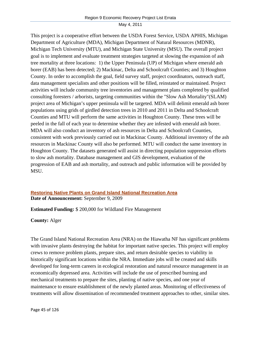This project is a cooperative effort between the USDA Forest Service, USDA APHIS, Michigan Department of Agriculture (MDA), Michigan Department of Natural Resources (MDNR), Michigan Tech University (MTU), and Michigan State University (MSU). The overall project goal is to implement and evaluate treatment strategies targeted at slowing the expansion of ash tree mortality at three locations: 1) the Upper Peninsula (UP) of Michigan where emerald ash borer (EAB) has been detected; 2) Mackinac, Delta and Schoolcraft Counties; and 3) Houghton County. In order to accomplish the goal, field survey staff, project coordinators, outreach staff, data management specialists and other positions will be filled, reinstated or maintained. Project activities will include community tree inventories and management plans completed by qualified consulting foresters / arborists, targeting communities within the "Slow Ash Mortality"(SLAM) project area of Michigan's upper peninsula will be targeted. MDA will delimit emerald ash borer populations using grids of girdled detection trees in 2010 and 2011 in Delta and Schoolcraft Counties and MTU will perform the same activities in Houghton County. These trees will be peeled in the fall of each year to determine whether they are infested with emerald ash borer. MDA will also conduct an inventory of ash resources in Delta and Schoolcraft Counties, consistent with work previously carried out in Mackinac County. Additional inventory of the ash resources in Mackinac County will also be performed. MTU will conduct the same inventory in Houghton County. The datasets generated will assist in directing population suppression efforts to slow ash mortality. Database management and GIS development, evaluation of the progression of EAB and ash mortality, and outreach and public information will be provided by MSU.

## **Restoring Native Plants on Grand Island National Recreation Area Date of Announcement:** September 9, 2009

**Estimated Funding:** \$ 200,000 for Wildland Fire Management

**County:** Alger

The Grand Island National Recreation Area (NRA) on the Hiawatha NF has significant problems with invasive plants destroying the habitat for important native species. This project will employ crews to remove problem plants, prepare sites, and return desirable species to viability in historically significant locations within the NRA. Immediate jobs will be created and skills developed for long-term careers in ecological restoration and natural resource management in an economically depressed area. Activities will include the use of prescribed burning and mechanical treatments to prepare the sites, planting of native species, and one year of maintenance to ensure establishment of the newly planted areas. Monitoring of effectiveness of treatments will allow dissemination of recommended treatment approaches to other, similar sites.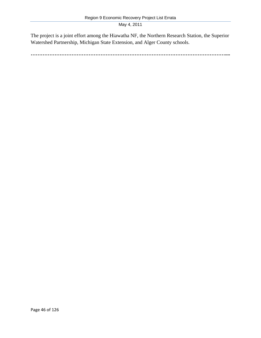The project is a joint effort among the Hiawatha NF, the Northern Research Station, the Superior Watershed Partnership, Michigan State Extension, and Alger County schools.

**……………………………………………………………………………………………………....**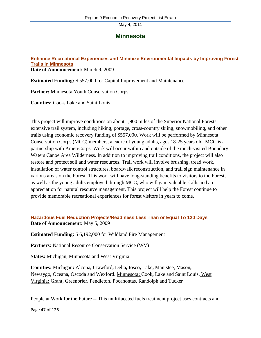# **Minnesota**

#### **Enhance Recreational Experiences and Minimize Environmental Impacts by Improving Forest Trails in Minnesota Date of Announcement:** March 9, 2009

**Estimated Funding:** \$ 557,000 for Capital Improvement and Maintenance

**Partner:** Minnesota Youth Conservation Corps

**Counties:** Cook**,** Lake and Saint Louis

This project will improve conditions on about 1,900 miles of the Superior National Forests extensive trail system, including hiking, portage, cross-country skiing, snowmobiling, and other trails using economic recovery funding of \$557,000. Work will be performed by Minnesota Conservation Corps (MCC) members, a cadre of young adults, ages 18-25 years old. MCC is a partnership with AmeriCorps. Work will occur within and outside of the much-visited Boundary Waters Canoe Area Wilderness. In addition to improving trail conditions, the project will also restore and protect soil and water resources. Trail work will involve brushing, tread work, installation of water control structures, boardwalk reconstruction, and trail sign maintenance in various areas on the Forest. This work will have long-standing benefits to visitors to the Forest, as well as the young adults employed through MCC, who will gain valuable skills and an appreciation for natural resource management. This project will help the Forest continue to provide memorable recreational experiences for forest visitors in years to come.

**Hazardous Fuel Reduction Projects/Readiness Less Than or Equal To 120 Days Date of Announcement:** May 5, 2009

**Estimated Funding:** \$ 6,192,000 for Wildland Fire Management

Partners: National Resource Conservation Service (WV)

**States:** Michigan, Minnesota and West Virginia

**Counties:** Michigan**:** Alcona**,** Crawford**,** Delta**,** Iosco**,** Lake**,** Manistee, Mason**,** Newaygo**,** Oceana**,** Oscoda and Wexford. Minnesota**:** Cook**,** Lake and Saint Louis. West Virginia**:** Grant**,** Greenbrier**,** Pendleton**,** Pocahontas**,** Randolph and Tucker

People at Work for the Future -- This multifaceted fuels treatment project uses contracts and

Page 47 of 126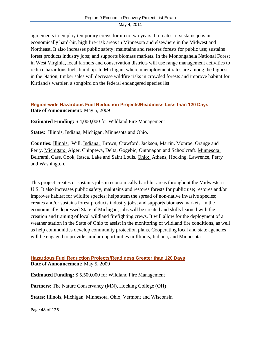agreements to employ temporary crews for up to two years. It creates or sustains jobs in economically hard-hit, high fire-risk areas in Minnesota and elsewhere in the Midwest and Northeast. It also increases public safety; maintains and restores forests for public use; sustains forest products industry jobs; and supports biomass markets. In the Monongahela National Forest in West Virginia, local farmers and conservation districts will use range management activities to reduce hazardous fuels build up. In Michigan, where unemployment rates are among the highest in the Nation, timber sales will decrease wildfire risks in crowded forests and improve habitat for Kirtland's warbler, a songbird on the federal endangered species list.

## **Region-wide Hazardous Fuel Reduction Projects/Readiness Less than 120 Days Date of Announcement:** May 5, 2009

**Estimated Funding:** \$ 4,000,000 for Wildland Fire Management

**States:** Illinois, Indiana, Michigan, Minnesota and Ohio.

**Counties:** Illinois: Will. Indiana: Brown, Crawford, Jackson, Martin, Monroe, Orange and Perry. Michigan: Alger, Chippewa, Delta, Gogebic, Ontonagon and Schoolcraft. Minnesota: Beltrami, Cass, Cook, Itasca, Lake and Saint Louis. Ohio: Athens, Hocking, Lawrence, Perry and Washington.

This project creates or sustains jobs in economically hard-hit areas throughout the Midwestern U.S. It also increases public safety, maintains and restores forests for public use; restores and/or improves habitat for wildlife species; helps stem the spread of non-native invasive species; creates and/or sustains forest products industry jobs; and supports biomass markets. In the economically depressed State of Michigan, jobs will be created and skills learned with the creation and training of local wildland firefighting crews. It will allow for the deployment of a weather station in the State of Ohio to assist in the monitoring of wildland fire conditions, as well as help communities develop community protection plans. Cooperating local and state agencies will be engaged to provide similar opportunities in Illinois, Indiana, and Minnesota.

## **Hazardous Fuel Reduction Projects/Readiness Greater than 120 Days Date of Announcement:** May 5, 2009

**Estimated Funding:** \$ 5,500,000 for Wildland Fire Management

**Partners:** The Nature Conservancy (MN), Hocking College (OH)

**States:** Illinois, Michigan, Minnesota, Ohio, Vermont and Wisconsin

Page 48 of 126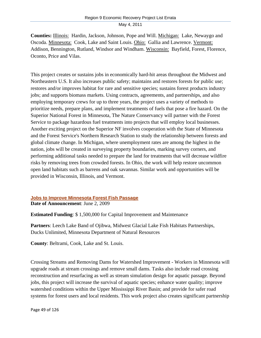**Counties:** Illinois: Hardin, Jackson, Johnson, Pope and Will. Michigan: Lake, Newaygo and Oscoda. Minnesota: Cook, Lake and Saint Louis. Ohio: Gallia and Lawrence. Vermont: Addison, Bennington, Rutland, Windsor and Windham. Wisconsin: Bayfield, Forest, Florence, Oconto, Price and Vilas.

This project creates or sustains jobs in economically hard-hit areas throughout the Midwest and Northeastern U.S. It also increases public safety; maintains and restores forests for public use; restores and/or improves habitat for rare and sensitive species; sustains forest products industry jobs; and supports biomass markets. Using contracts, agreements, and partnerships, and also employing temporary crews for up to three years, the project uses a variety of methods to prioritize needs, prepare plans, and implement treatments of fuels that pose a fire hazard. On the Superior National Forest in Minnesota, The Nature Conservancy will partner with the Forest Service to package hazardous fuel treatments into projects that will employ local businesses. Another exciting project on the Superior NF involves cooperation with the State of Minnesota and the Forest Service's Northern Research Station to study the relationship between forests and global climate change. In Michigan, where unemployment rates are among the highest in the nation, jobs will be created in surveying property boundaries, marking survey corners, and performing additional tasks needed to prepare the land for treatments that will decrease wildfire risks by removing trees from crowded forests. In Ohio, the work will help restore uncommon open land habitats such as barrens and oak savannas. Similar work and opportunities will be provided in Wisconsin, Illinois, and Vermont.

### **Jobs to Improve Minnesota Forest Fish Passage Date of Announcement**: June 2, 2009

**Estimated Funding**: \$ 1,500,000 for Capital Improvement and Maintenance

**Partners**: Leech Lake Band of Ojibwa, Midwest Glacial Lake Fish Habitats Partnerships, Ducks Unlimited, Minnesota Department of Natural Resources

**County**: Beltrami, Cook, Lake and St. Louis.

Crossing Streams and Removing Dams for Watershed Improvement - Workers in Minnesota will upgrade roads at stream crossings and remove small dams. Tasks also include road crossing reconstruction and resurfacing as well as stream simulation design for aquatic passage. Beyond jobs, this project will increase the survival of aquatic species; enhance water quality; improve watershed conditions within the Upper Mississippi River Basin; and provide for safer road systems for forest users and local residents. This work project also creates significant partnership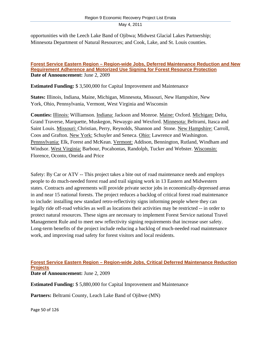opportunities with the Leech Lake Band of Ojibwa; Midwest Glacial Lakes Partnership; Minnesota Department of Natural Resources; and Cook, Lake, and St. Louis counties.

#### **Forest Service Eastern Region – Region-wide Jobs, Deferred Maintenance Reduction and New Requirement Adherence and Motorized Use Signing for Forest Resource Protection Date of Announcement:** June 2, 2009

**Estimated Funding:** \$ 3,500,000 for Capital Improvement and Maintenance

**States:** Illinois, Indiana, Maine, Michigan, Minnesota, Missouri, New Hampshire, New York, Ohio, Pennsylvania, Vermont, West Virginia and Wisconsin

**Counties:** Illinois: Williamson. Indiana: Jackson and Monroe. Maine: Oxford. Michigan: Delta, Grand Traverse, Marquette, Muskegon, Newaygo and Wexford. Minnesota: Beltrami, Itasca and Saint Louis. Missouri: Christian, Perry, Reynolds, Shannon and Stone. New Hampshire: Carroll, Coos and Grafton. New York: Schuyler and Seneca. Ohio: Lawrence and Washington. Pennsylvania: Elk, Forest and McKean. Vermont: Addison, Bennington, Rutland, Windham and Windsor. West Virginia: Barbour, Pocahontas, Randolph, Tucker and Webster. Wisconsin: Florence, Oconto, Oneida and Price

Safety: By Car or ATV -- This project takes a bite out of road maintenance needs and employs people to do much-needed forest road and trail signing work in 13 Eastern and Midwestern states. Contracts and agreements will provide private sector jobs in economically-depressed areas in and near 15 national forests. The project reduces a backlog of critical forest road maintenance to include: installing new standard retro-reflectivity signs informing people where they can legally ride off-road vehicles as well as locations their activities may be restricted -- in order to protect natural resources. These signs are necessary to implement Forest Service national Travel Management Rule and to meet new reflectivity signing requirements that increase user safety. Long-term benefits of the project include reducing a backlog of much-needed road maintenance work, and improving road safety for forest visitors and local residents.

#### **Forest Service Eastern Region – Region-wide Jobs, Critical Deferred Maintenance Reduction Projects Date of Announcement:** June 2, 2009

**Estimated Funding:** \$ 5,880,000 for Capital Improvement and Maintenance

**Partners:** Beltrami County, Leach Lake Band of Ojibwe (MN)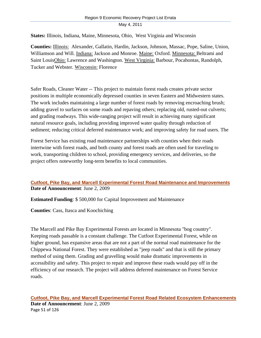**States:** Illinois, Indiana, Maine, Minnesota, Ohio, West Virginia and Wisconsin

**Counties:** Illinois: Alexander, Gallatin, Hardin, Jackson, Johnson, Massac, Pope, Saline, Union, Williamson and Will. Indiana: Jackson and Monroe. Maine: Oxford. Minnesota: Beltrami and Saint LouisOhio: Lawrence and Washington. West Virginia: Barbour, Pocahontas, Randolph, Tucker and Webster. Wisconsin: Florence

Safer Roads, Cleaner Water -- This project to maintain forest roads creates private sector positions in multiple economically depressed counties in seven Eastern and Midwestern states. The work includes maintaining a large number of forest roads by removing encroaching brush; adding gravel to surfaces on some roads and repaving others; replacing old, rusted-out culverts; and grading roadways. This wide-ranging project will result in achieving many significant natural resource goals, including providing improved water quality through reduction of sediment; reducing critical deferred maintenance work; and improving safety for road users. The

Forest Service has existing road maintenance partnerships with counties when their roads intertwine with forest roads, and both county and forest roads are often used for traveling to work, transporting children to school, providing emergency services, and deliveries, so the project offers noteworthy long-term benefits to local communities.

**Cutfoot, Pike Bay, and Marcell Experimental Forest Road Maintenance and Improvements Date of Announcement**: June 2, 2009

**Estimated Funding**: \$ 500,000 for Capital Improvement and Maintenance

**Counties**: Cass, Itasca and Koochiching

The Marcell and Pike Bay Experimental Forests are located in Minnesota "bog country". Keeping roads passable is a constant challenge. The Cutfoot Experimental Forest, while on higher ground, has expansive areas that are not a part of the normal road maintenance for the Chippewa National Forest. They were established as "jeep roads" and that is still the primary method of using them. Grading and gravelling would make dramatic improvements in accessibility and safety. This project to repair and improve these roads would pay off in the efficiency of our research. The project will address deferred maintenance on Forest Service roads.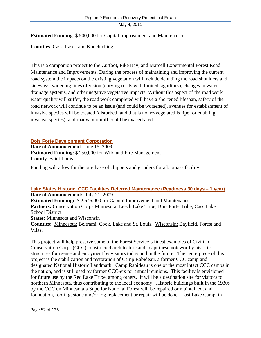## **Estimated Funding**: \$ 500,000 for Capital Improvement and Maintenance

**Counties**: Cass, Itasca and Koochiching

This is a companion project to the Cutfoot, Pike Bay, and Marcell Experimental Forest Road Maintenance and Improvements. During the process of maintaining and improving the current road system the impacts on the existing vegetation will include denuding the road shoulders and sideways, widening lines of vision (curving roads with limited sightlines), changes in water drainage systems, and other negative vegetative impacts. Without this aspect of the road work water quality will suffer, the road work completed will have a shortened lifespan, safety of the road network will continue to be an issue (and could be worsened), avenues for establishment of invasive species will be created (disturbed land that is not re-vegetated is ripe for enabling invasive species), and roadway runoff could be exacerbated.

## **Bois Forte Development Corporation**

**Date of Announcement**: June 15, 2009 **Estimated Funding**: \$ 250,000 for Wildland Fire Management **County**: Saint Louis

Funding will allow for the purchase of chippers and grinders for a biomass facility.

# **Lake States Historic CCC Facilities Deferred Maintenance (Readiness 30 days – 1 year)**

**Date of Announcement:** July 21, 2009 **Estimated Funding:** \$ 2,645,000 for Capital Improvement and Maintenance **Partners:** Conservation Corps Minnesota; Leech Lake Tribe; Bois Forte Tribe; Cass Lake School District **States:** Minnesota and Wisconsin **Counties:** Minnesota: Beltrami, Cook, Lake and St. Louis. Wisconsin: Bayfield, Forest and Vilas.

This project will help preserve some of the Forest Service's finest examples of Civilian Conservation Corps (CCC) constructed architecture and adapt these noteworthy historic structures for re-use and enjoyment by visitors today and in the future. The centerpiece of this project is the stabilization and restoration of Camp Rabideau, a former CCC camp and designated National Historic Landmark. Camp Rabideau is one of the most intact CCC camps in the nation, and is still used by former CCC-ers for annual reunions. This facility is envisioned for future use by the Red Lake Tribe, among others. It will be a destination site for visitors to northern Minnesota, thus contributing to the local economy. Historic buildings built in the 1930s by the CCC on Minnesota's Superior National Forest will be repaired or maintained, and foundation, roofing, stone and/or log replacement or repair will be done. Lost Lake Camp, in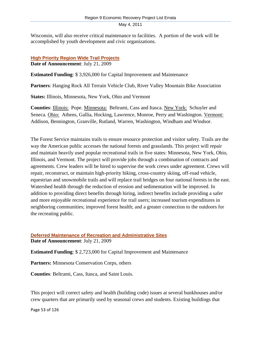Wisconsin, will also receive critical maintenance to facilities. A portion of the work will be accomplished by youth development and civic organizations.

### **High Priority Region Wide Trail Projects Date of Announcement**: July 21, 2009

**Estimated Funding**: \$ 3,926,000 for Capital Improvement and Maintenance

**Partners**: Hanging Rock All Terrain Vehicle Club, River Valley Mountain Bike Association

**States:** Illinois, Minnesota, New York, Ohio and Vermont

**Counties**: Illinois: Pope. Minnesota: Beltrami, Cass and Itasca. New York: Schuyler and Seneca. Ohio: Athens, Gallia, Hocking, Lawrence, Monroe, Perry and Washington. Vermont: Addison, Bennington, Granville, Rutland, Warren, Washington, Windham and Windsor.

The Forest Service maintains trails to ensure resource protection and visitor safety. Trails are the way the American public accesses the national forests and grasslands. This project will repair and maintain heavily used popular recreational trails in five states: Minnesota, New York, Ohio, Illinois, and Vermont. The project will provide jobs through a combination of contracts and agreements. Crew leaders will be hired to supervise the work crews under agreement. Crews will repair, reconstruct, or maintain high-priority hiking, cross-country skiing, off-road vehicle, equestrian and snowmobile trails and will replace trail bridges on four national forests in the east. Watershed health through the reduction of erosion and sedimentation will be improved. In addition to providing direct benefits through hiring, indirect benefits include providing a safer and more enjoyable recreational experience for trail users; increased tourism expenditures in neighboring communities; improved forest health; and a greater connection to the outdoors for the recreating public.

#### **Deferred Maintenance of Recreation and Administrative Sites Date of Announcement**: July 21, 2009

**Estimated Funding**: \$ 2,723,000 for Capital Improvement and Maintenance

**Partners:** Minnesota Conservation Corps, others

**Counties**: Beltrami, Cass, Itasca, and Saint Louis.

This project will correct safety and health (building code) issues at several bunkhouses and/or crew quarters that are primarily used by seasonal crews and students. Existing buildings that

Page 53 of 126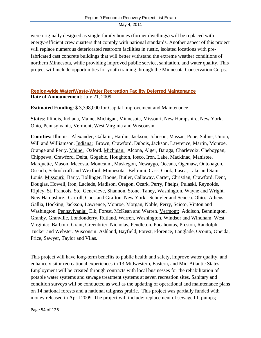were originally designed as single-family homes (former dwellings) will be replaced with energy-efficient crew quarters that comply with national standards. Another aspect of this project will replace numerous deteriorated restroom facilities in rustic, isolated locations with prefabricated cast concrete buildings that will better withstand the extreme weather conditions of northern Minnesota, while providing improved public service, sanitation, and water quality. This project will include opportunities for youth training through the Minnesota Conservation Corps.

## **Region-wide Water/Waste-Water Recreation Facility Deferred Maintenance Date of Announcement**: July 21, 2009

**Estimated Funding**: \$ 3,398,000 for Capital Improvement and Maintenance

**States**: Illinois, Indiana, Maine, Michigan, Minnesota, Missouri, New Hampshire, New York, Ohio, Pennsylvania, Vermont, West Virginia and Wisconsin

**Counties:** Illinois: Alexander, Gallatin, Hardin, Jackson, Johnson, Massac, Pope, Saline, Union, Will and Williamson. Indiana: Brown, Crawford, Dubois, Jackson, Lawrence, Martin, Monroe, Orange and Perry. Maine: Oxford. Michigan: Alcona, Alger, Baraga, Charlevoix, Cheboygan, Chippewa, Crawford, Delta, Gogebic, Houghton, Iosco, Iron, Lake, Mackinac, Manistee, Marquette, Mason, Mecosta, Montcalm, Muskegon, Newaygo, Oceana, Ogemaw, Ontonagon, Oscoda, Schoolcraft and Wexford. Minnesota: Beltrami, Cass, Cook, Itasca, Lake and Saint Louis. Missouri: Barry, Bollinger, Boone, Butler, Callaway, Carter, Christian, Crawford, Dent, Douglas, Howell, Iron, Laclede, Madison, Oregon, Ozark, Perry, Phelps, Pulaski, Reynolds, Ripley, St. Francois, Ste. Genevieve, Shannon, Stone, Taney, Washington, Wayne and Wright. New Hampshire: Carroll, Coos and Grafton. New York: Schuyler and Seneca. Ohio: Athens, Gallia, Hocking, Jackson, Lawrence, Monroe, Morgan, Noble, Perry, Scioto, Vinton and Washington. Pennsylvania: Elk, Forest, McKean and Warren. Vermont: Addison, Bennington, Granby, Granville, Londonderry, Rutland, Warren, Washington, Windsor and Windham. West Virginia: Barbour, Grant, Greenbrier, Nicholas, Pendleton, Pocahontas, Preston, Randolph, Tucker and Webster. Wisconsin: Ashland, Bayfield, Forest, Florence, Langlade, Oconto, Oneida, Price, Sawyer, Taylor and Vilas.

This project will have long-term benefits to public health and safety, improve water quality, and enhance visitor recreational experiences in 13 Midwestern, Eastern, and Mid-Atlantic States. Employment will be created through contracts with local businesses for the rehabilitation of potable water systems and sewage treatment systems at seven recreation sites. Sanitary and condition surveys will be conducted as well as the updating of operational and maintenance plans on 14 national forests and a national tallgrass prairie. This project was partially funded with money released in April 2009. The project will include: replacement of sewage lift pumps;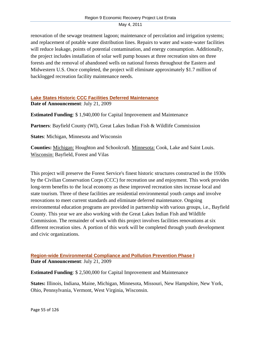renovation of the sewage treatment lagoon; maintenance of percolation and irrigation systems; and replacement of potable water distribution lines. Repairs to water and waste-water facilities will reduce leakage, points of potential contamination, and energy consumption. Additionally, the project includes installation of solar well pump houses at three recreation sites on three forests and the removal of abandoned wells on national forests throughout the Eastern and Midwestern U.S. Once completed, the project will eliminate approximately \$1.7 million of backlogged recreation facility maintenance needs.

## **Lake States Historic CCC Facilities Deferred Maintenance Date of Announcement**: July 21, 2009

**Estimated Funding**: \$ 1,940,000 for Capital Improvement and Maintenance

Partners: Bayfield County (WI), Great Lakes Indian Fish & Wildlife Commission

**States**: Michigan, Minnesota and Wisconsin

**Counties:** Michigan: Houghton and Schoolcraft. Minnesota: Cook, Lake and Saint Louis. Wisconsin: Bayfield, Forest and Vilas

This project will preserve the Forest Service's finest historic structures constructed in the 1930s by the Civilian Conservation Corps (CCC) for recreation use and enjoyment. This work provides long-term benefits to the local economy as these improved recreation sites increase local and state tourism. Three of these facilities are residential environmental youth camps and involve renovations to meet current standards and eliminate deferred maintenance. Ongoing environmental education programs are provided in partnership with various groups, i.e., Bayfield County. This year we are also working with the Great Lakes Indian Fish and Wildlife Commission. The remainder of work with this project involves facilities renovations at six different recreation sites. A portion of this work will be completed through youth development and civic organizations.

## **Region-wide Environmental Compliance and Pollution Prevention Phase I Date of Announcement**: July 21, 2009

**Estimated Funding**: \$ 2,500,000 for Capital Improvement and Maintenance

**States:** Illinois, Indiana, Maine, Michigan, Minnesota, Missouri, New Hampshire, New York, Ohio, Pennsylvania, Vermont, West Virginia, Wisconsin.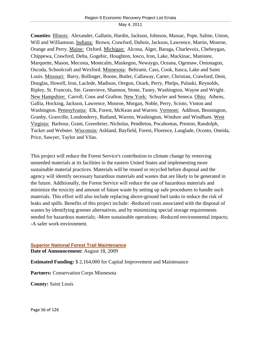**Counties**: Illinois: Alexander, Gallatin, Hardin, Jackson, Johnson, Massac, Pope, Saline, Union, Will and Williamson. Indiana: Brown, Crawford, Dubois, Jackson, Lawrence, Martin, Monroe, Orange and Perry. Maine: Oxford. Michigan: Alcona, Alger, Baraga, Charlevoix, Cheboygan, Chippewa, Crawford, Delta, Gogebic, Houghton, Iosco, Iron, Lake, Mackinac, Manistee, Marquette, Mason, Mecosta, Montcalm, Muskegon, Newaygo, Oceana, Ogemaw, Ontonagon, Oscoda, Schoolcraft and Wexford. Minnesota: Beltrami, Cass, Cook, Itasca, Lake and Saint Louis. Missouri: Barry, Bollinger, Boone, Butler, Callaway, Carter, Christian, Crawford, Dent, Douglas, Howell, Iron, Laclede, Madison, Oregon, Ozark, Perry, Phelps, Pulaski, Reynolds, Ripley, St. Francois, Ste. Genevieve, Shannon, Stone, Taney, Washington, Wayne and Wright. New Hampshire: Carroll, Coos and Grafton. New York: Schuyler and Seneca. Ohio: Athens, Gallia, Hocking, Jackson, Lawrence, Monroe, Morgan, Noble, Perry, Scioto, Vinton and Washington. Pennsylvania: Elk, Forest, McKean and Warren. Vermont: Addison, Bennington, Granby, Granville, Londonderry, Rutland, Warren, Washington, Windsor and Windham. West Virginia: Barbour, Grant, Greenbrier, Nicholas, Pendleton, Pocahontas, Preston, Randolph, Tucker and Webster. Wisconsin: Ashland, Bayfield, Forest, Florence, Langlade, Oconto, Oneida, Price, Sawyer, Taylor and Vilas.

This project will reduce the Forest Service's contribution to climate change by removing unneeded materials at its facilities in the eastern United States and implementing more sustainable material practices. Materials will be reused or recycled before disposal and the agency will identify necessary hazardous materials and wastes that are likely to be generated in the future. Additionally, the Forest Service will reduce the use of hazardous materials and minimize the toxicity and amount of future waste by setting up safe procedures to handle such materials. This effort will also include replacing above-ground fuel tanks to reduce the risk of leaks and spills. Benefits of this project include: -Reduced costs associated with the disposal of wastes by identifying greener alternatives, and by minimizing special storage requirements needed for hazardous materials; -More sustainable operations; -Reduced environmental impacts; -A safer work environment.

# **Superior National Forest Trail Maintenance**

**Date of Announcement:** August 18, 2009

**Estimated Funding:** \$ 2,164,000 for Capital Improvement and Maintenance

**Partners:** Conservation Corps Minnesota

**County:** Saint Louis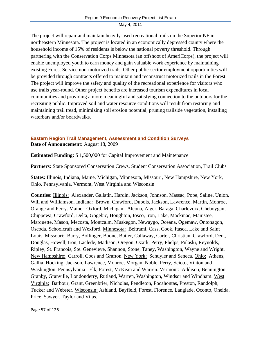The project will repair and maintain heavily-used recreational trails on the Superior NF in northeastern Minnesota. The project is located in an economically depressed county where the household income of 15% of residents is below the national poverty threshold. Through partnering with the Conservation Corps Minnesota (an offshoot of AmeriCorps), the project will enable unemployed youth to earn money and gain valuable work experience by maintaining existing Forest Service non-motorized trails. Other public-sector employment opportunities will be provided through contracts offered to maintain and reconstruct motorized trails in the Forest. The project will improve the safety and quality of the recreational experience for visitors who use trails year-round. Other project benefits are increased tourism expenditures in local communities and providing a more meaningful and satisfying connection to the outdoors for the recreating public. Improved soil and water resource conditions will result from restoring and maintaining trail tread, minimizing soil erosion potential, pruning trailside vegetation, installing waterbars and/or boardwalks.

## **Eastern Region Trail Management, Assessment and Condition Surveys Date of Announcement:** August 18, 2009

**Estimated Funding:** \$ 1,500,000 for Capital Improvement and Maintenance

**Partners:** State Sponsored Conservation Crews, Student Conservation Association, Trail Clubs

**States:** Illinois, Indiana, Maine, Michigan, Minnesota, Missouri, New Hampshire, New York, Ohio, Pennsylvania, Vermont, West Virginia and Wisconsin

**Counties:** Illinois: Alexander, Gallatin, Hardin, Jackson, Johnson, Massac, Pope, Saline, Union, Will and Williamson. Indiana: Brown, Crawford, Dubois, Jackson, Lawrence, Martin, Monroe, Orange and Perry. Maine: Oxford. Michigan: Alcona, Alger, Baraga, Charlevoix, Cheboygan, Chippewa, Crawford, Delta, Gogebic, Houghton, Iosco, Iron, Lake, Mackinac, Manistee, Marquette, Mason, Mecosta, Montcalm, Muskegon, Newaygo, Oceana, Ogemaw, Ontonagon, Oscoda, Schoolcraft and Wexford. Minnesota: Beltrami, Cass, Cook, Itasca, Lake and Saint Louis. Missouri: Barry, Bollinger, Boone, Butler, Callaway, Carter, Christian, Crawford, Dent, Douglas, Howell, Iron, Laclede, Madison, Oregon, Ozark, Perry, Phelps, Pulaski, Reynolds, Ripley, St. Francois, Ste. Genevieve, Shannon, Stone, Taney, Washington, Wayne and Wright. New Hampshire: Carroll, Coos and Grafton. New York: Schuyler and Seneca. Ohio: Athens, Gallia, Hocking, Jackson, Lawrence, Monroe, Morgan, Noble, Perry, Scioto, Vinton and Washington. Pennsylvania: Elk, Forest, McKean and Warren. Vermont: Addison, Bennington, Granby, Granville, Londonderry, Rutland, Warren, Washington, Windsor and Windham. West Virginia: Barbour, Grant, Greenbrier, Nicholas, Pendleton, Pocahontas, Preston, Randolph, Tucker and Webster. Wisconsin: Ashland, Bayfield, Forest, Florence, Langlade, Oconto, Oneida, Price, Sawyer, Taylor and Vilas.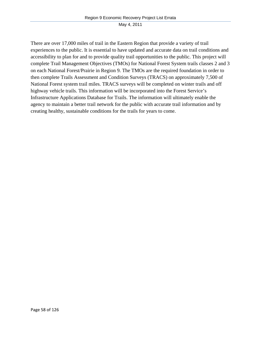There are over 17,000 miles of trail in the Eastern Region that provide a variety of trail experiences to the public. It is essential to have updated and accurate data on trail conditions and accessibility to plan for and to provide quality trail opportunities to the public. This project will complete Trail Management Objectives (TMOs) for National Forest System trails classes 2 and 3 on each National Forest/Prairie in Region 9. The TMOs are the required foundation in order to then complete Trails Assessment and Condition Surveys (TRACS) on approximately 7,500 of National Forest system trail miles. TRACS surveys will be completed on winter trails and off highway vehicle trails. This information will be incorporated into the Forest Service's Infrastructure Applications Database for Trails. The information will ultimately enable the agency to maintain a better trail network for the public with accurate trail information and by creating healthy, sustainable conditions for the trails for years to come.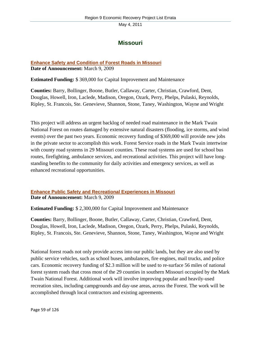# **Missouri**

### **Enhance Safety and Condition of Forest Roads in Missouri Date of Announcement:** March 9, 2009

**Estimated Funding:** \$ 369,000 for Capital Improvement and Maintenance

**Counties:** Barry, Bollinger, Boone, Butler, Callaway, Carter, Christian, Crawford, Dent, Douglas, Howell, Iron, Laclede, Madison, Oregon, Ozark, Perry, Phelps, Pulaski, Reynolds, Ripley, St. Francois, Ste. Genevieve, Shannon, Stone, Taney, Washington, Wayne and Wright

This project will address an urgent backlog of needed road maintenance in the Mark Twain National Forest on routes damaged by extensive natural disasters (flooding, ice storms, and wind events) over the past two years. Economic recovery funding of \$369,000 will provide new jobs in the private sector to accomplish this work. Forest Service roads in the Mark Twain intertwine with county road systems in 29 Missouri counties. These road systems are used for school bus routes, firefighting, ambulance services, and recreational activities. This project will have longstanding benefits to the community for daily activities and emergency services, as well as enhanced recreational opportunities.

## **Enhance Public Safety and Recreational Experiences in Missouri Date of Announcement:** March 9, 2009

**Estimated Funding:** \$ 2,300,000 for Capital Improvement and Maintenance

**Counties:** Barry, Bollinger, Boone, Butler, Callaway, Carter, Christian, Crawford, Dent, Douglas, Howell, Iron, Laclede, Madison, Oregon, Ozark, Perry, Phelps, Pulaski, Reynolds, Ripley, St. Francois, Ste. Genevieve, Shannon, Stone, Taney, Washington, Wayne and Wright

National forest roads not only provide access into our public lands, but they are also used by public service vehicles, such as school buses, ambulances, fire engines, mail trucks, and police cars. Economic recovery funding of \$2.3 million will be used to re-surface 56 miles of national forest system roads that cross most of the 29 counties in southern Missouri occupied by the Mark Twain National Forest. Additional work will involve improving popular and heavily-used recreation sites, including campgrounds and day-use areas, across the Forest. The work will be accomplished through local contractors and existing agreements.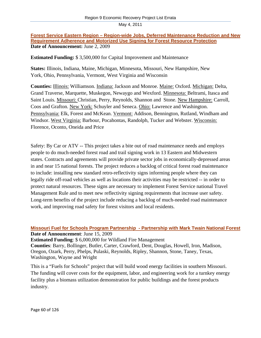#### **Forest Service Eastern Region – Region-wide Jobs, Deferred Maintenance Reduction and New Requirement Adherence and Motorized Use Signing for Forest Resource Protection Date of Announcement:** June 2, 2009

**Estimated Funding:** \$ 3,500,000 for Capital Improvement and Maintenance

**States:** Illinois, Indiana, Maine, Michigan, Minnesota, Missouri, New Hampshire, New York, Ohio, Pennsylvania, Vermont, West Virginia and Wisconsin

**Counties:** Illinois: Williamson. Indiana: Jackson and Monroe. Maine: Oxford. Michigan: Delta, Grand Traverse, Marquette, Muskegon, Newaygo and Wexford. Minnesota: Beltrami, Itasca and Saint Louis. Missouri: Christian, Perry, Reynolds, Shannon and Stone. New Hampshire: Carroll, Coos and Grafton. New York: Schuyler and Seneca. Ohio: Lawrence and Washington. Pennsylvania: Elk, Forest and McKean. Vermont: Addison, Bennington, Rutland, Windham and Windsor. West Virginia: Barbour, Pocahontas, Randolph, Tucker and Webster. Wisconsin: Florence, Oconto, Oneida and Price

Safety: By Car or ATV -- This project takes a bite out of road maintenance needs and employs people to do much-needed forest road and trail signing work in 13 Eastern and Midwestern states. Contracts and agreements will provide private sector jobs in economically-depressed areas in and near 15 national forests. The project reduces a backlog of critical forest road maintenance to include: installing new standard retro-reflectivity signs informing people where they can legally ride off-road vehicles as well as locations their activities may be restricted -- in order to protect natural resources. These signs are necessary to implement Forest Service national Travel Management Rule and to meet new reflectivity signing requirements that increase user safety. Long-term benefits of the project include reducing a backlog of much-needed road maintenance work, and improving road safety for forest visitors and local residents.

**Missouri Fuel for Schools Program Partnership - Partnership with Mark Twain National Forest Date of Announcement**: June 15, 2009

**Estimated Funding**: \$ 6,000,000 for Wildland Fire Management **Counties**: Barry, Bollinger, Butler, Carter, Crawford, Dent, Douglas, Howell, Iron, Madison, Oregon, Ozark, Perry, Phelps, Pulaski, Reynolds, Ripley, Shannon, Stone, Taney, Texas, Washington, Wayne and Wright

This is a "Fuels for Schools" project that will build wood energy facilities in southern Missouri. The funding will cover costs for the equipment, labor, and engineering work for a turnkey energy facility plus a biomass utilization demonstration for public buildings and the forest products industry.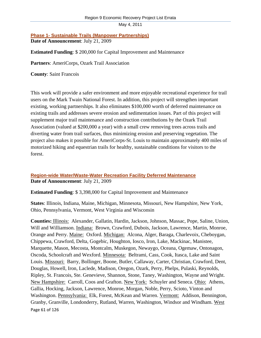## **Phase 1- Sustainable Trails (Manpower Partnerships) Date of Announcement**: July 21, 2009

**Estimated Funding**: \$ 200,000 for Capital Improvement and Maintenance

**Partners**: AmeriCorps, Ozark Trail Association

**County**: Saint Francois

This work will provide a safer environment and more enjoyable recreational experience for trail users on the Mark Twain National Forest. In addition, this project will strengthen important existing, working partnerships. It also eliminates \$100,000 worth of deferred maintenance on existing trails and addresses severe erosion and sedimentation issues. Part of this project will supplement major trail maintenance and construction contributions by the Ozark Trail Association (valued at \$200,000 a year) with a small crew removing trees across trails and diverting water from trail surfaces, thus minimizing erosion and preserving vegetation. The project also makes it possible for AmeriCorps-St. Louis to maintain approximately 400 miles of motorized hiking and equestrian trails for healthy, sustainable conditions for visitors to the forest.

**Region-wide Water/Waste-Water Recreation Facility Deferred Maintenance Date of Announcement**: July 21, 2009

**Estimated Funding**: \$ 3,398,000 for Capital Improvement and Maintenance

**States**: Illinois, Indiana, Maine, Michigan, Minnesota, Missouri, New Hampshire, New York, Ohio, Pennsylvania, Vermont, West Virginia and Wisconsin

Page 61 of 126 **Counties:** Illinois: Alexander, Gallatin, Hardin, Jackson, Johnson, Massac, Pope, Saline, Union, Will and Williamson. Indiana: Brown, Crawford, Dubois, Jackson, Lawrence, Martin, Monroe, Orange and Perry. Maine: Oxford. Michigan: Alcona, Alger, Baraga, Charlevoix, Cheboygan, Chippewa, Crawford, Delta, Gogebic, Houghton, Iosco, Iron, Lake, Mackinac, Manistee, Marquette, Mason, Mecosta, Montcalm, Muskegon, Newaygo, Oceana, Ogemaw, Ontonagon, Oscoda, Schoolcraft and Wexford. Minnesota: Beltrami, Cass, Cook, Itasca, Lake and Saint Louis. Missouri: Barry, Bollinger, Boone, Butler, Callaway, Carter, Christian, Crawford, Dent, Douglas, Howell, Iron, Laclede, Madison, Oregon, Ozark, Perry, Phelps, Pulaski, Reynolds, Ripley, St. Francois, Ste. Genevieve, Shannon, Stone, Taney, Washington, Wayne and Wright. New Hampshire: Carroll, Coos and Grafton. New York: Schuyler and Seneca. Ohio: Athens, Gallia, Hocking, Jackson, Lawrence, Monroe, Morgan, Noble, Perry, Scioto, Vinton and Washington. Pennsylvania: Elk, Forest, McKean and Warren. Vermont: Addison, Bennington, Granby, Granville, Londonderry, Rutland, Warren, Washington, Windsor and Windham. West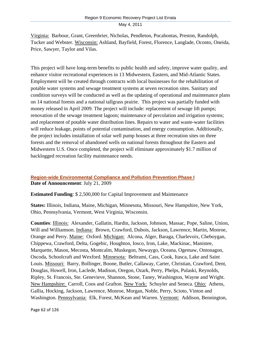Virginia: Barbour, Grant, Greenbrier, Nicholas, Pendleton, Pocahontas, Preston, Randolph, Tucker and Webster. Wisconsin: Ashland, Bayfield, Forest, Florence, Langlade, Oconto, Oneida, Price, Sawyer, Taylor and Vilas.

This project will have long-term benefits to public health and safety, improve water quality, and enhance visitor recreational experiences in 13 Midwestern, Eastern, and Mid-Atlantic States. Employment will be created through contracts with local businesses for the rehabilitation of potable water systems and sewage treatment systems at seven recreation sites. Sanitary and condition surveys will be conducted as well as the updating of operational and maintenance plans on 14 national forests and a national tallgrass prairie. This project was partially funded with money released in April 2009. The project will include: replacement of sewage lift pumps; renovation of the sewage treatment lagoon; maintenance of percolation and irrigation systems; and replacement of potable water distribution lines. Repairs to water and waste-water facilities will reduce leakage, points of potential contamination, and energy consumption. Additionally, the project includes installation of solar well pump houses at three recreation sites on three forests and the removal of abandoned wells on national forests throughout the Eastern and Midwestern U.S. Once completed, the project will eliminate approximately \$1.7 million of backlogged recreation facility maintenance needs.

## **Region-wide Environmental Compliance and Pollution Prevention Phase I Date of Announcement**: July 21, 2009

**Estimated Funding**: \$ 2,500,000 for Capital Improvement and Maintenance

**States:** Illinois, Indiana, Maine, Michigan, Minnesota, Missouri, New Hampshire, New York, Ohio, Pennsylvania, Vermont, West Virginia, Wisconsin.

**Counties**: Illinois: Alexander, Gallatin, Hardin, Jackson, Johnson, Massac, Pope, Saline, Union, Will and Williamson. Indiana: Brown, Crawford, Dubois, Jackson, Lawrence, Martin, Monroe, Orange and Perry. Maine: Oxford. Michigan: Alcona, Alger, Baraga, Charlevoix, Cheboygan, Chippewa, Crawford, Delta, Gogebic, Houghton, Iosco, Iron, Lake, Mackinac, Manistee, Marquette, Mason, Mecosta, Montcalm, Muskegon, Newaygo, Oceana, Ogemaw, Ontonagon, Oscoda, Schoolcraft and Wexford. Minnesota: Beltrami, Cass, Cook, Itasca, Lake and Saint Louis. Missouri: Barry, Bollinger, Boone, Butler, Callaway, Carter, Christian, Crawford, Dent, Douglas, Howell, Iron, Laclede, Madison, Oregon, Ozark, Perry, Phelps, Pulaski, Reynolds, Ripley, St. Francois, Ste. Genevieve, Shannon, Stone, Taney, Washington, Wayne and Wright. New Hampshire: Carroll, Coos and Grafton. New York: Schuyler and Seneca. Ohio: Athens, Gallia, Hocking, Jackson, Lawrence, Monroe, Morgan, Noble, Perry, Scioto, Vinton and Washington. Pennsylvania: Elk, Forest, McKean and Warren. Vermont: Addison, Bennington,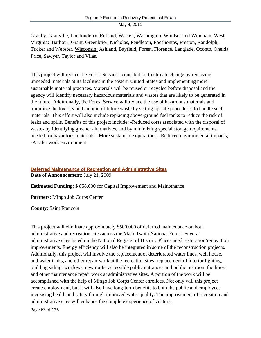Granby, Granville, Londonderry, Rutland, Warren, Washington, Windsor and Windham. West Virginia: Barbour, Grant, Greenbrier, Nicholas, Pendleton, Pocahontas, Preston, Randolph, Tucker and Webster. Wisconsin: Ashland, Bayfield, Forest, Florence, Langlade, Oconto, Oneida, Price, Sawyer, Taylor and Vilas.

This project will reduce the Forest Service's contribution to climate change by removing unneeded materials at its facilities in the eastern United States and implementing more sustainable material practices. Materials will be reused or recycled before disposal and the agency will identify necessary hazardous materials and wastes that are likely to be generated in the future. Additionally, the Forest Service will reduce the use of hazardous materials and minimize the toxicity and amount of future waste by setting up safe procedures to handle such materials. This effort will also include replacing above-ground fuel tanks to reduce the risk of leaks and spills. Benefits of this project include: -Reduced costs associated with the disposal of wastes by identifying greener alternatives, and by minimizing special storage requirements needed for hazardous materials; -More sustainable operations; -Reduced environmental impacts; -A safer work environment.

## **Deferred Maintenance of Recreation and Administrative Sites Date of Announcement**: July 21, 2009

**Estimated Funding**: \$ 858,000 for Capital Improvement and Maintenance

**Partners**: Mingo Job Corps Center

**County**: Saint Francois

This project will eliminate approximately \$500,000 of deferred maintenance on both administrative and recreation sites across the Mark Twain National Forest. Several administrative sites listed on the National Register of Historic Places need restoration/renovation improvements. Energy efficiency will also be integrated in some of the reconstruction projects. Additionally, this project will involve the replacement of deteriorated water lines, well house, and water tanks, and other repair work at the recreation sites; replacement of interior lighting; building siding, windows, new roofs; accessible public entrances and public restroom facilities; and other maintenance repair work at administrative sites. A portion of the work will be accomplished with the help of Mingo Job Corps Center enrollees. Not only will this project create employment, but it will also have long-term benefits to both the public and employees increasing health and safety through improved water quality. The improvement of recreation and administrative sites will enhance the complete experience of visitors.

Page 63 of 126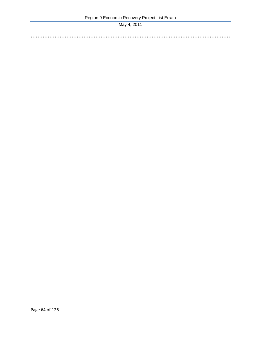**………………………………………………………………………………………………………**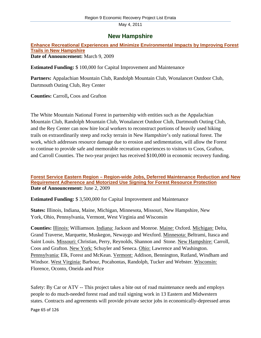# **New Hampshire**

**Enhance Recreational Experiences and Minimize Environmental Impacts by Improving Forest Trails in New Hampshire Date of Announcement:** March 9, 2009

**Estimated Funding:** \$ 100,000 for Capital Improvement and Maintenance

**Partners:** Appalachian Mountain Club, Randolph Mountain Club, Wonalancet Outdoor Club, Dartmouth Outing Club, Rey Center

**Counties:** Carroll**,** Coos and Grafton

The White Mountain National Forest in partnership with entities such as the Appalachian Mountain Club, Randolph Mountain Club, Wonalancet Outdoor Club, Dartmouth Outing Club, and the Rey Center can now hire local workers to reconstruct portions of heavily used hiking trails on extraordinarily steep and rocky terrain in New Hampshire's only national forest. The work, which addresses resource damage due to erosion and sedimentation, will allow the Forest to continue to provide safe and memorable recreation experiences to visitors to Coos, Grafton, and Carroll Counties. The two-year project has received \$100,000 in economic recovery funding.

**Forest Service Eastern Region – Region-wide Jobs, Deferred Maintenance Reduction and New Requirement Adherence and Motorized Use Signing for Forest Resource Protection Date of Announcement:** June 2, 2009

**Estimated Funding:** \$ 3,500,000 for Capital Improvement and Maintenance

**States:** Illinois, Indiana, Maine, Michigan, Minnesota, Missouri, New Hampshire, New York, Ohio, Pennsylvania, Vermont, West Virginia and Wisconsin

**Counties:** Illinois: Williamson. Indiana: Jackson and Monroe. Maine: Oxford. Michigan: Delta, Grand Traverse, Marquette, Muskegon, Newaygo and Wexford. Minnesota: Beltrami, Itasca and Saint Louis. Missouri: Christian, Perry, Reynolds, Shannon and Stone. New Hampshire: Carroll, Coos and Grafton. New York: Schuyler and Seneca. Ohio: Lawrence and Washington. Pennsylvania: Elk, Forest and McKean. Vermont: Addison, Bennington, Rutland, Windham and Windsor. West Virginia: Barbour, Pocahontas, Randolph, Tucker and Webster. Wisconsin: Florence, Oconto, Oneida and Price

Safety: By Car or ATV -- This project takes a bite out of road maintenance needs and employs people to do much-needed forest road and trail signing work in 13 Eastern and Midwestern states. Contracts and agreements will provide private sector jobs in economically-depressed areas

Page 65 of 126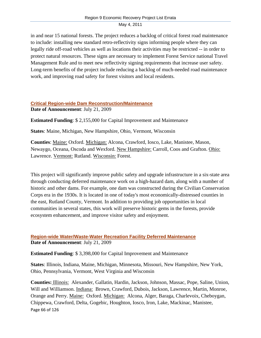in and near 15 national forests. The project reduces a backlog of critical forest road maintenance to include: installing new standard retro-reflectivity signs informing people where they can legally ride off-road vehicles as well as locations their activities may be restricted -- in order to protect natural resources. These signs are necessary to implement Forest Service national Travel Management Rule and to meet new reflectivity signing requirements that increase user safety. Long-term benefits of the project include reducing a backlog of much-needed road maintenance work, and improving road safety for forest visitors and local residents.

### **Critical Region-wide Dam Reconstruction/Maintenance Date of Announcement**: July 21, 2009

**Estimated Funding**: \$ 2,155,000 for Capital Improvement and Maintenance

**States**: Maine, Michigan, New Hampshire, Ohio, Vermont, Wisconsin

**Counties**: Maine: Oxford. Michigan: Alcona, Crawford, Iosco, Lake, Manistee, Mason, Newaygo, Oceana, Oscoda and Wexford. New Hampshire: Carroll, Coos and Grafton. Ohio: Lawrence. Vermont: Rutland. Wisconsin: Forest.

This project will significantly improve public safety and upgrade infrastructure in a six-state area through conducting deferred maintenance work on a high-hazard dam, along with a number of historic and other dams. For example, one dam was constructed during the Civilian Conservation Corps era in the 1930s. It is located in one of today's most economically-distressed counties in the east, Rutland County, Vermont. In addition to providing job opportunities in local communities in several states, this work will preserve historic gems in the forests, provide ecosystem enhancement, and improve visitor safety and enjoyment.

## **Region-wide Water/Waste-Water Recreation Facility Deferred Maintenance Date of Announcement**: July 21, 2009

**Estimated Funding**: \$ 3,398,000 for Capital Improvement and Maintenance

**States**: Illinois, Indiana, Maine, Michigan, Minnesota, Missouri, New Hampshire, New York, Ohio, Pennsylvania, Vermont, West Virginia and Wisconsin

Page 66 of 126 **Counties:** Illinois: Alexander, Gallatin, Hardin, Jackson, Johnson, Massac, Pope, Saline, Union, Will and Williamson. Indiana: Brown, Crawford, Dubois, Jackson, Lawrence, Martin, Monroe, Orange and Perry. Maine: Oxford. Michigan: Alcona, Alger, Baraga, Charlevoix, Cheboygan, Chippewa, Crawford, Delta, Gogebic, Houghton, Iosco, Iron, Lake, Mackinac, Manistee,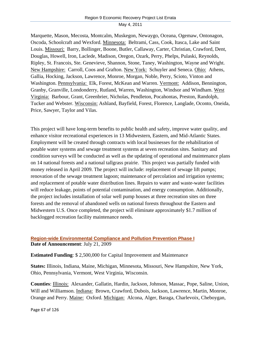Marquette, Mason, Mecosta, Montcalm, Muskegon, Newaygo, Oceana, Ogemaw, Ontonagon, Oscoda, Schoolcraft and Wexford. Minnesota: Beltrami, Cass, Cook, Itasca, Lake and Saint Louis. Missouri: Barry, Bollinger, Boone, Butler, Callaway, Carter, Christian, Crawford, Dent, Douglas, Howell, Iron, Laclede, Madison, Oregon, Ozark, Perry, Phelps, Pulaski, Reynolds, Ripley, St. Francois, Ste. Genevieve, Shannon, Stone, Taney, Washington, Wayne and Wright. New Hampshire: Carroll, Coos and Grafton. New York: Schuyler and Seneca. Ohio: Athens, Gallia, Hocking, Jackson, Lawrence, Monroe, Morgan, Noble, Perry, Scioto, Vinton and Washington. Pennsylvania: Elk, Forest, McKean and Warren. Vermont: Addison, Bennington, Granby, Granville, Londonderry, Rutland, Warren, Washington, Windsor and Windham. West Virginia: Barbour, Grant, Greenbrier, Nicholas, Pendleton, Pocahontas, Preston, Randolph, Tucker and Webster. Wisconsin: Ashland, Bayfield, Forest, Florence, Langlade, Oconto, Oneida, Price, Sawyer, Taylor and Vilas.

This project will have long-term benefits to public health and safety, improve water quality, and enhance visitor recreational experiences in 13 Midwestern, Eastern, and Mid-Atlantic States. Employment will be created through contracts with local businesses for the rehabilitation of potable water systems and sewage treatment systems at seven recreation sites. Sanitary and condition surveys will be conducted as well as the updating of operational and maintenance plans on 14 national forests and a national tallgrass prairie. This project was partially funded with money released in April 2009. The project will include: replacement of sewage lift pumps; renovation of the sewage treatment lagoon; maintenance of percolation and irrigation systems; and replacement of potable water distribution lines. Repairs to water and waste-water facilities will reduce leakage, points of potential contamination, and energy consumption. Additionally, the project includes installation of solar well pump houses at three recreation sites on three forests and the removal of abandoned wells on national forests throughout the Eastern and Midwestern U.S. Once completed, the project will eliminate approximately \$1.7 million of backlogged recreation facility maintenance needs.

## **Region-wide Environmental Compliance and Pollution Prevention Phase I Date of Announcement**: July 21, 2009

**Estimated Funding**: \$ 2,500,000 for Capital Improvement and Maintenance

**States:** Illinois, Indiana, Maine, Michigan, Minnesota, Missouri, New Hampshire, New York, Ohio, Pennsylvania, Vermont, West Virginia, Wisconsin.

**Counties**: Illinois: Alexander, Gallatin, Hardin, Jackson, Johnson, Massac, Pope, Saline, Union, Will and Williamson. Indiana: Brown, Crawford, Dubois, Jackson, Lawrence, Martin, Monroe, Orange and Perry. Maine: Oxford. Michigan: Alcona, Alger, Baraga, Charlevoix, Cheboygan,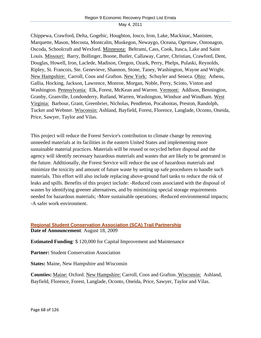Chippewa, Crawford, Delta, Gogebic, Houghton, Iosco, Iron, Lake, Mackinac, Manistee, Marquette, Mason, Mecosta, Montcalm, Muskegon, Newaygo, Oceana, Ogemaw, Ontonagon, Oscoda, Schoolcraft and Wexford. Minnesota: Beltrami, Cass, Cook, Itasca, Lake and Saint Louis. Missouri: Barry, Bollinger, Boone, Butler, Callaway, Carter, Christian, Crawford, Dent, Douglas, Howell, Iron, Laclede, Madison, Oregon, Ozark, Perry, Phelps, Pulaski, Reynolds, Ripley, St. Francois, Ste. Genevieve, Shannon, Stone, Taney, Washington, Wayne and Wright. New Hampshire: Carroll, Coos and Grafton. New York: Schuyler and Seneca. Ohio: Athens, Gallia, Hocking, Jackson, Lawrence, Monroe, Morgan, Noble, Perry, Scioto, Vinton and Washington. Pennsylvania: Elk, Forest, McKean and Warren. Vermont: Addison, Bennington, Granby, Granville, Londonderry, Rutland, Warren, Washington, Windsor and Windham. West Virginia: Barbour, Grant, Greenbrier, Nicholas, Pendleton, Pocahontas, Preston, Randolph, Tucker and Webster. Wisconsin: Ashland, Bayfield, Forest, Florence, Langlade, Oconto, Oneida, Price, Sawyer, Taylor and Vilas.

This project will reduce the Forest Service's contribution to climate change by removing unneeded materials at its facilities in the eastern United States and implementing more sustainable material practices. Materials will be reused or recycled before disposal and the agency will identify necessary hazardous materials and wastes that are likely to be generated in the future. Additionally, the Forest Service will reduce the use of hazardous materials and minimize the toxicity and amount of future waste by setting up safe procedures to handle such materials. This effort will also include replacing above-ground fuel tanks to reduce the risk of leaks and spills. Benefits of this project include: -Reduced costs associated with the disposal of wastes by identifying greener alternatives, and by minimizing special storage requirements needed for hazardous materials; -More sustainable operations; -Reduced environmental impacts; -A safer work environment.

#### **Regional Student Conservation Association (SCA) Trail Partnership Date of Announcement**: August 18, 2009

**Estimated Funding**: \$ 120,000 for Capital Improvement and Maintenance

**Partner:** Student Conservation Association

**States:** Maine, New Hampshire and Wisconsin

**Counties:** Maine: Oxford. New Hampshire: Carroll, Coos and Grafton. Wisconsin: Ashland, Bayfield, Florence, Forest, Langlade, Oconto, Oneida, Price, Sawyer, Taylor and Vilas.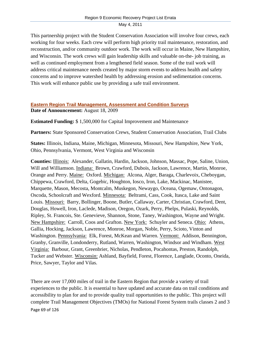This partnership project with the Student Conservation Association will involve four crews, each working for four weeks. Each crew will perform high priority trail maintenance, restoration, and reconstruction, and/or community outdoor work. The work will occur in Maine, New Hampshire, and Wisconsin. The work crews will gain leadership skills and valuable on-the- job training, as well as continued employment from a lengthened field season. Some of the trail work will address critical maintenance needs created by major storm events to address health and safety concerns and to improve watershed health by addressing erosion and sedimentation concerns. This work will enhance public use by providing a safe trail environment.

## **Eastern Region Trail Management, Assessment and Condition Surveys Date of Announcement:** August 18, 2009

**Estimated Funding:** \$ 1,500,000 for Capital Improvement and Maintenance

**Partners:** State Sponsored Conservation Crews, Student Conservation Association, Trail Clubs

**States:** Illinois, Indiana, Maine, Michigan, Minnesota, Missouri, New Hampshire, New York, Ohio, Pennsylvania, Vermont, West Virginia and Wisconsin

**Counties:** Illinois: Alexander, Gallatin, Hardin, Jackson, Johnson, Massac, Pope, Saline, Union, Will and Williamson. Indiana: Brown, Crawford, Dubois, Jackson, Lawrence, Martin, Monroe, Orange and Perry. Maine: Oxford. Michigan: Alcona, Alger, Baraga, Charlevoix, Cheboygan, Chippewa, Crawford, Delta, Gogebic, Houghton, Iosco, Iron, Lake, Mackinac, Manistee, Marquette, Mason, Mecosta, Montcalm, Muskegon, Newaygo, Oceana, Ogemaw, Ontonagon, Oscoda, Schoolcraft and Wexford. Minnesota: Beltrami, Cass, Cook, Itasca, Lake and Saint Louis. Missouri: Barry, Bollinger, Boone, Butler, Callaway, Carter, Christian, Crawford, Dent, Douglas, Howell, Iron, Laclede, Madison, Oregon, Ozark, Perry, Phelps, Pulaski, Reynolds, Ripley, St. Francois, Ste. Genevieve, Shannon, Stone, Taney, Washington, Wayne and Wright. New Hampshire: Carroll, Coos and Grafton. New York: Schuyler and Seneca. Ohio: Athens, Gallia, Hocking, Jackson, Lawrence, Monroe, Morgan, Noble, Perry, Scioto, Vinton and Washington. Pennsylvania: Elk, Forest, McKean and Warren. Vermont: Addison, Bennington, Granby, Granville, Londonderry, Rutland, Warren, Washington, Windsor and Windham. West Virginia: Barbour, Grant, Greenbrier, Nicholas, Pendleton, Pocahontas, Preston, Randolph, Tucker and Webster. Wisconsin: Ashland, Bayfield, Forest, Florence, Langlade, Oconto, Oneida, Price, Sawyer, Taylor and Vilas.

Page 69 of 126 There are over 17,000 miles of trail in the Eastern Region that provide a variety of trail experiences to the public. It is essential to have updated and accurate data on trail conditions and accessibility to plan for and to provide quality trail opportunities to the public. This project will complete Trail Management Objectives (TMOs) for National Forest System trails classes 2 and 3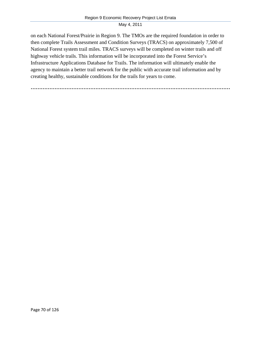on each National Forest/Prairie in Region 9. The TMOs are the required foundation in order to then complete Trails Assessment and Condition Surveys (TRACS) on approximately 7,500 of National Forest system trail miles. TRACS surveys will be completed on winter trails and off highway vehicle trails. This information will be incorporated into the Forest Service's Infrastructure Applications Database for Trails. The information will ultimately enable the agency to maintain a better trail network for the public with accurate trail information and by creating healthy, sustainable conditions for the trails for years to come.

**………………………………………………………………………………………………………**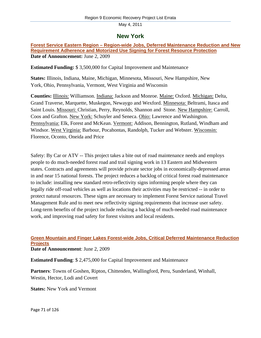# **New York**

#### **Forest Service Eastern Region – Region-wide Jobs, Deferred Maintenance Reduction and New Requirement Adherence and Motorized Use Signing for Forest Resource Protection Date of Announcement:** June 2, 2009

**Estimated Funding:** \$ 3,500,000 for Capital Improvement and Maintenance

**States:** Illinois, Indiana, Maine, Michigan, Minnesota, Missouri, New Hampshire, New York, Ohio, Pennsylvania, Vermont, West Virginia and Wisconsin

**Counties:** Illinois: Williamson. Indiana: Jackson and Monroe. Maine: Oxford. Michigan: Delta, Grand Traverse, Marquette, Muskegon, Newaygo and Wexford. Minnesota: Beltrami, Itasca and Saint Louis. Missouri: Christian, Perry, Reynolds, Shannon and Stone. New Hampshire: Carroll, Coos and Grafton. New York: Schuyler and Seneca. Ohio: Lawrence and Washington. Pennsylvania: Elk, Forest and McKean. Vermont: Addison, Bennington, Rutland, Windham and Windsor. West Virginia: Barbour, Pocahontas, Randolph, Tucker and Webster. Wisconsin: Florence, Oconto, Oneida and Price

Safety: By Car or ATV -- This project takes a bite out of road maintenance needs and employs people to do much-needed forest road and trail signing work in 13 Eastern and Midwestern states. Contracts and agreements will provide private sector jobs in economically-depressed areas in and near 15 national forests. The project reduces a backlog of critical forest road maintenance to include: installing new standard retro-reflectivity signs informing people where they can legally ride off-road vehicles as well as locations their activities may be restricted -- in order to protect natural resources. These signs are necessary to implement Forest Service national Travel Management Rule and to meet new reflectivity signing requirements that increase user safety. Long-term benefits of the project include reducing a backlog of much-needed road maintenance work, and improving road safety for forest visitors and local residents.

# **Green Mountain and Finger Lakes Forest-wide Jobs, Critical Deferred Maintenance Reduction Projects**

**Date of Announcement**: June 2, 2009

**Estimated Funding**: \$ 2,475,000 for Capital Improvement and Maintenance

**Partners**: Towns of Goshen, Ripton, Chittenden, Wallingford, Peru, Sunderland, Winhall, Westin, Hector, Lodi and Covert

**States:** New York and Vermont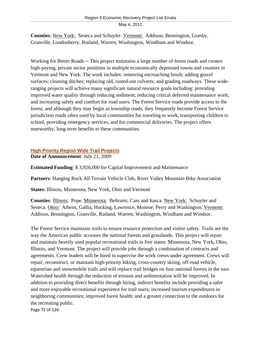**Counties**: New York: Seneca and Schuyler. Vermont: Addison, Bennington, Granby, Granville, Londonberry, Rutland, Warren, Washington, Windham and Windsor.

Working for Better Roads -- This project maintains a large number of forest roads and creates high-paying, private sector positions in multiple economically depressed towns and counties in Vermont and New York. The work includes: removing encroaching brush; adding gravel surfaces; cleaning ditches; replacing old, rusted-out culverts; and grading roadways. These wideranging projects will achieve many significant natural resource goals including: providing improved water quality through reducing sediment; reducing critical deferred maintenance work; and increasing safety and comfort for road users. The Forest Service roads provide access to the forest, and although they may begin as township roads, they frequently become Forest Service jurisdiction roads often used by local communities for traveling to work, transporting children to school, providing emergency services, and for commercial deliveries. The project offers noteworthy, long-term benefits to these communities.

# **High Priority Region Wide Trail Projects**

**Date of Announcement**: July 21, 2009

**Estimated Funding**: \$ 3,926,000 for Capital Improvement and Maintenance

**Partners**: Hanging Rock All Terrain Vehicle Club, River Valley Mountain Bike Association

**States:** Illinois, Minnesota, New York, Ohio and Vermont

**Counties**: Illinois: Pope. Minnesota: Beltrami, Cass and Itasca. New York: Schuyler and Seneca. Ohio: Athens, Gallia, Hocking, Lawrence, Monroe, Perry and Washington. Vermont: Addison, Bennington, Granville, Rutland, Warren, Washington, Windham and Windsor.

Page 72 of 126 The Forest Service maintains trails to ensure resource protection and visitor safety. Trails are the way the American public accesses the national forests and grasslands. This project will repair and maintain heavily used popular recreational trails in five states: Minnesota, New York, Ohio, Illinois, and Vermont. The project will provide jobs through a combination of contracts and agreements. Crew leaders will be hired to supervise the work crews under agreement. Crews will repair, reconstruct, or maintain high-priority hiking, cross-country skiing, off-road vehicle, equestrian and snowmobile trails and will replace trail bridges on four national forests in the east. Watershed health through the reduction of erosion and sedimentation will be improved. In addition to providing direct benefits through hiring, indirect benefits include providing a safer and more enjoyable recreational experience for trail users; increased tourism expenditures in neighboring communities; improved forest health; and a greater connection to the outdoors for the recreating public.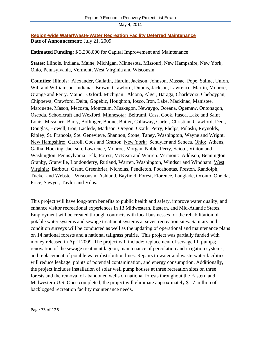## **Region-wide Water/Waste-Water Recreation Facility Deferred Maintenance Date of Announcement**: July 21, 2009

**Estimated Funding**: \$ 3,398,000 for Capital Improvement and Maintenance

**States**: Illinois, Indiana, Maine, Michigan, Minnesota, Missouri, New Hampshire, New York, Ohio, Pennsylvania, Vermont, West Virginia and Wisconsin

**Counties:** Illinois: Alexander, Gallatin, Hardin, Jackson, Johnson, Massac, Pope, Saline, Union, Will and Williamson. Indiana: Brown, Crawford, Dubois, Jackson, Lawrence, Martin, Monroe, Orange and Perry. Maine: Oxford. Michigan: Alcona, Alger, Baraga, Charlevoix, Cheboygan, Chippewa, Crawford, Delta, Gogebic, Houghton, Iosco, Iron, Lake, Mackinac, Manistee, Marquette, Mason, Mecosta, Montcalm, Muskegon, Newaygo, Oceana, Ogemaw, Ontonagon, Oscoda, Schoolcraft and Wexford. Minnesota: Beltrami, Cass, Cook, Itasca, Lake and Saint Louis. Missouri: Barry, Bollinger, Boone, Butler, Callaway, Carter, Christian, Crawford, Dent, Douglas, Howell, Iron, Laclede, Madison, Oregon, Ozark, Perry, Phelps, Pulaski, Reynolds, Ripley, St. Francois, Ste. Genevieve, Shannon, Stone, Taney, Washington, Wayne and Wright. New Hampshire: Carroll, Coos and Grafton. New York: Schuyler and Seneca. Ohio: Athens, Gallia, Hocking, Jackson, Lawrence, Monroe, Morgan, Noble, Perry, Scioto, Vinton and Washington. Pennsylvania: Elk, Forest, McKean and Warren. Vermont: Addison, Bennington, Granby, Granville, Londonderry, Rutland, Warren, Washington, Windsor and Windham. West Virginia: Barbour, Grant, Greenbrier, Nicholas, Pendleton, Pocahontas, Preston, Randolph, Tucker and Webster. Wisconsin: Ashland, Bayfield, Forest, Florence, Langlade, Oconto, Oneida, Price, Sawyer, Taylor and Vilas.

This project will have long-term benefits to public health and safety, improve water quality, and enhance visitor recreational experiences in 13 Midwestern, Eastern, and Mid-Atlantic States. Employment will be created through contracts with local businesses for the rehabilitation of potable water systems and sewage treatment systems at seven recreation sites. Sanitary and condition surveys will be conducted as well as the updating of operational and maintenance plans on 14 national forests and a national tallgrass prairie. This project was partially funded with money released in April 2009. The project will include: replacement of sewage lift pumps; renovation of the sewage treatment lagoon; maintenance of percolation and irrigation systems; and replacement of potable water distribution lines. Repairs to water and waste-water facilities will reduce leakage, points of potential contamination, and energy consumption. Additionally, the project includes installation of solar well pump houses at three recreation sites on three forests and the removal of abandoned wells on national forests throughout the Eastern and Midwestern U.S. Once completed, the project will eliminate approximately \$1.7 million of backlogged recreation facility maintenance needs.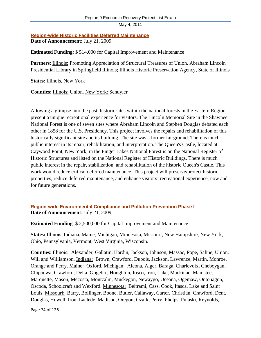## **Region-wide Historic Facilities Deferred Maintenance Date of Announcement**: July 21, 2009

**Estimated Funding**: \$ 514,000 for Capital Improvement and Maintenance

Partners: Illinois: Promoting Appreciation of Structural Treasures of Union, Abraham Lincoln Presidential Library in Springfield Illinois; Illinois Historic Preservation Agency, State of Illinois

**States**: Illinois, New York

**Counties**: Illinois: Union. New York: Schuyler

Allowing a glimpse into the past, historic sites within the national forests in the Eastern Region present a unique recreational experience for visitors. The Lincoln Memorial Site in the Shawnee National Forest is one of seven sites where Abraham Lincoln and Stephen Douglas debated each other in 1858 for the U.S. Presidency. This project involves the repairs and rehabilitation of this historically significant site and its building. The site was a former fairground. There is much public interest in its repair, rehabilitation, and interpretation. The Queen's Castle, located at Caywood Point, New York, in the Finger Lakes National Forest is on the National Register of Historic Structures and listed on the National Register of Historic Buildings. There is much public interest in the repair, stabilization, and rehabilitation of the historic Queen's Castle. This work would reduce critical deferred maintenance. This project will preserve/protect historic properties, reduce deferred maintenance, and enhance visitors' recreational experience, now and for future generations.

# **Region-wide Environmental Compliance and Pollution Prevention Phase I Date of Announcement**: July 21, 2009

**Estimated Funding**: \$ 2,500,000 for Capital Improvement and Maintenance

**States:** Illinois, Indiana, Maine, Michigan, Minnesota, Missouri, New Hampshire, New York, Ohio, Pennsylvania, Vermont, West Virginia, Wisconsin.

**Counties**: Illinois: Alexander, Gallatin, Hardin, Jackson, Johnson, Massac, Pope, Saline, Union, Will and Williamson. Indiana: Brown, Crawford, Dubois, Jackson, Lawrence, Martin, Monroe, Orange and Perry. Maine: Oxford. Michigan: Alcona, Alger, Baraga, Charlevoix, Cheboygan, Chippewa, Crawford, Delta, Gogebic, Houghton, Iosco, Iron, Lake, Mackinac, Manistee, Marquette, Mason, Mecosta, Montcalm, Muskegon, Newaygo, Oceana, Ogemaw, Ontonagon, Oscoda, Schoolcraft and Wexford. Minnesota: Beltrami, Cass, Cook, Itasca, Lake and Saint Louis. Missouri: Barry, Bollinger, Boone, Butler, Callaway, Carter, Christian, Crawford, Dent, Douglas, Howell, Iron, Laclede, Madison, Oregon, Ozark, Perry, Phelps, Pulaski, Reynolds,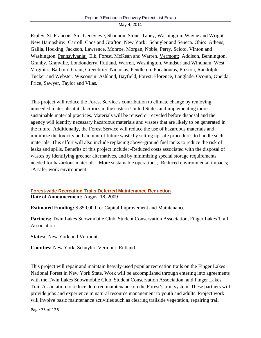#### Region 9 Economic Recovery Project List Errata

#### May 4, 2011

Ripley, St. Francois, Ste. Genevieve, Shannon, Stone, Taney, Washington, Wayne and Wright. New Hampshire: Carroll, Coos and Grafton. New York: Schuyler and Seneca. Ohio: Athens, Gallia, Hocking, Jackson, Lawrence, Monroe, Morgan, Noble, Perry, Scioto, Vinton and Washington. Pennsylvania: Elk, Forest, McKean and Warren. Vermont: Addison, Bennington, Granby, Granville, Londonderry, Rutland, Warren, Washington, Windsor and Windham. West Virginia: Barbour, Grant, Greenbrier, Nicholas, Pendleton, Pocahontas, Preston, Randolph, Tucker and Webster. Wisconsin: Ashland, Bayfield, Forest, Florence, Langlade, Oconto, Oneida, Price, Sawyer, Taylor and Vilas.

This project will reduce the Forest Service's contribution to climate change by removing unneeded materials at its facilities in the eastern United States and implementing more sustainable material practices. Materials will be reused or recycled before disposal and the agency will identify necessary hazardous materials and wastes that are likely to be generated in the future. Additionally, the Forest Service will reduce the use of hazardous materials and minimize the toxicity and amount of future waste by setting up safe procedures to handle such materials. This effort will also include replacing above-ground fuel tanks to reduce the risk of leaks and spills. Benefits of this project include: -Reduced costs associated with the disposal of wastes by identifying greener alternatives, and by minimizing special storage requirements needed for hazardous materials; -More sustainable operations; -Reduced environmental impacts; -A safer work environment.

## **Forest-wide Recreation Trails Deferred Maintenance Reduction Date of Announcement:** August 18, 2009

**Estimated Funding:** \$ 850,000 for Capital Improvement and Maintenance

**Partners:** Twin Lakes Snowmobile Club, Student Conservation Association, Finger Lakes Trail Association

**States:** New York and Vermont

**Counties:** New York: Schuyler. Vermont: Rutland.

This project will repair and maintain heavily-used popular recreation trails on the Finger Lakes National Forest in New York State. Work will be accomplished through entering into agreements with the Twin Lakes Snowmobile Club, Student Conservation Association, and Finger Lakes Trail Association to reduce deferred maintenance on the Forest's trail system. These partners will provide jobs and experience in natural resource management to youth and adults. Project work will involve basic maintenance activities such as clearing trailside vegetation, repairing trail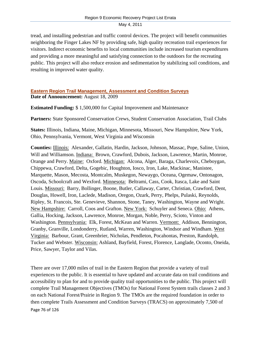tread, and installing pedestrian and traffic control devices. The project will benefit communities neighboring the Finger Lakes NF by providing safe, high quality recreation trail experiences for visitors. Indirect economic benefits to local communities include increased tourism expenditures and providing a more meaningful and satisfying connection to the outdoors for the recreating public. This project will also reduce erosion and sedimentation by stabilizing soil conditions, and resulting in improved water quality.

# **Eastern Region Trail Management, Assessment and Condition Surveys Date of Announcement:** August 18, 2009

**Estimated Funding:** \$ 1,500,000 for Capital Improvement and Maintenance

**Partners:** State Sponsored Conservation Crews, Student Conservation Association, Trail Clubs

**States:** Illinois, Indiana, Maine, Michigan, Minnesota, Missouri, New Hampshire, New York, Ohio, Pennsylvania, Vermont, West Virginia and Wisconsin

**Counties:** Illinois: Alexander, Gallatin, Hardin, Jackson, Johnson, Massac, Pope, Saline, Union, Will and Williamson. Indiana: Brown, Crawford, Dubois, Jackson, Lawrence, Martin, Monroe, Orange and Perry. Maine: Oxford. Michigan: Alcona, Alger, Baraga, Charlevoix, Cheboygan, Chippewa, Crawford, Delta, Gogebic, Houghton, Iosco, Iron, Lake, Mackinac, Manistee, Marquette, Mason, Mecosta, Montcalm, Muskegon, Newaygo, Oceana, Ogemaw, Ontonagon, Oscoda, Schoolcraft and Wexford. Minnesota: Beltrami, Cass, Cook, Itasca, Lake and Saint Louis. Missouri: Barry, Bollinger, Boone, Butler, Callaway, Carter, Christian, Crawford, Dent, Douglas, Howell, Iron, Laclede, Madison, Oregon, Ozark, Perry, Phelps, Pulaski, Reynolds, Ripley, St. Francois, Ste. Genevieve, Shannon, Stone, Taney, Washington, Wayne and Wright. New Hampshire: Carroll, Coos and Grafton. New York: Schuyler and Seneca. Ohio: Athens, Gallia, Hocking, Jackson, Lawrence, Monroe, Morgan, Noble, Perry, Scioto, Vinton and Washington. Pennsylvania: Elk, Forest, McKean and Warren. Vermont: Addison, Bennington, Granby, Granville, Londonderry, Rutland, Warren, Washington, Windsor and Windham. West Virginia: Barbour, Grant, Greenbrier, Nicholas, Pendleton, Pocahontas, Preston, Randolph, Tucker and Webster. Wisconsin: Ashland, Bayfield, Forest, Florence, Langlade, Oconto, Oneida, Price, Sawyer, Taylor and Vilas.

Page 76 of 126 There are over 17,000 miles of trail in the Eastern Region that provide a variety of trail experiences to the public. It is essential to have updated and accurate data on trail conditions and accessibility to plan for and to provide quality trail opportunities to the public. This project will complete Trail Management Objectives (TMOs) for National Forest System trails classes 2 and 3 on each National Forest/Prairie in Region 9. The TMOs are the required foundation in order to then complete Trails Assessment and Condition Surveys (TRACS) on approximately 7,500 of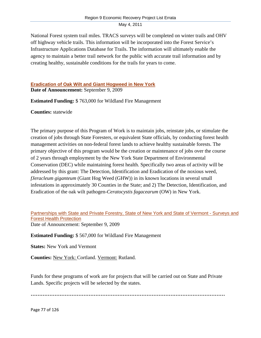National Forest system trail miles. TRACS surveys will be completed on winter trails and OHV off highway vehicle trails. This information will be incorporated into the Forest Service's Infrastructure Applications Database for Trails. The information will ultimately enable the agency to maintain a better trail network for the public with accurate trail information and by creating healthy, sustainable conditions for the trails for years to come.

# **Eradication of Oak Wilt and Giant Hogweed in New York Date of Announcement:** September 9, 2009

**Estimated Funding:** \$ 763,000 for Wildland Fire Management

**Counties:** statewide

The primary purpose of this Program of Work is to maintain jobs, reinstate jobs, or stimulate the creation of jobs through State Foresters, or equivalent State officials, by conducting forest health management activities on non-federal forest lands to achieve healthy sustainable forests. The primary objective of this program would be the creation or maintenance of jobs over the course of 2 years through employment by the New York State Department of Environmental Conservation (DEC) while maintaining forest health. Specifically two areas of activity will be addressed by this grant: The Detection, Identification and Eradication of the noxious weed, *fJeracleum giganteum* (Giant Hog Weed (GHW)) in its known locations in several small infestations in approximately 30 Counties in the State; and 2) The Detection, Identification, and Eradication of the oak wilt pathogen-*Ceratocystis fagacearum* (OW) in New York.

Partnerships with State and Private Forestry, State of New York and State of Vermont - Surveys and **Forest Health Protection** Date of Announcement: September 9, 2009

**Estimated Funding:** \$ 567,000 for Wildland Fire Management

**States:** New York and Vermont

**Counties:** New York: Cortland. Vermont: Rutland.

Funds for these programs of work are for projects that will be carried out on State and Private Lands. Specific projects will be selected by the states.

**……………………………………………………………………………………………………** 

Page 77 of 126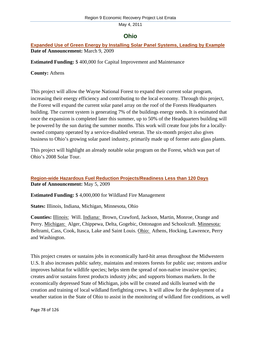# **Ohio**

# **Expanded Use of Green Energy by Installing Solar Panel Systems, Leading by Example Date of Announcement:** March 9, 2009

**Estimated Funding:** \$ 400,000 for Capital Improvement and Maintenance

**County:** Athens

This project will allow the Wayne National Forest to expand their current solar program, increasing their energy efficiency and contributing to the local economy. Through this project, the Forest will expand the current solar panel array on the roof of the Forests Headquarters building. The current system is generating 7% of the buildings energy needs. It is estimated that once the expansion is completed later this summer, up to 50% of the Headquarters building will be powered by the sun during the summer months. This work will create four jobs for a locallyowned company operated by a service-disabled veteran. The six-month project also gives business to Ohio's growing solar panel industry, primarily made up of former auto glass plants.

This project will highlight an already notable solar program on the Forest, which was part of Ohio's 2008 Solar Tour.

# **Region-wide Hazardous Fuel Reduction Projects/Readiness Less than 120 Days Date of Announcement:** May 5, 2009

**Estimated Funding:** \$ 4,000,000 for Wildland Fire Management

**States:** Illinois, Indiana, Michigan, Minnesota, Ohio

**Counties:** Illinois: Will. Indiana: Brown, Crawford, Jackson, Martin, Monroe, Orange and Perry. Michigan: Alger, Chippewa, Delta, Gogebic, Ontonagon and Schoolcraft. Minnesota: Beltrami, Cass, Cook, Itasca, Lake and Saint Louis. Ohio: Athens, Hocking, Lawrence, Perry and Washington.

This project creates or sustains jobs in economically hard-hit areas throughout the Midwestern U.S. It also increases public safety, maintains and restores forests for public use; restores and/or improves habitat for wildlife species; helps stem the spread of non-native invasive species; creates and/or sustains forest products industry jobs; and supports biomass markets. In the economically depressed State of Michigan, jobs will be created and skills learned with the creation and training of local wildland firefighting crews. It will allow for the deployment of a weather station in the State of Ohio to assist in the monitoring of wildland fire conditions, as well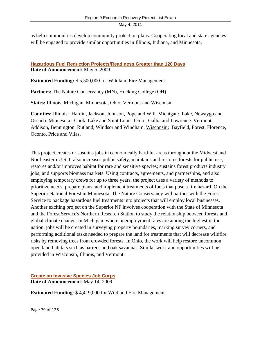as help communities develop community protection plans. Cooperating local and state agencies will be engaged to provide similar opportunities in Illinois, Indiana, and Minnesota.

## **Hazardous Fuel Reduction Projects/Readiness Greater than 120 Days Date of Announcement:** May 5, 2009

**Estimated Funding:** \$ 5,500,000 for Wildland Fire Management

**Partners:** The Nature Conservancy (MN), Hocking College (OH)

**States:** Illinois, Michigan, Minnesota, Ohio, Vermont and Wisconsin

**Counties:** Illinois: Hardin, Jackson, Johnson, Pope and Will. Michigan: Lake, Newaygo and Oscoda. Minnesota: Cook, Lake and Saint Louis. Ohio: Gallia and Lawrence. Vermont: Addison, Bennington, Rutland, Windsor and Windham. Wisconsin: Bayfield, Forest, Florence, Oconto, Price and Vilas.

This project creates or sustains jobs in economically hard-hit areas throughout the Midwest and Northeastern U.S. It also increases public safety; maintains and restores forests for public use; restores and/or improves habitat for rare and sensitive species; sustains forest products industry jobs; and supports biomass markets. Using contracts, agreements, and partnerships, and also employing temporary crews for up to three years, the project uses a variety of methods to prioritize needs, prepare plans, and implement treatments of fuels that pose a fire hazard. On the Superior National Forest in Minnesota, The Nature Conservancy will partner with the Forest Service to package hazardous fuel treatments into projects that will employ local businesses. Another exciting project on the Superior NF involves cooperation with the State of Minnesota and the Forest Service's Northern Research Station to study the relationship between forests and global climate change. In Michigan, where unemployment rates are among the highest in the nation, jobs will be created in surveying property boundaries, marking survey corners, and performing additional tasks needed to prepare the land for treatments that will decrease wildfire risks by removing trees from crowded forests. In Ohio, the work will help restore uncommon open land habitats such as barrens and oak savannas. Similar work and opportunities will be provided in Wisconsin, Illinois, and Vermont.

**Create an Invasive Species Job Corps Date of Announcement**: May 14, 2009

**Estimated Funding**: \$ 4,419,000 for Wildland Fire Management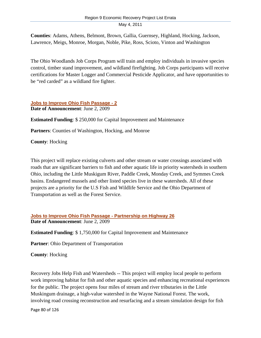**Counties**: Adams, Athens, Belmont, Brown, Gallia, Guernsey, Highland, Hocking, Jackson, Lawrence, Meigs, Monroe, Morgan, Noble, Pike, Ross, Scioto, Vinton and Washington

The Ohio Woodlands Job Corps Program will train and employ individuals in invasive species control, timber stand improvement, and wildland firefighting. Job Corps participants will receive certifications for Master Logger and Commercial Pesticide Applicator, and have opportunities to be "red carded" as a wildland fire fighter.

# **Jobs to Improve Ohio Fish Passage - 2**

**Date of Announcement**: June 2, 2009

**Estimated Funding**: \$ 250,000 for Capital Improvement and Maintenance

**Partners**: Counties of Washington, Hocking, and Monroe

**County**: Hocking

This project will replace existing culverts and other stream or water crossings associated with roads that are significant barriers to fish and other aquatic life in priority watersheds in southern Ohio, including the Little Muskigum River, Paddle Creek, Monday Creek, and Symmes Creek basins. Endangered mussels and other listed species live in these watersheds. All of these projects are a priority for the U.S Fish and Wildlife Service and the Ohio Department of Transportation as well as the Forest Service.

# **Jobs to Improve Ohio Fish Passage - Partnership on Highway 26 Date of Announcement**: June 2, 2009

**Estimated Funding**: \$ 1,750,000 for Capital Improvement and Maintenance

**Partner**: Ohio Department of Transportation

**County**: Hocking

Recovery Jobs Help Fish and Watersheds -- This project will employ local people to perform work improving habitat for fish and other aquatic species and enhancing recreational experiences for the public. The project opens four miles of stream and river tributaries in the Little Muskingum drainage, a high-value watershed in the Wayne National Forest. The work, involving road crossing reconstruction and resurfacing and a stream simulation design for fish

Page 80 of 126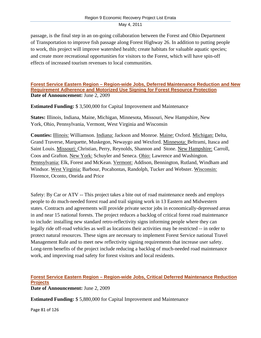passage, is the final step in an on-going collaboration between the Forest and Ohio Department of Transportation to improve fish passage along Forest Highway 26. In addition to putting people to work, this project will improve watershed health; create habitats for valuable aquatic species; and create more recreational opportunities for visitors to the Forest, which will have spin-off effects of increased tourism revenues to local communities.

#### **Forest Service Eastern Region – Region-wide Jobs, Deferred Maintenance Reduction and New Requirement Adherence and Motorized Use Signing for Forest Resource Protection Date of Announcement:** June 2, 2009

**Estimated Funding:** \$ 3,500,000 for Capital Improvement and Maintenance

**States:** Illinois, Indiana, Maine, Michigan, Minnesota, Missouri, New Hampshire, New York, Ohio, Pennsylvania, Vermont, West Virginia and Wisconsin

**Counties:** Illinois: Williamson. Indiana: Jackson and Monroe. Maine: Oxford. Michigan: Delta, Grand Traverse, Marquette, Muskegon, Newaygo and Wexford. Minnesota: Beltrami, Itasca and Saint Louis. Missouri: Christian, Perry, Reynolds, Shannon and Stone. New Hampshire: Carroll, Coos and Grafton. New York: Schuyler and Seneca. Ohio: Lawrence and Washington. Pennsylvania: Elk, Forest and McKean. Vermont: Addison, Bennington, Rutland, Windham and Windsor. West Virginia: Barbour, Pocahontas, Randolph, Tucker and Webster. Wisconsin: Florence, Oconto, Oneida and Price

Safety: By Car or ATV -- This project takes a bite out of road maintenance needs and employs people to do much-needed forest road and trail signing work in 13 Eastern and Midwestern states. Contracts and agreements will provide private sector jobs in economically-depressed areas in and near 15 national forests. The project reduces a backlog of critical forest road maintenance to include: installing new standard retro-reflectivity signs informing people where they can legally ride off-road vehicles as well as locations their activities may be restricted -- in order to protect natural resources. These signs are necessary to implement Forest Service national Travel Management Rule and to meet new reflectivity signing requirements that increase user safety. Long-term benefits of the project include reducing a backlog of much-needed road maintenance work, and improving road safety for forest visitors and local residents.

# **Forest Service Eastern Region – Region-wide Jobs, Critical Deferred Maintenance Reduction Projects**

**Date of Announcement:** June 2, 2009

**Estimated Funding:** \$ 5,880,000 for Capital Improvement and Maintenance

Page 81 of 126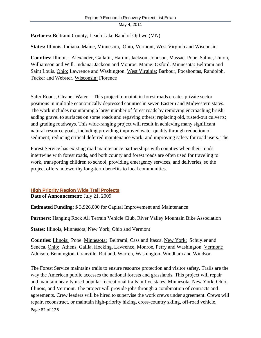**Partners:** Beltrami County, Leach Lake Band of Ojibwe (MN)

**States:** Illinois, Indiana, Maine, Minnesota, Ohio, Vermont, West Virginia and Wisconsin

**Counties:** Illinois: Alexander, Gallatin, Hardin, Jackson, Johnson, Massac, Pope, Saline, Union, Williamson and Will. Indiana: Jackson and Monroe. Maine: Oxford. Minnesota: Beltrami and Saint Louis. Ohio: Lawrence and Washington. West Virginia: Barbour, Pocahontas, Randolph, Tucker and Webster. Wisconsin: Florence

Safer Roads, Cleaner Water -- This project to maintain forest roads creates private sector positions in multiple economically depressed counties in seven Eastern and Midwestern states. The work includes maintaining a large number of forest roads by removing encroaching brush; adding gravel to surfaces on some roads and repaving others; replacing old, rusted-out culverts; and grading roadways. This wide-ranging project will result in achieving many significant natural resource goals, including providing improved water quality through reduction of sediment; reducing critical deferred maintenance work; and improving safety for road users. The

Forest Service has existing road maintenance partnerships with counties when their roads intertwine with forest roads, and both county and forest roads are often used for traveling to work, transporting children to school, providing emergency services, and deliveries, so the project offers noteworthy long-term benefits to local communities.

**High Priority Region Wide Trail Projects Date of Announcement**: July 21, 2009

**Estimated Funding**: \$ 3,926,000 for Capital Improvement and Maintenance

**Partners**: Hanging Rock All Terrain Vehicle Club, River Valley Mountain Bike Association

**States:** Illinois, Minnesota, New York, Ohio and Vermont

**Counties**: Illinois: Pope. Minnesota: Beltrami, Cass and Itasca. New York: Schuyler and Seneca. Ohio: Athens, Gallia, Hocking, Lawrence, Monroe, Perry and Washington. Vermont: Addison, Bennington, Granville, Rutland, Warren, Washington, Windham and Windsor.

Page 82 of 126 The Forest Service maintains trails to ensure resource protection and visitor safety. Trails are the way the American public accesses the national forests and grasslands. This project will repair and maintain heavily used popular recreational trails in five states: Minnesota, New York, Ohio, Illinois, and Vermont. The project will provide jobs through a combination of contracts and agreements. Crew leaders will be hired to supervise the work crews under agreement. Crews will repair, reconstruct, or maintain high-priority hiking, cross-country skiing, off-road vehicle,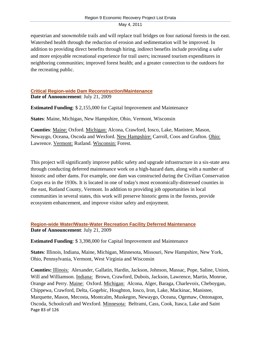equestrian and snowmobile trails and will replace trail bridges on four national forests in the east. Watershed health through the reduction of erosion and sedimentation will be improved. In addition to providing direct benefits through hiring, indirect benefits include providing a safer and more enjoyable recreational experience for trail users; increased tourism expenditures in neighboring communities; improved forest health; and a greater connection to the outdoors for the recreating public.

# **Critical Region-wide Dam Reconstruction/Maintenance Date of Announcement**: July 21, 2009

**Estimated Funding**: \$ 2,155,000 for Capital Improvement and Maintenance

**States**: Maine, Michigan, New Hampshire, Ohio, Vermont, Wisconsin

**Counties**: Maine: Oxford. Michigan: Alcona, Crawford, Iosco, Lake, Manistee, Mason, Newaygo, Oceana, Oscoda and Wexford. New Hampshire: Carroll, Coos and Grafton. Ohio: Lawrence. Vermont: Rutland. Wisconsin: Forest.

This project will significantly improve public safety and upgrade infrastructure in a six-state area through conducting deferred maintenance work on a high-hazard dam, along with a number of historic and other dams. For example, one dam was constructed during the Civilian Conservation Corps era in the 1930s. It is located in one of today's most economically-distressed counties in the east, Rutland County, Vermont. In addition to providing job opportunities in local communities in several states, this work will preserve historic gems in the forests, provide ecosystem enhancement, and improve visitor safety and enjoyment.

**Region-wide Water/Waste-Water Recreation Facility Deferred Maintenance Date of Announcement**: July 21, 2009

**Estimated Funding**: \$ 3,398,000 for Capital Improvement and Maintenance

**States**: Illinois, Indiana, Maine, Michigan, Minnesota, Missouri, New Hampshire, New York, Ohio, Pennsylvania, Vermont, West Virginia and Wisconsin

Page 83 of 126 **Counties:** Illinois: Alexander, Gallatin, Hardin, Jackson, Johnson, Massac, Pope, Saline, Union, Will and Williamson. Indiana: Brown, Crawford, Dubois, Jackson, Lawrence, Martin, Monroe, Orange and Perry. Maine: Oxford. Michigan: Alcona, Alger, Baraga, Charlevoix, Cheboygan, Chippewa, Crawford, Delta, Gogebic, Houghton, Iosco, Iron, Lake, Mackinac, Manistee, Marquette, Mason, Mecosta, Montcalm, Muskegon, Newaygo, Oceana, Ogemaw, Ontonagon, Oscoda, Schoolcraft and Wexford. Minnesota: Beltrami, Cass, Cook, Itasca, Lake and Saint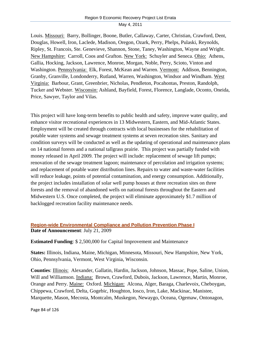Louis. Missouri: Barry, Bollinger, Boone, Butler, Callaway, Carter, Christian, Crawford, Dent, Douglas, Howell, Iron, Laclede, Madison, Oregon, Ozark, Perry, Phelps, Pulaski, Reynolds, Ripley, St. Francois, Ste. Genevieve, Shannon, Stone, Taney, Washington, Wayne and Wright. New Hampshire: Carroll, Coos and Grafton. New York: Schuyler and Seneca. Ohio: Athens, Gallia, Hocking, Jackson, Lawrence, Monroe, Morgan, Noble, Perry, Scioto, Vinton and Washington. Pennsylvania: Elk, Forest, McKean and Warren. Vermont: Addison, Bennington, Granby, Granville, Londonderry, Rutland, Warren, Washington, Windsor and Windham. West Virginia: Barbour, Grant, Greenbrier, Nicholas, Pendleton, Pocahontas, Preston, Randolph, Tucker and Webster. Wisconsin: Ashland, Bayfield, Forest, Florence, Langlade, Oconto, Oneida, Price, Sawyer, Taylor and Vilas.

This project will have long-term benefits to public health and safety, improve water quality, and enhance visitor recreational experiences in 13 Midwestern, Eastern, and Mid-Atlantic States. Employment will be created through contracts with local businesses for the rehabilitation of potable water systems and sewage treatment systems at seven recreation sites. Sanitary and condition surveys will be conducted as well as the updating of operational and maintenance plans on 14 national forests and a national tallgrass prairie. This project was partially funded with money released in April 2009. The project will include: replacement of sewage lift pumps; renovation of the sewage treatment lagoon; maintenance of percolation and irrigation systems; and replacement of potable water distribution lines. Repairs to water and waste-water facilities will reduce leakage, points of potential contamination, and energy consumption. Additionally, the project includes installation of solar well pump houses at three recreation sites on three forests and the removal of abandoned wells on national forests throughout the Eastern and Midwestern U.S. Once completed, the project will eliminate approximately \$1.7 million of backlogged recreation facility maintenance needs.

# **Region-wide Environmental Compliance and Pollution Prevention Phase I Date of Announcement**: July 21, 2009

# **Estimated Funding**: \$ 2,500,000 for Capital Improvement and Maintenance

**States:** Illinois, Indiana, Maine, Michigan, Minnesota, Missouri, New Hampshire, New York, Ohio, Pennsylvania, Vermont, West Virginia, Wisconsin.

**Counties**: Illinois: Alexander, Gallatin, Hardin, Jackson, Johnson, Massac, Pope, Saline, Union, Will and Williamson. Indiana: Brown, Crawford, Dubois, Jackson, Lawrence, Martin, Monroe, Orange and Perry. Maine: Oxford. Michigan: Alcona, Alger, Baraga, Charlevoix, Cheboygan, Chippewa, Crawford, Delta, Gogebic, Houghton, Iosco, Iron, Lake, Mackinac, Manistee, Marquette, Mason, Mecosta, Montcalm, Muskegon, Newaygo, Oceana, Ogemaw, Ontonagon,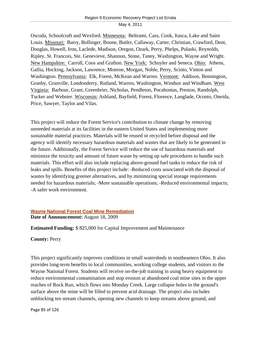Oscoda, Schoolcraft and Wexford. Minnesota: Beltrami, Cass, Cook, Itasca, Lake and Saint Louis. Missouri: Barry, Bollinger, Boone, Butler, Callaway, Carter, Christian, Crawford, Dent, Douglas, Howell, Iron, Laclede, Madison, Oregon, Ozark, Perry, Phelps, Pulaski, Reynolds, Ripley, St. Francois, Ste. Genevieve, Shannon, Stone, Taney, Washington, Wayne and Wright. New Hampshire: Carroll, Coos and Grafton. New York: Schuyler and Seneca. Ohio: Athens, Gallia, Hocking, Jackson, Lawrence, Monroe, Morgan, Noble, Perry, Scioto, Vinton and Washington. Pennsylvania: Elk, Forest, McKean and Warren. Vermont: Addison, Bennington, Granby, Granville, Londonderry, Rutland, Warren, Washington, Windsor and Windham. West Virginia: Barbour, Grant, Greenbrier, Nicholas, Pendleton, Pocahontas, Preston, Randolph, Tucker and Webster. Wisconsin: Ashland, Bayfield, Forest, Florence, Langlade, Oconto, Oneida, Price, Sawyer, Taylor and Vilas.

This project will reduce the Forest Service's contribution to climate change by removing unneeded materials at its facilities in the eastern United States and implementing more sustainable material practices. Materials will be reused or recycled before disposal and the agency will identify necessary hazardous materials and wastes that are likely to be generated in the future. Additionally, the Forest Service will reduce the use of hazardous materials and minimize the toxicity and amount of future waste by setting up safe procedures to handle such materials. This effort will also include replacing above-ground fuel tanks to reduce the risk of leaks and spills. Benefits of this project include: -Reduced costs associated with the disposal of wastes by identifying greener alternatives, and by minimizing special storage requirements needed for hazardous materials; -More sustainable operations; -Reduced environmental impacts; -A safer work environment.

# **Wayne National Forest Coal Mine Remediation**

**Date of Announcement:** August 18, 2009

**Estimated Funding:** \$ 825,000 for Capital Improvement and Maintenance

# **County:** Perry

This project significantly improves conditions in small watersheds in southeastern Ohio. It also provides long-term benefits to local communities, working college students, and visitors to the Wayne National Forest. Students will receive on-the-job training in using heavy equipment to reduce environmental contamination and stop erosion at abandoned coal mine sites in the upper reaches of Rock Run, which flows into Monday Creek. Large collapse holes in the ground's surface above the mine will be filled to prevent acid drainage. The project also includes unblocking ten stream channels, opening new channels to keep streams above ground, and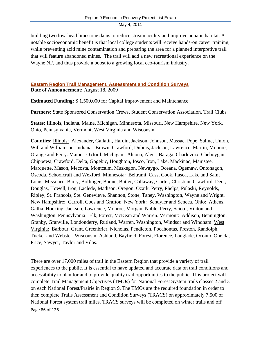building two low-head limestone dams to reduce stream acidity and improve aquatic habitat. A notable socioeconomic benefit is that local college students will receive hands-on career training, while preventing acid mine contamination and preparing the area for a planned interpretive trail that will feature abandoned mines. The trail will add a new recreational experience on the Wayne NF, and thus provide a boost to a growing local eco-tourism industry.

## **Eastern Region Trail Management, Assessment and Condition Surveys Date of Announcement:** August 18, 2009

**Estimated Funding:** \$ 1,500,000 for Capital Improvement and Maintenance

**Partners:** State Sponsored Conservation Crews, Student Conservation Association, Trail Clubs

**States:** Illinois, Indiana, Maine, Michigan, Minnesota, Missouri, New Hampshire, New York, Ohio, Pennsylvania, Vermont, West Virginia and Wisconsin

**Counties:** Illinois: Alexander, Gallatin, Hardin, Jackson, Johnson, Massac, Pope, Saline, Union, Will and Williamson. Indiana: Brown, Crawford, Dubois, Jackson, Lawrence, Martin, Monroe, Orange and Perry. Maine: Oxford. Michigan: Alcona, Alger, Baraga, Charlevoix, Cheboygan, Chippewa, Crawford, Delta, Gogebic, Houghton, Iosco, Iron, Lake, Mackinac, Manistee, Marquette, Mason, Mecosta, Montcalm, Muskegon, Newaygo, Oceana, Ogemaw, Ontonagon, Oscoda, Schoolcraft and Wexford. Minnesota: Beltrami, Cass, Cook, Itasca, Lake and Saint Louis. Missouri: Barry, Bollinger, Boone, Butler, Callaway, Carter, Christian, Crawford, Dent, Douglas, Howell, Iron, Laclede, Madison, Oregon, Ozark, Perry, Phelps, Pulaski, Reynolds, Ripley, St. Francois, Ste. Genevieve, Shannon, Stone, Taney, Washington, Wayne and Wright. New Hampshire: Carroll, Coos and Grafton. New York: Schuyler and Seneca. Ohio: Athens, Gallia, Hocking, Jackson, Lawrence, Monroe, Morgan, Noble, Perry, Scioto, Vinton and Washington. Pennsylvania: Elk, Forest, McKean and Warren. Vermont: Addison, Bennington, Granby, Granville, Londonderry, Rutland, Warren, Washington, Windsor and Windham. West Virginia: Barbour, Grant, Greenbrier, Nicholas, Pendleton, Pocahontas, Preston, Randolph, Tucker and Webster. Wisconsin: Ashland, Bayfield, Forest, Florence, Langlade, Oconto, Oneida, Price, Sawyer, Taylor and Vilas.

Page 86 of 126 There are over 17,000 miles of trail in the Eastern Region that provide a variety of trail experiences to the public. It is essential to have updated and accurate data on trail conditions and accessibility to plan for and to provide quality trail opportunities to the public. This project will complete Trail Management Objectives (TMOs) for National Forest System trails classes 2 and 3 on each National Forest/Prairie in Region 9. The TMOs are the required foundation in order to then complete Trails Assessment and Condition Surveys (TRACS) on approximately 7,500 of National Forest system trail miles. TRACS surveys will be completed on winter trails and off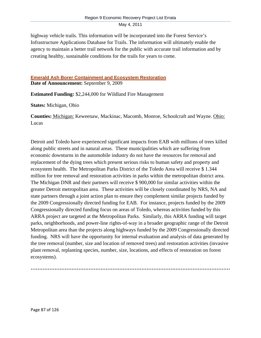highway vehicle trails. This information will be incorporated into the Forest Service's Infrastructure Applications Database for Trails. The information will ultimately enable the agency to maintain a better trail network for the public with accurate trail information and by creating healthy, sustainable conditions for the trails for years to come.

## **Emerald Ash Borer Containment and Ecosystem Restoration Date of Announcement:** September 9, 2009

**Estimated Funding:** \$2,244,000 for Wildland Fire Management

**States:** Michigan, Ohio

**Counties:** Michigan: Keweenaw, Mackinac, Macomb, Monroe, Schoolcraft and Wayne. Ohio: Lucas

Detroit and Toledo have experienced significant impacts from EAB with millions of trees killed along public streets and in natural areas. These municipalities which are suffering from economic downturns in the automobile industry do not have the resources for removal and replacement of the dying trees which present serious risks to human safety and property and ecosystem health. The Metropolitan Parks District of the Toledo Area will receive \$ 1.344 million for tree removal and restoration activities in parks within the metropolitan district area. The Michigan DNR and their partners will receive \$ 900,000 for similar activities within the greater Detroit metropolitan area. These activities will be closely coordinated by NRS, NA and state partners through a joint action plan to ensure they complement similar projects funded by the 2009 Congressionally directed funding for EAB. For instance, projects funded by the 2009 Congressionally directed funding focus on areas of Toledo, whereas activities funded by this ARRA project are targeted at the Metropolitan Parks. Similarly, this ARRA funding will target parks, neighborhoods, and power-line rights-of-way in a broader geographic range of the Detroit Metropolitan area than the projects along highways funded by the 2009 Congressionally directed funding. NRS will have the opportunity for internal evaluation and analysis of data generated by the tree removal (number, size and location of removed trees) and restoration activities (invasive plant removal, replanting species, number, size, locations, and effects of restoration on forest ecosystems).

**………………………………………………………………………………………………………**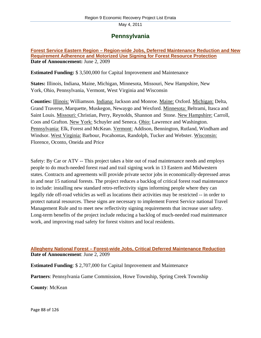# **Pennsylvania**

## **Forest Service Eastern Region – Region-wide Jobs, Deferred Maintenance Reduction and New Requirement Adherence and Motorized Use Signing for Forest Resource Protection Date of Announcement:** June 2, 2009

**Estimated Funding:** \$ 3,500,000 for Capital Improvement and Maintenance

**States:** Illinois, Indiana, Maine, Michigan, Minnesota, Missouri, New Hampshire, New York, Ohio, Pennsylvania, Vermont, West Virginia and Wisconsin

**Counties:** Illinois: Williamson. Indiana: Jackson and Monroe. Maine: Oxford. Michigan: Delta, Grand Traverse, Marquette, Muskegon, Newaygo and Wexford. Minnesota: Beltrami, Itasca and Saint Louis. Missouri: Christian, Perry, Reynolds, Shannon and Stone. New Hampshire: Carroll, Coos and Grafton. New York: Schuyler and Seneca. Ohio: Lawrence and Washington. Pennsylvania: Elk, Forest and McKean. Vermont: Addison, Bennington, Rutland, Windham and Windsor. West Virginia: Barbour, Pocahontas, Randolph, Tucker and Webster. Wisconsin: Florence, Oconto, Oneida and Price

Safety: By Car or ATV -- This project takes a bite out of road maintenance needs and employs people to do much-needed forest road and trail signing work in 13 Eastern and Midwestern states. Contracts and agreements will provide private sector jobs in economically-depressed areas in and near 15 national forests. The project reduces a backlog of critical forest road maintenance to include: installing new standard retro-reflectivity signs informing people where they can legally ride off-road vehicles as well as locations their activities may be restricted -- in order to protect natural resources. These signs are necessary to implement Forest Service national Travel Management Rule and to meet new reflectivity signing requirements that increase user safety. Long-term benefits of the project include reducing a backlog of much-needed road maintenance work, and improving road safety for forest visitors and local residents.

## **Allegheny National Forest – Forest-wide Jobs, Critical Deferred Maintenance Reduction Date of Announcement**: June 2, 2009

**Estimated Funding**: \$ 2,707,000 for Capital Improvement and Maintenance

**Partners**: Pennsylvania Game Commission, Howe Township, Spring Creek Township

**County**: McKean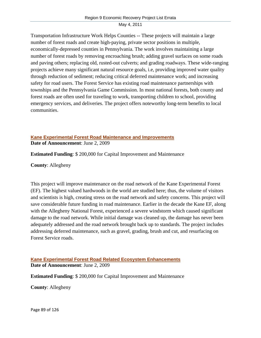Transportation Infrastructure Work Helps Counties -- These projects will maintain a large number of forest roads and create high-paying, private sector positions in multiple, economically-depressed counties in Pennsylvania. The work involves maintaining a large number of forest roads by removing encroaching brush; adding gravel surfaces on some roads and paving others; replacing old, rusted-out culverts; and grading roadways. These wide-ranging projects achieve many significant natural resource goals, i.e, providing improved water quality through reduction of sediment; reducing critical deferred maintenance work; and increasing safety for road users. The Forest Service has existing road maintenance partnerships with townships and the Pennsylvania Game Commission. In most national forests, both county and forest roads are often used for traveling to work, transporting children to school, providing emergency services, and deliveries. The project offers noteworthy long-term benefits to local communities.

## **Kane Experimental Forest Road Maintenance and Improvements Date of Announcement**: June 2, 2009

**Estimated Funding**: \$ 200,000 for Capital Improvement and Maintenance

**County**: Allegheny

This project will improve maintenance on the road network of the Kane Experimental Forest (EF). The highest valued hardwoods in the world are studied here; thus, the volume of visitors and scientists is high, creating stress on the road network and safety concerns. This project will save considerable future funding in road maintenance. Earlier in the decade the Kane EF, along with the Allegheny National Forest, experienced a severe windstorm which caused significant damage to the road network. While initial damage was cleaned up, the damage has never been adequately addressed and the road network brought back up to standards. The project includes addressing deferred maintenance, such as gravel, grading, brush and cut, and resurfacing on Forest Service roads.

**Kane Experimental Forest Road Related Ecosystem Enhancements Date of Announcement**: June 2, 2009

**Estimated Funding**: \$ 200,000 for Capital Improvement and Maintenance

**County**: Allegheny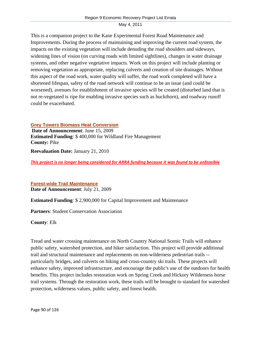This is a companion project to the Kane Experimental Forest Road Maintenance and Improvements. During the process of maintaining and improving the current road system, the impacts on the existing vegetation will include denuding the road shoulders and sideways, widening lines of vision (on curving roads with limited sightlines), changes in water drainage systems, and other negative vegetative impacts. Work on this project will include planting or removing vegetation as appropriate, replacing culverts and creation of site drainages. Without this aspect of the road work, water quality will suffer, the road work completed will have a shortened lifespan, safety of the road network will continue to be an issue (and could be worsened), avenues for establishment of invasive species will be created (disturbed land that is not re-vegetated is ripe for enabling invasive species such as buckthorn), and roadway runoff could be exacerbated.

# **Grey Towers Biomass Heat Conversion**

**Date of Announcement**: June 15, 2009 **Estimated Funding**: \$ 400,000 for Wildland Fire Management **County:** Pike

**Reevaluation Date:** January 21, 2010

*This project is no longer being considered for ARRA funding because it was found to be unfeasible*

# **Forest-wide Trail Maintenance Date of Announcement**: July 21, 2009

**Estimated Funding**: \$ 2,900,000 for Capital Improvement and Maintenance

**Partners**: Student Conservation Association

**County**: Elk

Tread and water crossing maintenance on North Country National Scenic Trails will enhance public safety, watershed protection, and hiker satisfaction. This project will provide additional trail and structural maintenance and replacements on non-wilderness pedestrian trails - particularly bridges, and culverts on hiking and cross-country ski trails. These projects will enhance safety, improved infrastructure, and encourage the public's use of the outdoors for health benefits. This project includes restoration work on Spring Creek and Hickory Wilderness horse trail systems. Through the restoration work, these trails will be brought to standard for watershed protection, wilderness values, public safety, and forest health.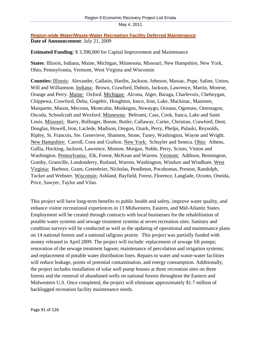## **Region-wide Water/Waste-Water Recreation Facility Deferred Maintenance Date of Announcement**: July 21, 2009

**Estimated Funding**: \$ 3,398,000 for Capital Improvement and Maintenance

**States**: Illinois, Indiana, Maine, Michigan, Minnesota, Missouri, New Hampshire, New York, Ohio, Pennsylvania, Vermont, West Virginia and Wisconsin

**Counties:** Illinois: Alexander, Gallatin, Hardin, Jackson, Johnson, Massac, Pope, Saline, Union, Will and Williamson. Indiana: Brown, Crawford, Dubois, Jackson, Lawrence, Martin, Monroe, Orange and Perry. Maine: Oxford. Michigan: Alcona, Alger, Baraga, Charlevoix, Cheboygan, Chippewa, Crawford, Delta, Gogebic, Houghton, Iosco, Iron, Lake, Mackinac, Manistee, Marquette, Mason, Mecosta, Montcalm, Muskegon, Newaygo, Oceana, Ogemaw, Ontonagon, Oscoda, Schoolcraft and Wexford. Minnesota: Beltrami, Cass, Cook, Itasca, Lake and Saint Louis. Missouri: Barry, Bollinger, Boone, Butler, Callaway, Carter, Christian, Crawford, Dent, Douglas, Howell, Iron, Laclede, Madison, Oregon, Ozark, Perry, Phelps, Pulaski, Reynolds, Ripley, St. Francois, Ste. Genevieve, Shannon, Stone, Taney, Washington, Wayne and Wright. New Hampshire: Carroll, Coos and Grafton. New York: Schuyler and Seneca. Ohio: Athens, Gallia, Hocking, Jackson, Lawrence, Monroe, Morgan, Noble, Perry, Scioto, Vinton and Washington. Pennsylvania: Elk, Forest, McKean and Warren. Vermont: Addison, Bennington, Granby, Granville, Londonderry, Rutland, Warren, Washington, Windsor and Windham. West Virginia: Barbour, Grant, Greenbrier, Nicholas, Pendleton, Pocahontas, Preston, Randolph, Tucker and Webster. Wisconsin: Ashland, Bayfield, Forest, Florence, Langlade, Oconto, Oneida, Price, Sawyer, Taylor and Vilas.

This project will have long-term benefits to public health and safety, improve water quality, and enhance visitor recreational experiences in 13 Midwestern, Eastern, and Mid-Atlantic States. Employment will be created through contracts with local businesses for the rehabilitation of potable water systems and sewage treatment systems at seven recreation sites. Sanitary and condition surveys will be conducted as well as the updating of operational and maintenance plans on 14 national forests and a national tallgrass prairie. This project was partially funded with money released in April 2009. The project will include: replacement of sewage lift pumps; renovation of the sewage treatment lagoon; maintenance of percolation and irrigation systems; and replacement of potable water distribution lines. Repairs to water and waste-water facilities will reduce leakage, points of potential contamination, and energy consumption. Additionally, the project includes installation of solar well pump houses at three recreation sites on three forests and the removal of abandoned wells on national forests throughout the Eastern and Midwestern U.S. Once completed, the project will eliminate approximately \$1.7 million of backlogged recreation facility maintenance needs.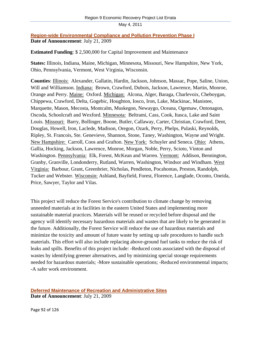## **Region-wide Environmental Compliance and Pollution Prevention Phase I Date of Announcement**: July 21, 2009

**Estimated Funding**: \$ 2,500,000 for Capital Improvement and Maintenance

**States:** Illinois, Indiana, Maine, Michigan, Minnesota, Missouri, New Hampshire, New York, Ohio, Pennsylvania, Vermont, West Virginia, Wisconsin.

**Counties**: Illinois: Alexander, Gallatin, Hardin, Jackson, Johnson, Massac, Pope, Saline, Union, Will and Williamson. Indiana: Brown, Crawford, Dubois, Jackson, Lawrence, Martin, Monroe, Orange and Perry. Maine: Oxford. Michigan: Alcona, Alger, Baraga, Charlevoix, Cheboygan, Chippewa, Crawford, Delta, Gogebic, Houghton, Iosco, Iron, Lake, Mackinac, Manistee, Marquette, Mason, Mecosta, Montcalm, Muskegon, Newaygo, Oceana, Ogemaw, Ontonagon, Oscoda, Schoolcraft and Wexford. Minnesota: Beltrami, Cass, Cook, Itasca, Lake and Saint Louis. Missouri: Barry, Bollinger, Boone, Butler, Callaway, Carter, Christian, Crawford, Dent, Douglas, Howell, Iron, Laclede, Madison, Oregon, Ozark, Perry, Phelps, Pulaski, Reynolds, Ripley, St. Francois, Ste. Genevieve, Shannon, Stone, Taney, Washington, Wayne and Wright. New Hampshire: Carroll, Coos and Grafton. New York: Schuyler and Seneca. Ohio: Athens, Gallia, Hocking, Jackson, Lawrence, Monroe, Morgan, Noble, Perry, Scioto, Vinton and Washington. Pennsylvania: Elk, Forest, McKean and Warren. Vermont: Addison, Bennington, Granby, Granville, Londonderry, Rutland, Warren, Washington, Windsor and Windham. West Virginia: Barbour, Grant, Greenbrier, Nicholas, Pendleton, Pocahontas, Preston, Randolph, Tucker and Webster. Wisconsin: Ashland, Bayfield, Forest, Florence, Langlade, Oconto, Oneida, Price, Sawyer, Taylor and Vilas.

This project will reduce the Forest Service's contribution to climate change by removing unneeded materials at its facilities in the eastern United States and implementing more sustainable material practices. Materials will be reused or recycled before disposal and the agency will identify necessary hazardous materials and wastes that are likely to be generated in the future. Additionally, the Forest Service will reduce the use of hazardous materials and minimize the toxicity and amount of future waste by setting up safe procedures to handle such materials. This effort will also include replacing above-ground fuel tanks to reduce the risk of leaks and spills. Benefits of this project include: -Reduced costs associated with the disposal of wastes by identifying greener alternatives, and by minimizing special storage requirements needed for hazardous materials; -More sustainable operations; -Reduced environmental impacts; -A safer work environment.

### **Deferred Maintenance of Recreation and Administrative Sites Date of Announcement**: July 21, 2009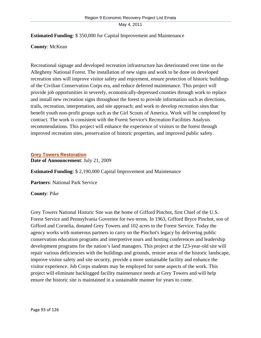**Estimated Funding**: \$ 350,000 for Capital Improvement and Maintenance

## **County**: McKean

Recreational signage and developed recreation infrastructure has deteriorated over time on the Allegheny National Forest. The installation of new signs and work to be done on developed recreation sites will improve visitor safety and enjoyment, ensure protection of historic buildings of the Civilian Conservation Corps era, and reduce deferred maintenance. This project will provide job opportunities in severely, economically-depressed counties through work to replace and install new recreation signs throughout the forest to provide information such as directions, trails, recreation, interpretation, and site approach; and work to develop recreation sites that benefit youth non-profit groups such as the Girl Scouts of America. Work will be completed by contract. The work is consistent with the Forest Service's Recreation Facilities Analysis recommendations. This project will enhance the experience of visitors to the forest through improved recreation sites, preservation of historic properties, and improved public safety.

## **Grey Towers Restoration Date of Announcement**: July 21, 2009

**Estimated Funding**: \$ 2,190,000 Capital Improvement and Maintenance

**Partners**: National Park Service

**County**: Pike

Grey Towers National Historic Site was the home of Gifford Pinchot, first Chief of the U.S. Forest Service and Pennsylvania Governor for two terms. In 1963, Gifford Bryce Pinchot, son of Gifford and Cornelia, donated Grey Towers and 102 acres to the Forest Service. Today the agency works with numerous partners to carry on the Pinchot's legacy by delivering public conservation education programs and interpretive tours and hosting conferences and leadership development programs for the nation's land managers. This project at the 123-year-old site will repair various deficiencies with the buildings and grounds, restore areas of the historic landscape, improve visitor safety and site security, provide a more sustainable facility and enhance the visitor experience. Job Corps students may be employed for some aspects of the work. This project will eliminate backlogged facility maintenance needs at Grey Towers and will help ensure the historic site is maintained in a sustainable manner for years to come.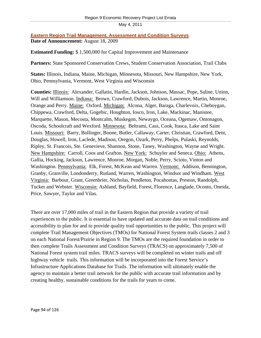## **Eastern Region Trail Management, Assessment and Condition Surveys Date of Announcement:** August 18, 2009

**Estimated Funding:** \$ 1,500,000 for Capital Improvement and Maintenance

**Partners:** State Sponsored Conservation Crews, Student Conservation Association, Trail Clubs

**States:** Illinois, Indiana, Maine, Michigan, Minnesota, Missouri, New Hampshire, New York, Ohio, Pennsylvania, Vermont, West Virginia and Wisconsin

**Counties:** Illinois: Alexander, Gallatin, Hardin, Jackson, Johnson, Massac, Pope, Saline, Union, Will and Williamson. Indiana: Brown, Crawford, Dubois, Jackson, Lawrence, Martin, Monroe, Orange and Perry. Maine: Oxford. Michigan: Alcona, Alger, Baraga, Charlevoix, Cheboygan, Chippewa, Crawford, Delta, Gogebic, Houghton, Iosco, Iron, Lake, Mackinac, Manistee, Marquette, Mason, Mecosta, Montcalm, Muskegon, Newaygo, Oceana, Ogemaw, Ontonagon, Oscoda, Schoolcraft and Wexford. Minnesota: Beltrami, Cass, Cook, Itasca, Lake and Saint Louis. Missouri: Barry, Bollinger, Boone, Butler, Callaway, Carter, Christian, Crawford, Dent, Douglas, Howell, Iron, Laclede, Madison, Oregon, Ozark, Perry, Phelps, Pulaski, Reynolds, Ripley, St. Francois, Ste. Genevieve, Shannon, Stone, Taney, Washington, Wayne and Wright. New Hampshire: Carroll, Coos and Grafton. New York: Schuyler and Seneca. Ohio: Athens, Gallia, Hocking, Jackson, Lawrence, Monroe, Morgan, Noble, Perry, Scioto, Vinton and Washington. Pennsylvania: Elk, Forest, McKean and Warren. Vermont: Addison, Bennington, Granby, Granville, Londonderry, Rutland, Warren, Washington, Windsor and Windham. West Virginia: Barbour, Grant, Greenbrier, Nicholas, Pendleton, Pocahontas, Preston, Randolph, Tucker and Webster. Wisconsin: Ashland, Bayfield, Forest, Florence, Langlade, Oconto, Oneida, Price, Sawyer, Taylor and Vilas.

There are over 17,000 miles of trail in the Eastern Region that provide a variety of trail experiences to the public. It is essential to have updated and accurate data on trail conditions and accessibility to plan for and to provide quality trail opportunities to the public. This project will complete Trail Management Objectives (TMOs) for National Forest System trails classes 2 and 3 on each National Forest/Prairie in Region 9. The TMOs are the required foundation in order to then complete Trails Assessment and Condition Surveys (TRACS) on approximately 7,500 of National Forest system trail miles. TRACS surveys will be completed on winter trails and off highway vehicle trails. This information will be incorporated into the Forest Service's Infrastructure Applications Database for Trails. The information will ultimately enable the agency to maintain a better trail network for the public with accurate trail information and by creating healthy, sustainable conditions for the trails for years to come.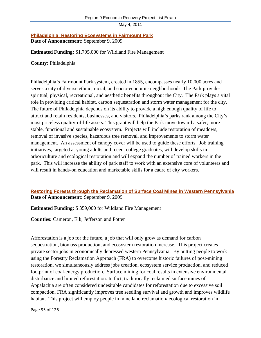### **Philadelphia: Restoring Ecosystems in Fairmount Park Date of Announcement:** September 9, 2009

**Estimated Funding:** \$1,795,000 for Wildland Fire Management

**County:** Philadelphia

Philadelphia's Fairmount Park system, created in 1855, encompasses nearly 10,000 acres and serves a city of diverse ethnic, racial, and socio-economic neighborhoods. The Park provides spiritual, physical, recreational, and aesthetic benefits throughout the City. The Park plays a vital role in providing critical habitat, carbon sequestration and storm water management for the city. The future of Philadelphia depends on its ability to provide a high enough quality of life to attract and retain residents, businesses, and visitors. Philadelphia's parks rank among the City's most priceless quality-of-life assets. This grant will help the Park move toward a safer, more stable, functional and sustainable ecosystem. Projects will include restoration of meadows, removal of invasive species, hazardous tree removal, and improvements to storm water management. An assessment of canopy cover will be used to guide these efforts. Job training initiatives, targeted at young adults and recent college graduates, will develop skills in arboriculture and ecological restoration and will expand the number of trained workers in the park. This will increase the ability of park staff to work with an extensive core of volunteers and will result in hands-on education and marketable skills for a cadre of city workers.

# **Restoring Forests through the Reclamation of Surface Coal Mines in Western Pennsylvania Date of Announcement:** September 9, 2009

### **Estimated Funding:** \$ 359,000 for Wildland Fire Management

**Counties:** Cameron, Elk, Jefferson and Potter

Afforestation is a job for the future, a job that will only grow as demand for carbon sequestration, biomass production, and ecosystem restoration increase. This project creates private sector jobs in economically depressed western Pennsylvania. By putting people to work using the Forestry Reclamation Approach (FRA) to overcome historic failures of post-mining restoration, we simultaneously address jobs creation, ecosystem service production, and reduced footprint of coal-energy production. Surface mining for coal results in extensive environmental disturbance and limited reforestation. In fact, traditionally reclaimed surface mines of Appalachia are often considered undesirable candidates for reforestation due to excessive soil compaction. FRA significantly improves tree seedling survival and growth and improves wildlife habitat. This project will employ people in mine land reclamation/ ecological restoration in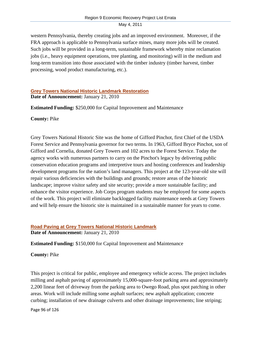western Pennsylvania, thereby creating jobs and an improved environment. Moreover, if the FRA approach is applicable to Pennsylvania surface mines, many more jobs will be created. Such jobs will be provided in a long-term, sustainable framework whereby mine reclamation jobs (i.e., heavy equipment operations, tree planting, and monitoring) will in the medium and long-term transition into those associated with the timber industry (timber harvest, timber processing, wood product manufacturing, etc.).

# **Grey Towers National Historic Landmark Restoration Date of Announcement:** January 21, 2010

**Estimated Funding:** \$250,000 for Capital Improvement and Maintenance

**County:** Pike

Grey Towers National Historic Site was the home of Gifford Pinchot, first Chief of the USDA Forest Service and Pennsylvania governor for two terms. In 1963, Gifford Bryce Pinchot, son of Gifford and Cornelia, donated Grey Towers and 102 acres to the Forest Service. Today the agency works with numerous partners to carry on the Pinchot's legacy by delivering public conservation education programs and interpretive tours and hosting conferences and leadership development programs for the nation's land managers. This project at the 123-year-old site will repair various deficiencies with the buildings and grounds; restore areas of the historic landscape; improve visitor safety and site security; provide a more sustainable facility; and enhance the visitor experience. Job Corps program students may be employed for some aspects of the work. This project will eliminate backlogged facility maintenance needs at Grey Towers and will help ensure the historic site is maintained in a sustainable manner for years to come.

# **Road Paving at Grey Towers National Historic Landmark**

**Date of Announcement:** January 21, 2010

**Estimated Funding:** \$150,000 for Capital Improvement and Maintenance

**County:** Pike

This project is critical for public, employee and emergency vehicle access. The project includes milling and asphalt paving of approximately 15,000-square-foot parking area and approximately 2,200 linear feet of driveway from the parking area to Owego Road, plus spot patching in other areas. Work will include milling some asphalt surfaces; new asphalt application; concrete curbing; installation of new drainage culverts and other drainage improvements; line striping;

Page 96 of 126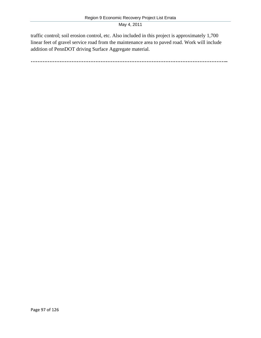traffic control; soil erosion control, etc. Also included in this project is approximately 1,700 linear feet of gravel service road from the maintenance area to paved road. Work will include addition of PennDOT driving Surface Aggregate material.

**……………………………………………………………………………………………………..**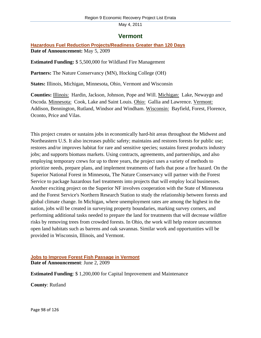## **Vermont**

### **Hazardous Fuel Reduction Projects/Readiness Greater than 120 Days Date of Announcement:** May 5, 2009

**Estimated Funding:** \$ 5,500,000 for Wildland Fire Management

**Partners:** The Nature Conservancy (MN), Hocking College (OH)

**States:** Illinois, Michigan, Minnesota, Ohio, Vermont and Wisconsin

**Counties:** Illinois: Hardin, Jackson, Johnson, Pope and Will. Michigan: Lake, Newaygo and Oscoda. Minnesota: Cook, Lake and Saint Louis. Ohio: Gallia and Lawrence. Vermont: Addison, Bennington, Rutland, Windsor and Windham. Wisconsin: Bayfield, Forest, Florence, Oconto, Price and Vilas.

This project creates or sustains jobs in economically hard-hit areas throughout the Midwest and Northeastern U.S. It also increases public safety; maintains and restores forests for public use; restores and/or improves habitat for rare and sensitive species; sustains forest products industry jobs; and supports biomass markets. Using contracts, agreements, and partnerships, and also employing temporary crews for up to three years, the project uses a variety of methods to prioritize needs, prepare plans, and implement treatments of fuels that pose a fire hazard. On the Superior National Forest in Minnesota, The Nature Conservancy will partner with the Forest Service to package hazardous fuel treatments into projects that will employ local businesses. Another exciting project on the Superior NF involves cooperation with the State of Minnesota and the Forest Service's Northern Research Station to study the relationship between forests and global climate change. In Michigan, where unemployment rates are among the highest in the nation, jobs will be created in surveying property boundaries, marking survey corners, and performing additional tasks needed to prepare the land for treatments that will decrease wildfire risks by removing trees from crowded forests. In Ohio, the work will help restore uncommon open land habitats such as barrens and oak savannas. Similar work and opportunities will be provided in Wisconsin, Illinois, and Vermont.

# **Jobs to Improve Forest Fish Passage in Vermont Date of Announcement**: June 2, 2009

**Estimated Funding**: \$ 1,200,000 for Capital Improvement and Maintenance

**County**: Rutland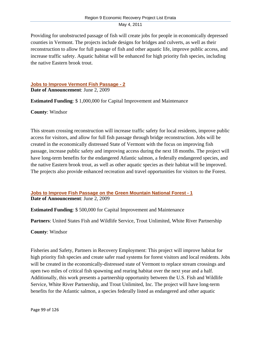Providing for unobstructed passage of fish will create jobs for people in economically depressed counties in Vermont. The projects include designs for bridges and culverts, as well as their reconstruction to allow for full passage of fish and other aquatic life, improve public access, and increase traffic safety. Aquatic habitat will be enhanced for high priority fish species, including the native Eastern brook trout.

#### **Jobs to Improve Vermont Fish Passage - 2 Date of Announcement**: June 2, 2009

**Estimated Funding**: \$ 1,000,000 for Capital Improvement and Maintenance

**County**: Windsor

This stream crossing reconstruction will increase traffic safety for local residents, improve public access for visitors, and allow for full fish passage through bridge reconstruction. Jobs will be created in the economically distressed State of Vermont with the focus on improving fish passage, increase public safety and improving access during the next 18 months. The project will have long-term benefits for the endangered Atlantic salmon, a federally endangered species, and the native Eastern brook trout, as well as other aquatic species as their habitat will be improved. The projects also provide enhanced recreation and travel opportunities for visitors to the Forest.

**Jobs to Improve Fish Passage on the Green Mountain National Forest - 1 Date of Announcement**: June 2, 2009

**Estimated Funding**: \$ 500,000 for Capital Improvement and Maintenance

**Partners**: United States Fish and Wildlife Service, Trout Unlimited, White River Partnership

**County**: Windsor

Fisheries and Safety, Partners in Recovery Employment: This project will improve habitat for high priority fish species and create safer road systems for forest visitors and local residents. Jobs will be created in the economically-distressed state of Vermont to replace stream crossings and open two miles of critical fish spawning and rearing habitat over the next year and a half. Additionally, this work presents a partnership opportunity between the U.S. Fish and Wildlife Service, White River Partnership, and Trout Unlimited, Inc. The project will have long-term benefits for the Atlantic salmon, a species federally listed as endangered and other aquatic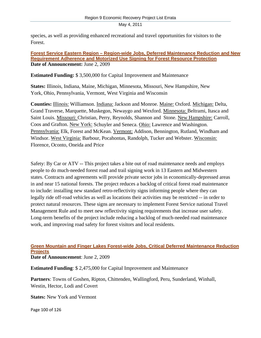species, as well as providing enhanced recreational and travel opportunities for visitors to the Forest.

### **Forest Service Eastern Region – Region-wide Jobs, Deferred Maintenance Reduction and New Requirement Adherence and Motorized Use Signing for Forest Resource Protection Date of Announcement:** June 2, 2009

**Estimated Funding:** \$ 3,500,000 for Capital Improvement and Maintenance

**States:** Illinois, Indiana, Maine, Michigan, Minnesota, Missouri, New Hampshire, New York, Ohio, Pennsylvania, Vermont, West Virginia and Wisconsin

**Counties:** Illinois: Williamson. Indiana: Jackson and Monroe. Maine: Oxford. Michigan: Delta, Grand Traverse, Marquette, Muskegon, Newaygo and Wexford. Minnesota: Beltrami, Itasca and Saint Louis. Missouri: Christian, Perry, Reynolds, Shannon and Stone. New Hampshire: Carroll, Coos and Grafton. New York: Schuyler and Seneca. Ohio: Lawrence and Washington. Pennsylvania: Elk, Forest and McKean. Vermont: Addison, Bennington, Rutland, Windham and Windsor. West Virginia: Barbour, Pocahontas, Randolph, Tucker and Webster. Wisconsin: Florence, Oconto, Oneida and Price

Safety: By Car or ATV -- This project takes a bite out of road maintenance needs and employs people to do much-needed forest road and trail signing work in 13 Eastern and Midwestern states. Contracts and agreements will provide private sector jobs in economically-depressed areas in and near 15 national forests. The project reduces a backlog of critical forest road maintenance to include: installing new standard retro-reflectivity signs informing people where they can legally ride off-road vehicles as well as locations their activities may be restricted -- in order to protect natural resources. These signs are necessary to implement Forest Service national Travel Management Rule and to meet new reflectivity signing requirements that increase user safety. Long-term benefits of the project include reducing a backlog of much-needed road maintenance work, and improving road safety for forest visitors and local residents.

# **Green Mountain and Finger Lakes Forest-wide Jobs, Critical Deferred Maintenance Reduction Projects**

**Date of Announcement**: June 2, 2009

**Estimated Funding**: \$ 2,475,000 for Capital Improvement and Maintenance

**Partners**: Towns of Goshen, Ripton, Chittenden, Wallingford, Peru, Sunderland, Winhall, Westin, Hector, Lodi and Covert

**States:** New York and Vermont

Page 100 of 126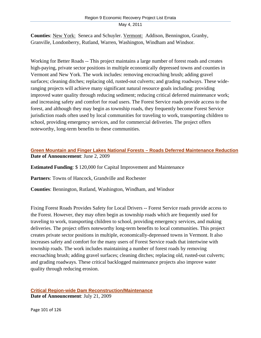**Counties**: New York: Seneca and Schuyler. Vermont: Addison, Bennington, Granby, Granville, Londonberry, Rutland, Warren, Washington, Windham and Windsor.

Working for Better Roads -- This project maintains a large number of forest roads and creates high-paying, private sector positions in multiple economically depressed towns and counties in Vermont and New York. The work includes: removing encroaching brush; adding gravel surfaces; cleaning ditches; replacing old, rusted-out culverts; and grading roadways. These wideranging projects will achieve many significant natural resource goals including: providing improved water quality through reducing sediment; reducing critical deferred maintenance work; and increasing safety and comfort for road users. The Forest Service roads provide access to the forest, and although they may begin as township roads, they frequently become Forest Service jurisdiction roads often used by local communities for traveling to work, transporting children to school, providing emergency services, and for commercial deliveries. The project offers noteworthy, long-term benefits to these communities.

# **Green Mountain and Finger Lakes National Forests – Roads Deferred Maintenance Reduction Date of Announcement**: June 2, 2009

**Estimated Funding**: \$ 120,000 for Capital Improvement and Maintenance

**Partners**: Towns of Hancock, Grandville and Rochester

**Counties**: Bennington, Rutland, Washington, Windham, and Windsor

Fixing Forest Roads Provides Safety for Local Drivers -- Forest Service roads provide access to the Forest. However, they may often begin as township roads which are frequently used for traveling to work, transporting children to school, providing emergency services, and making deliveries. The project offers noteworthy long-term benefits to local communities. This project creates private sector positions in multiple, economically-depressed towns in Vermont. It also increases safety and comfort for the many users of Forest Service roads that intertwine with township roads. The work includes maintaining a number of forest roads by removing encroaching brush; adding gravel surfaces; cleaning ditches; replacing old, rusted-out culverts; and grading roadways. These critical backlogged maintenance projects also improve water quality through reducing erosion.

# **Critical Region-wide Dam Reconstruction/Maintenance Date of Announcement**: July 21, 2009

Page 101 of 126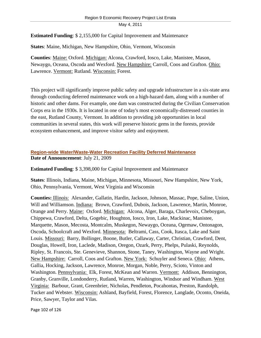**Estimated Funding**: \$ 2,155,000 for Capital Improvement and Maintenance

**States**: Maine, Michigan, New Hampshire, Ohio, Vermont, Wisconsin

**Counties**: Maine: Oxford. Michigan: Alcona, Crawford, Iosco, Lake, Manistee, Mason, Newaygo, Oceana, Oscoda and Wexford. New Hampshire: Carroll, Coos and Grafton. Ohio: Lawrence. Vermont: Rutland. Wisconsin: Forest.

This project will significantly improve public safety and upgrade infrastructure in a six-state area through conducting deferred maintenance work on a high-hazard dam, along with a number of historic and other dams. For example, one dam was constructed during the Civilian Conservation Corps era in the 1930s. It is located in one of today's most economically-distressed counties in the east, Rutland County, Vermont. In addition to providing job opportunities in local communities in several states, this work will preserve historic gems in the forests, provide ecosystem enhancement, and improve visitor safety and enjoyment.

# **Region-wide Water/Waste-Water Recreation Facility Deferred Maintenance Date of Announcement**: July 21, 2009

**Estimated Funding**: \$ 3,398,000 for Capital Improvement and Maintenance

**States**: Illinois, Indiana, Maine, Michigan, Minnesota, Missouri, New Hampshire, New York, Ohio, Pennsylvania, Vermont, West Virginia and Wisconsin

**Counties:** Illinois: Alexander, Gallatin, Hardin, Jackson, Johnson, Massac, Pope, Saline, Union, Will and Williamson. Indiana: Brown, Crawford, Dubois, Jackson, Lawrence, Martin, Monroe, Orange and Perry. Maine: Oxford. Michigan: Alcona, Alger, Baraga, Charlevoix, Cheboygan, Chippewa, Crawford, Delta, Gogebic, Houghton, Iosco, Iron, Lake, Mackinac, Manistee, Marquette, Mason, Mecosta, Montcalm, Muskegon, Newaygo, Oceana, Ogemaw, Ontonagon, Oscoda, Schoolcraft and Wexford. Minnesota: Beltrami, Cass, Cook, Itasca, Lake and Saint Louis. Missouri: Barry, Bollinger, Boone, Butler, Callaway, Carter, Christian, Crawford, Dent, Douglas, Howell, Iron, Laclede, Madison, Oregon, Ozark, Perry, Phelps, Pulaski, Reynolds, Ripley, St. Francois, Ste. Genevieve, Shannon, Stone, Taney, Washington, Wayne and Wright. New Hampshire: Carroll, Coos and Grafton. New York: Schuyler and Seneca. Ohio: Athens, Gallia, Hocking, Jackson, Lawrence, Monroe, Morgan, Noble, Perry, Scioto, Vinton and Washington. Pennsylvania: Elk, Forest, McKean and Warren. Vermont: Addison, Bennington, Granby, Granville, Londonderry, Rutland, Warren, Washington, Windsor and Windham. West Virginia: Barbour, Grant, Greenbrier, Nicholas, Pendleton, Pocahontas, Preston, Randolph, Tucker and Webster. Wisconsin: Ashland, Bayfield, Forest, Florence, Langlade, Oconto, Oneida, Price, Sawyer, Taylor and Vilas.

Page 102 of 126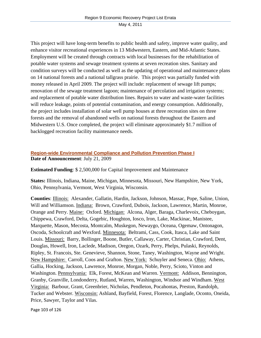This project will have long-term benefits to public health and safety, improve water quality, and enhance visitor recreational experiences in 13 Midwestern, Eastern, and Mid-Atlantic States. Employment will be created through contracts with local businesses for the rehabilitation of potable water systems and sewage treatment systems at seven recreation sites. Sanitary and condition surveys will be conducted as well as the updating of operational and maintenance plans on 14 national forests and a national tallgrass prairie. This project was partially funded with money released in April 2009. The project will include: replacement of sewage lift pumps; renovation of the sewage treatment lagoon; maintenance of percolation and irrigation systems; and replacement of potable water distribution lines. Repairs to water and waste-water facilities will reduce leakage, points of potential contamination, and energy consumption. Additionally, the project includes installation of solar well pump houses at three recreation sites on three forests and the removal of abandoned wells on national forests throughout the Eastern and Midwestern U.S. Once completed, the project will eliminate approximately \$1.7 million of backlogged recreation facility maintenance needs.

# **Region-wide Environmental Compliance and Pollution Prevention Phase I Date of Announcement**: July 21, 2009

**Estimated Funding**: \$ 2,500,000 for Capital Improvement and Maintenance

**States:** Illinois, Indiana, Maine, Michigan, Minnesota, Missouri, New Hampshire, New York, Ohio, Pennsylvania, Vermont, West Virginia, Wisconsin.

**Counties**: Illinois: Alexander, Gallatin, Hardin, Jackson, Johnson, Massac, Pope, Saline, Union, Will and Williamson. Indiana: Brown, Crawford, Dubois, Jackson, Lawrence, Martin, Monroe, Orange and Perry. Maine: Oxford. Michigan: Alcona, Alger, Baraga, Charlevoix, Cheboygan, Chippewa, Crawford, Delta, Gogebic, Houghton, Iosco, Iron, Lake, Mackinac, Manistee, Marquette, Mason, Mecosta, Montcalm, Muskegon, Newaygo, Oceana, Ogemaw, Ontonagon, Oscoda, Schoolcraft and Wexford. Minnesota: Beltrami, Cass, Cook, Itasca, Lake and Saint Louis. Missouri: Barry, Bollinger, Boone, Butler, Callaway, Carter, Christian, Crawford, Dent, Douglas, Howell, Iron, Laclede, Madison, Oregon, Ozark, Perry, Phelps, Pulaski, Reynolds, Ripley, St. Francois, Ste. Genevieve, Shannon, Stone, Taney, Washington, Wayne and Wright. New Hampshire: Carroll, Coos and Grafton. New York: Schuyler and Seneca. Ohio: Athens, Gallia, Hocking, Jackson, Lawrence, Monroe, Morgan, Noble, Perry, Scioto, Vinton and Washington. Pennsylvania: Elk, Forest, McKean and Warren. Vermont: Addison, Bennington, Granby, Granville, Londonderry, Rutland, Warren, Washington, Windsor and Windham. West Virginia: Barbour, Grant, Greenbrier, Nicholas, Pendleton, Pocahontas, Preston, Randolph, Tucker and Webster. Wisconsin: Ashland, Bayfield, Forest, Florence, Langlade, Oconto, Oneida, Price, Sawyer, Taylor and Vilas.

Page 103 of 126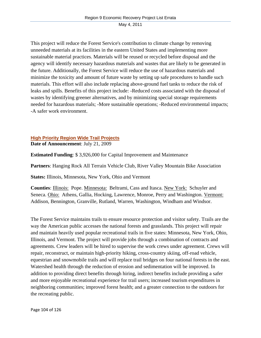This project will reduce the Forest Service's contribution to climate change by removing unneeded materials at its facilities in the eastern United States and implementing more sustainable material practices. Materials will be reused or recycled before disposal and the agency will identify necessary hazardous materials and wastes that are likely to be generated in the future. Additionally, the Forest Service will reduce the use of hazardous materials and minimize the toxicity and amount of future waste by setting up safe procedures to handle such materials. This effort will also include replacing above-ground fuel tanks to reduce the risk of leaks and spills. Benefits of this project include: -Reduced costs associated with the disposal of wastes by identifying greener alternatives, and by minimizing special storage requirements needed for hazardous materials; -More sustainable operations; -Reduced environmental impacts; -A safer work environment.

### **High Priority Region Wide Trail Projects Date of Announcement**: July 21, 2009

**Estimated Funding**: \$ 3,926,000 for Capital Improvement and Maintenance

**Partners**: Hanging Rock All Terrain Vehicle Club, River Valley Mountain Bike Association

**States:** Illinois, Minnesota, New York, Ohio and Vermont

**Counties**: Illinois: Pope. Minnesota: Beltrami, Cass and Itasca. New York: Schuyler and Seneca. Ohio: Athens, Gallia, Hocking, Lawrence, Monroe, Perry and Washington. Vermont: Addison, Bennington, Granville, Rutland, Warren, Washington, Windham and Windsor.

The Forest Service maintains trails to ensure resource protection and visitor safety. Trails are the way the American public accesses the national forests and grasslands. This project will repair and maintain heavily used popular recreational trails in five states: Minnesota, New York, Ohio, Illinois, and Vermont. The project will provide jobs through a combination of contracts and agreements. Crew leaders will be hired to supervise the work crews under agreement. Crews will repair, reconstruct, or maintain high-priority hiking, cross-country skiing, off-road vehicle, equestrian and snowmobile trails and will replace trail bridges on four national forests in the east. Watershed health through the reduction of erosion and sedimentation will be improved. In addition to providing direct benefits through hiring, indirect benefits include providing a safer and more enjoyable recreational experience for trail users; increased tourism expenditures in neighboring communities; improved forest health; and a greater connection to the outdoors for the recreating public.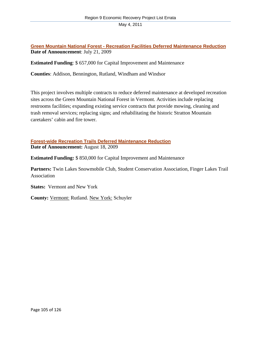# **Green Mountain National Forest - Recreation Facilities Deferred Maintenance Reduction Date of Announcement**: July 21, 2009

**Estimated Funding**: \$ 657,000 for Capital Improvement and Maintenance

**Counties**: Addison, Bennington, Rutland, Windham and Windsor

This project involves multiple contracts to reduce deferred maintenance at developed recreation sites across the Green Mountain National Forest in Vermont. Activities include replacing restrooms facilities; expanding existing service contracts that provide mowing, cleaning and trash removal services; replacing signs; and rehabilitating the historic Stratton Mountain caretakers' cabin and fire tower.

#### **Forest-wide Recreation Trails Deferred Maintenance Reduction Date of Announcement:** August 18, 2009

**Estimated Funding:** \$ 850,000 for Capital Improvement and Maintenance

**Partners:** Twin Lakes Snowmobile Club, Student Conservation Association, Finger Lakes Trail Association

**States:** Vermont and New York

**County:** Vermont: Rutland. New York: Schuyler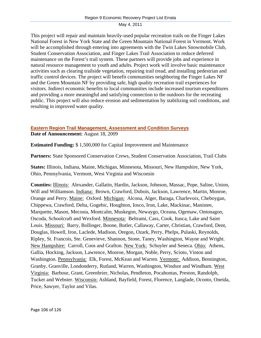This project will repair and maintain heavily-used popular recreation trails on the Finger Lakes National Forest in New York State and the Green Mountain National Forest in Vermont. Work will be accomplished through entering into agreements with the Twin Lakes Snowmobile Club, Student Conservation Association, and Finger Lakes Trail Association to reduce deferred maintenance on the Forest's trail system. These partners will provide jobs and experience in natural resource management to youth and adults. Project work will involve basic maintenance activities such as clearing trailside vegetation, repairing trail tread, and installing pedestrian and traffic control devices. The project will benefit communities neighboring the Finger Lakes NF and the Green Mountain NF by providing safe, high quality recreation trail experiences for visitors. Indirect economic benefits to local communities include increased tourism expenditures and providing a more meaningful and satisfying connection to the outdoors for the recreating public. This project will also reduce erosion and sedimentation by stabilizing soil conditions, and resulting in improved water quality.

## **Eastern Region Trail Management, Assessment and Condition Surveys Date of Announcement:** August 18, 2009

**Estimated Funding:** \$ 1,500,000 for Capital Improvement and Maintenance

**Partners:** State Sponsored Conservation Crews, Student Conservation Association, Trail Clubs

**States:** Illinois, Indiana, Maine, Michigan, Minnesota, Missouri, New Hampshire, New York, Ohio, Pennsylvania, Vermont, West Virginia and Wisconsin

**Counties:** Illinois: Alexander, Gallatin, Hardin, Jackson, Johnson, Massac, Pope, Saline, Union, Will and Williamson. Indiana: Brown, Crawford, Dubois, Jackson, Lawrence, Martin, Monroe, Orange and Perry. Maine: Oxford. Michigan: Alcona, Alger, Baraga, Charlevoix, Cheboygan, Chippewa, Crawford, Delta, Gogebic, Houghton, Iosco, Iron, Lake, Mackinac, Manistee, Marquette, Mason, Mecosta, Montcalm, Muskegon, Newaygo, Oceana, Ogemaw, Ontonagon, Oscoda, Schoolcraft and Wexford. Minnesota: Beltrami, Cass, Cook, Itasca, Lake and Saint Louis. Missouri: Barry, Bollinger, Boone, Butler, Callaway, Carter, Christian, Crawford, Dent, Douglas, Howell, Iron, Laclede, Madison, Oregon, Ozark, Perry, Phelps, Pulaski, Reynolds, Ripley, St. Francois, Ste. Genevieve, Shannon, Stone, Taney, Washington, Wayne and Wright. New Hampshire: Carroll, Coos and Grafton. New York: Schuyler and Seneca. Ohio: Athens, Gallia, Hocking, Jackson, Lawrence, Monroe, Morgan, Noble, Perry, Scioto, Vinton and Washington. Pennsylvania: Elk, Forest, McKean and Warren. Vermont: Addison, Bennington, Granby, Granville, Londonderry, Rutland, Warren, Washington, Windsor and Windham. West Virginia: Barbour, Grant, Greenbrier, Nicholas, Pendleton, Pocahontas, Preston, Randolph, Tucker and Webster. Wisconsin: Ashland, Bayfield, Forest, Florence, Langlade, Oconto, Oneida, Price, Sawyer, Taylor and Vilas.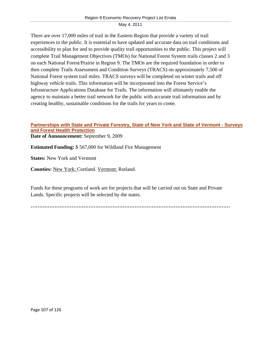There are over 17,000 miles of trail in the Eastern Region that provide a variety of trail experiences to the public. It is essential to have updated and accurate data on trail conditions and accessibility to plan for and to provide quality trail opportunities to the public. This project will complete Trail Management Objectives (TMOs) for National Forest System trails classes 2 and 3 on each National Forest/Prairie in Region 9. The TMOs are the required foundation in order to then complete Trails Assessment and Condition Surveys (TRACS) on approximately 7,500 of National Forest system trail miles. TRACS surveys will be completed on winter trails and off highway vehicle trails. This information will be incorporated into the Forest Service's Infrastructure Applications Database for Trails. The information will ultimately enable the agency to maintain a better trail network for the public with accurate trail information and by creating healthy, sustainable conditions for the trails for years to come.

# **Partnerships with State and Private Forestry, State of New York and State of Vermont - Surveys and Forest Health Protection**

**Date of Announcement:** September 9, 2009

**Estimated Funding:** \$ 567,000 for Wildland Fire Management

**States:** New York and Vermont

**Counties:** New York: Cortland. Vermont: Rutland.

Funds for these programs of work are for projects that will be carried out on State and Private Lands. Specific projects will be selected by the states.

**………………………………………………………………………………………………………**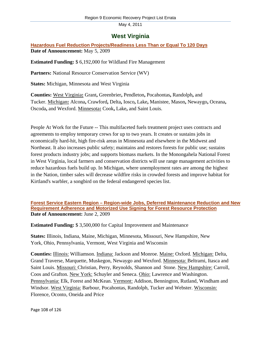# **West Virginia**

# **Hazardous Fuel Reduction Projects/Readiness Less Than or Equal To 120 Days Date of Announcement:** May 5, 2009

**Estimated Funding:** \$ 6,192,000 for Wildland Fire Management

**Partners:** National Resource Conservation Service (WV)

**States:** Michigan, Minnesota and West Virginia

**Counties:** West Virginia**:** Grant**,** Greenbrier**,** Pendleton**,** Pocahontas**,** Randolph**,** and Tucker. Michigan**:** Alcona**,** Crawford**,** Delta**,** Iosco**,** Lake**,** Manistee, Mason**,** Newaygo**,** Oceana**,** Oscoda**,** and Wexford. Minnesota**:** Cook**,** Lake**,** and Saint Louis.

People At Work for the Future -- This multifaceted fuels treatment project uses contracts and agreements to employ temporary crews for up to two years. It creates or sustains jobs in economically hard-hit, high fire-risk areas in Minnesota and elsewhere in the Midwest and Northeast. It also increases public safety; maintains and restores forests for public use; sustains forest products industry jobs; and supports biomass markets. In the Monongahela National Forest in West Virginia, local farmers and conservation districts will use range management activities to reduce hazardous fuels build up. In Michigan, where unemployment rates are among the highest in the Nation, timber sales will decrease wildfire risks in crowded forests and improve habitat for Kirtland's warbler, a songbird on the federal endangered species list.

## **Forest Service Eastern Region – Region-wide Jobs, Deferred Maintenance Reduction and New Requirement Adherence and Motorized Use Signing for Forest Resource Protection Date of Announcement:** June 2, 2009

**Estimated Funding:** \$ 3,500,000 for Capital Improvement and Maintenance

**States:** Illinois, Indiana, Maine, Michigan, Minnesota, Missouri, New Hampshire, New York, Ohio, Pennsylvania, Vermont, West Virginia and Wisconsin

**Counties:** Illinois: Williamson. Indiana: Jackson and Monroe. Maine: Oxford. Michigan: Delta, Grand Traverse, Marquette, Muskegon, Newaygo and Wexford. Minnesota: Beltrami, Itasca and Saint Louis. Missouri: Christian, Perry, Reynolds, Shannon and Stone. New Hampshire: Carroll, Coos and Grafton. New York: Schuyler and Seneca. Ohio: Lawrence and Washington. Pennsylvania: Elk, Forest and McKean. Vermont: Addison, Bennington, Rutland, Windham and Windsor. West Virginia: Barbour, Pocahontas, Randolph, Tucker and Webster. Wisconsin: Florence, Oconto, Oneida and Price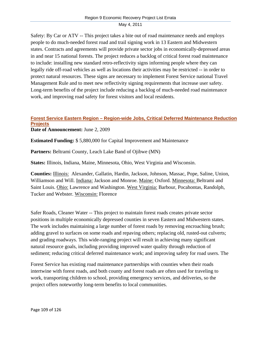Safety: By Car or ATV -- This project takes a bite out of road maintenance needs and employs people to do much-needed forest road and trail signing work in 13 Eastern and Midwestern states. Contracts and agreements will provide private sector jobs in economically-depressed areas in and near 15 national forests. The project reduces a backlog of critical forest road maintenance to include: installing new standard retro-reflectivity signs informing people where they can legally ride off-road vehicles as well as locations their activities may be restricted -- in order to protect natural resources. These signs are necessary to implement Forest Service national Travel Management Rule and to meet new reflectivity signing requirements that increase user safety. Long-term benefits of the project include reducing a backlog of much-needed road maintenance work, and improving road safety for forest visitors and local residents.

# **Forest Service Eastern Region – Region-wide Jobs, Critical Deferred Maintenance Reduction Projects**

**Date of Announcement:** June 2, 2009

**Estimated Funding:** \$ 5,880,000 for Capital Improvement and Maintenance

**Partners:** Beltrami County, Leach Lake Band of Ojibwe (MN)

**States:** Illinois, Indiana, Maine, Minnesota, Ohio, West Virginia and Wisconsin.

**Counties:** Illinois: Alexander, Gallatin, Hardin, Jackson, Johnson, Massac, Pope, Saline, Union, Williamson and Will. Indiana: Jackson and Monroe. Maine: Oxford. Minnesota: Beltrami and Saint Louis. Ohio: Lawrence and Washington. West Virginia: Barbour, Pocahontas, Randolph, Tucker and Webster. Wisconsin: Florence

Safer Roads, Cleaner Water -- This project to maintain forest roads creates private sector positions in multiple economically depressed counties in seven Eastern and Midwestern states. The work includes maintaining a large number of forest roads by removing encroaching brush; adding gravel to surfaces on some roads and repaving others; replacing old, rusted-out culverts; and grading roadways. This wide-ranging project will result in achieving many significant natural resource goals, including providing improved water quality through reduction of sediment; reducing critical deferred maintenance work; and improving safety for road users. The

Forest Service has existing road maintenance partnerships with counties when their roads intertwine with forest roads, and both county and forest roads are often used for traveling to work, transporting children to school, providing emergency services, and deliveries, so the project offers noteworthy long-term benefits to local communities.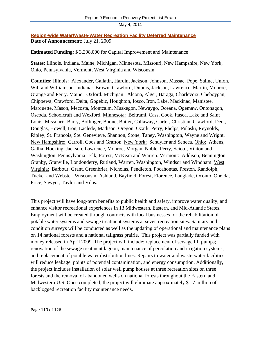## **Region-wide Water/Waste-Water Recreation Facility Deferred Maintenance Date of Announcement**: July 21, 2009

**Estimated Funding**: \$ 3,398,000 for Capital Improvement and Maintenance

**States**: Illinois, Indiana, Maine, Michigan, Minnesota, Missouri, New Hampshire, New York, Ohio, Pennsylvania, Vermont, West Virginia and Wisconsin

**Counties:** Illinois: Alexander, Gallatin, Hardin, Jackson, Johnson, Massac, Pope, Saline, Union, Will and Williamson. Indiana: Brown, Crawford, Dubois, Jackson, Lawrence, Martin, Monroe, Orange and Perry. Maine: Oxford. Michigan: Alcona, Alger, Baraga, Charlevoix, Cheboygan, Chippewa, Crawford, Delta, Gogebic, Houghton, Iosco, Iron, Lake, Mackinac, Manistee, Marquette, Mason, Mecosta, Montcalm, Muskegon, Newaygo, Oceana, Ogemaw, Ontonagon, Oscoda, Schoolcraft and Wexford. Minnesota: Beltrami, Cass, Cook, Itasca, Lake and Saint Louis. Missouri: Barry, Bollinger, Boone, Butler, Callaway, Carter, Christian, Crawford, Dent, Douglas, Howell, Iron, Laclede, Madison, Oregon, Ozark, Perry, Phelps, Pulaski, Reynolds, Ripley, St. Francois, Ste. Genevieve, Shannon, Stone, Taney, Washington, Wayne and Wright. New Hampshire: Carroll, Coos and Grafton. New York: Schuyler and Seneca. Ohio: Athens, Gallia, Hocking, Jackson, Lawrence, Monroe, Morgan, Noble, Perry, Scioto, Vinton and Washington. Pennsylvania: Elk, Forest, McKean and Warren. Vermont: Addison, Bennington, Granby, Granville, Londonderry, Rutland, Warren, Washington, Windsor and Windham. West Virginia: Barbour, Grant, Greenbrier, Nicholas, Pendleton, Pocahontas, Preston, Randolph, Tucker and Webster. Wisconsin: Ashland, Bayfield, Forest, Florence, Langlade, Oconto, Oneida, Price, Sawyer, Taylor and Vilas.

This project will have long-term benefits to public health and safety, improve water quality, and enhance visitor recreational experiences in 13 Midwestern, Eastern, and Mid-Atlantic States. Employment will be created through contracts with local businesses for the rehabilitation of potable water systems and sewage treatment systems at seven recreation sites. Sanitary and condition surveys will be conducted as well as the updating of operational and maintenance plans on 14 national forests and a national tallgrass prairie. This project was partially funded with money released in April 2009. The project will include: replacement of sewage lift pumps; renovation of the sewage treatment lagoon; maintenance of percolation and irrigation systems; and replacement of potable water distribution lines. Repairs to water and waste-water facilities will reduce leakage, points of potential contamination, and energy consumption. Additionally, the project includes installation of solar well pump houses at three recreation sites on three forests and the removal of abandoned wells on national forests throughout the Eastern and Midwestern U.S. Once completed, the project will eliminate approximately \$1.7 million of backlogged recreation facility maintenance needs.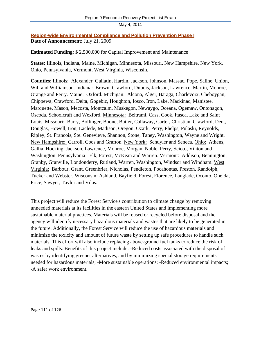## **Region-wide Environmental Compliance and Pollution Prevention Phase I Date of Announcement**: July 21, 2009

**Estimated Funding**: \$ 2,500,000 for Capital Improvement and Maintenance

**States:** Illinois, Indiana, Maine, Michigan, Minnesota, Missouri, New Hampshire, New York, Ohio, Pennsylvania, Vermont, West Virginia, Wisconsin.

**Counties**: Illinois: Alexander, Gallatin, Hardin, Jackson, Johnson, Massac, Pope, Saline, Union, Will and Williamson. Indiana: Brown, Crawford, Dubois, Jackson, Lawrence, Martin, Monroe, Orange and Perry. Maine: Oxford. Michigan: Alcona, Alger, Baraga, Charlevoix, Cheboygan, Chippewa, Crawford, Delta, Gogebic, Houghton, Iosco, Iron, Lake, Mackinac, Manistee, Marquette, Mason, Mecosta, Montcalm, Muskegon, Newaygo, Oceana, Ogemaw, Ontonagon, Oscoda, Schoolcraft and Wexford. Minnesota: Beltrami, Cass, Cook, Itasca, Lake and Saint Louis. Missouri: Barry, Bollinger, Boone, Butler, Callaway, Carter, Christian, Crawford, Dent, Douglas, Howell, Iron, Laclede, Madison, Oregon, Ozark, Perry, Phelps, Pulaski, Reynolds, Ripley, St. Francois, Ste. Genevieve, Shannon, Stone, Taney, Washington, Wayne and Wright. New Hampshire: Carroll, Coos and Grafton. New York: Schuyler and Seneca. Ohio: Athens, Gallia, Hocking, Jackson, Lawrence, Monroe, Morgan, Noble, Perry, Scioto, Vinton and Washington. Pennsylvania: Elk, Forest, McKean and Warren. Vermont: Addison, Bennington, Granby, Granville, Londonderry, Rutland, Warren, Washington, Windsor and Windham. West Virginia: Barbour, Grant, Greenbrier, Nicholas, Pendleton, Pocahontas, Preston, Randolph, Tucker and Webster. Wisconsin: Ashland, Bayfield, Forest, Florence, Langlade, Oconto, Oneida, Price, Sawyer, Taylor and Vilas.

This project will reduce the Forest Service's contribution to climate change by removing unneeded materials at its facilities in the eastern United States and implementing more sustainable material practices. Materials will be reused or recycled before disposal and the agency will identify necessary hazardous materials and wastes that are likely to be generated in the future. Additionally, the Forest Service will reduce the use of hazardous materials and minimize the toxicity and amount of future waste by setting up safe procedures to handle such materials. This effort will also include replacing above-ground fuel tanks to reduce the risk of leaks and spills. Benefits of this project include: -Reduced costs associated with the disposal of wastes by identifying greener alternatives, and by minimizing special storage requirements needed for hazardous materials; -More sustainable operations; -Reduced environmental impacts; -A safer work environment.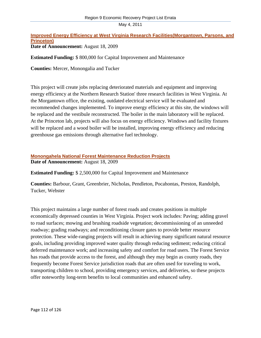# **Improved Energy Efficiency at West Virginia Research Facilities(Morgantown, Parsons, and Princeton)**

**Date of Announcement:** August 18, 2009

**Estimated Funding:** \$ 800,000 for Capital Improvement and Maintenance

**Counties:** Mercer, Monongalia and Tucker

This project will create jobs replacing deteriorated materials and equipment and improving energy efficiency at the Northern Research Station' three research facilities in West Virginia. At the Morgantown office, the existing, outdated electrical service will be evaluated and recommended changes implemented. To improve energy efficiency at this site, the windows will be replaced and the vestibule reconstructed. The boiler in the main laboratory will be replaced. At the Princeton lab, projects will also focus on energy efficiency. Windows and facility fixtures will be replaced and a wood boiler will be installed, improving energy efficiency and reducing greenhouse gas emissions through alternative fuel technology.

## **Monongahela National Forest Maintenance Reduction Projects Date of Announcement:** August 18, 2009

**Estimated Funding:** \$ 2,500,000 for Capital Improvement and Maintenance

**Counties:** Barbour, Grant, Greenbrier, Nicholas, Pendleton, Pocahontas, Preston, Randolph, Tucker, Webster

This project maintains a large number of forest roads and creates positions in multiple economically depressed counties in West Virginia. Project work includes: Paving; adding gravel to road surfaces; mowing and brushing roadside vegetation; decommissioning of an unneeded roadway; grading roadways; and reconditioning closure gates to provide better resource protection. These wide-ranging projects will result in achieving many significant natural resource goals, including providing improved water quality through reducing sediment; reducing critical deferred maintenance work; and increasing safety and comfort for road users. The Forest Service has roads that provide access to the forest, and although they may begin as county roads, they frequently become Forest Service jurisdiction roads that are often used for traveling to work, transporting children to school, providing emergency services, and deliveries, so these projects offer noteworthy long-term benefits to local communities and enhanced safety.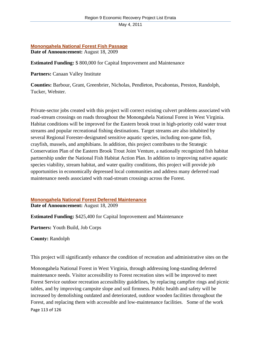## **Monongahela National Forest Fish Passage Date of Announcement:** August 18, 2009

**Estimated Funding:** \$ 800,000 for Capital Improvement and Maintenance

**Partners: Canaan Valley Institute** 

**Counties:** Barbour, Grant, Greenbrier, Nicholas, Pendleton, Pocahontas, Preston, Randolph, Tucker, Webster.

Private-sector jobs created with this project will correct existing culvert problems associated with road-stream crossings on roads throughout the Monongahela National Forest in West Virginia. Habitat conditions will be improved for the Eastern brook trout in high-priority cold water trout streams and popular recreational fishing destinations. Target streams are also inhabited by several Regional Forester-designated sensitive aquatic species, including non-game fish, crayfish, mussels, and amphibians. In addition, this project contributes to the Strategic Conservation Plan of the Eastern Brook Trout Joint Venture, a nationally recognized fish habitat partnership under the National Fish Habitat Action Plan. In addition to improving native aquatic species viability, stream habitat, and water quality conditions, this project will provide job opportunities in economically depressed local communities and address many deferred road maintenance needs associated with road-stream crossings across the Forest.

## **Monongahela National Forest Deferred Maintenance Date of Announcement:** August 18, 2009

**Estimated Funding:** \$425,400 for Capital Improvement and Maintenance

**Partners:** Youth Build, Job Corps

**County:** Randolph

This project will significantly enhance the condition of recreation and administrative sites on the

Page 113 of 126 Monongahela National Forest in West Virginia, through addressing long-standing deferred maintenance needs. Visitor accessibility to Forest recreation sites will be improved to meet Forest Service outdoor recreation accessibility guidelines, by replacing campfire rings and picnic tables, and by improving campsite slope and soil firmness. Public health and safety will be increased by demolishing outdated and deteriorated, outdoor wooden facilities throughout the Forest, and replacing them with accessible and low-maintenance facilities. Some of the work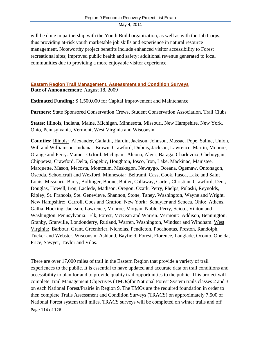will be done in partnership with the Youth Build organization, as well as with the Job Corps, thus providing at-risk youth marketable job skills and experience in natural resource management. Noteworthy project benefits include enhanced visitor accessibility to Forest recreational sites; improved public health and safety; additional revenue generated to local communities due to providing a more enjoyable visitor experience.

## **Eastern Region Trail Management, Assessment and Condition Surveys Date of Announcement:** August 18, 2009

**Estimated Funding:** \$ 1,500,000 for Capital Improvement and Maintenance

**Partners:** State Sponsored Conservation Crews, Student Conservation Association, Trail Clubs

**States:** Illinois, Indiana, Maine, Michigan, Minnesota, Missouri, New Hampshire, New York, Ohio, Pennsylvania, Vermont, West Virginia and Wisconsin

**Counties:** Illinois: Alexander, Gallatin, Hardin, Jackson, Johnson, Massac, Pope, Saline, Union, Will and Williamson. Indiana: Brown, Crawford, Dubois, Jackson, Lawrence, Martin, Monroe, Orange and Perry. Maine: Oxford. Michigan: Alcona, Alger, Baraga, Charlevoix, Cheboygan, Chippewa, Crawford, Delta, Gogebic, Houghton, Iosco, Iron, Lake, Mackinac, Manistee, Marquette, Mason, Mecosta, Montcalm, Muskegon, Newaygo, Oceana, Ogemaw, Ontonagon, Oscoda, Schoolcraft and Wexford. Minnesota: Beltrami, Cass, Cook, Itasca, Lake and Saint Louis. Missouri: Barry, Bollinger, Boone, Butler, Callaway, Carter, Christian, Crawford, Dent, Douglas, Howell, Iron, Laclede, Madison, Oregon, Ozark, Perry, Phelps, Pulaski, Reynolds, Ripley, St. Francois, Ste. Genevieve, Shannon, Stone, Taney, Washington, Wayne and Wright. New Hampshire: Carroll, Coos and Grafton. New York: Schuyler and Seneca. Ohio: Athens, Gallia, Hocking, Jackson, Lawrence, Monroe, Morgan, Noble, Perry, Scioto, Vinton and Washington. Pennsylvania: Elk, Forest, McKean and Warren. Vermont: Addison, Bennington, Granby, Granville, Londonderry, Rutland, Warren, Washington, Windsor and Windham. West Virginia: Barbour, Grant, Greenbrier, Nicholas, Pendleton, Pocahontas, Preston, Randolph, Tucker and Webster. Wisconsin: Ashland, Bayfield, Forest, Florence, Langlade, Oconto, Oneida, Price, Sawyer, Taylor and Vilas.

Page 114 of 126 There are over 17,000 miles of trail in the Eastern Region that provide a variety of trail experiences to the public. It is essential to have updated and accurate data on trail conditions and accessibility to plan for and to provide quality trail opportunities to the public. This project will complete Trail Management Objectives (TMOs)for National Forest System trails classes 2 and 3 on each National Forest/Prairie in Region 9. The TMOs are the required foundation in order to then complete Trails Assessment and Condition Surveys (TRACS) on approximately 7,500 of National Forest system trail miles. TRACS surveys will be completed on winter trails and off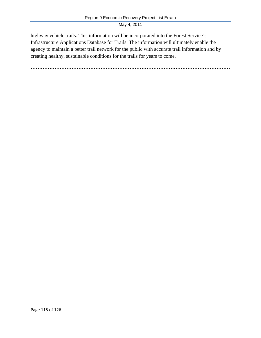highway vehicle trails. This information will be incorporated into the Forest Service's Infrastructure Applications Database for Trails. The information will ultimately enable the agency to maintain a better trail network for the public with accurate trail information and by creating healthy, sustainable conditions for the trails for years to come.

**………………………………………………………………………………………………………**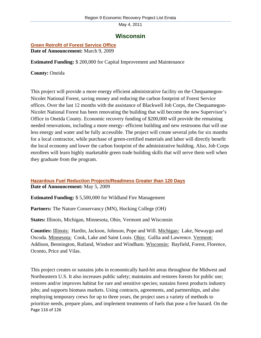# **Wisconsin**

## **Green Retrofit of Forest Service Office**

**Date of Announcement:** March 9, 2009

**Estimated Funding:** \$ 200,000 for Capital Improvement and Maintenance

## **County:** Oneida

This project will provide a more energy efficient administrative facility on the Chequamegon-Nicolet National Forest, saving money and reducing the carbon footprint of Forest Service offices. Over the last 12 months with the assistance of Blackwell Job Corps, the Chequamegon-Nicolet National Forest has been renovating the building that will become the new Supervisor's Office in Oneida County. Economic recovery funding of \$200,000 will provide the remaining needed renovations, including a more energy- efficient building and new restrooms that will use less energy and water and be fully accessible. The project will create several jobs for six months for a local contractor, while purchase of green-certified materials and labor will directly benefit the local economy and lower the carbon footprint of the administrative building. Also, Job Corps enrollees will learn highly marketable green trade building skills that will serve them well when they graduate from the program.

## **Hazardous Fuel Reduction Projects/Readiness Greater than 120 Days Date of Announcement:** May 5, 2009

**Estimated Funding:** \$ 5,500,000 for Wildland Fire Management

**Partners:** The Nature Conservancy (MN), Hocking College (OH)

**States:** Illinois, Michigan, Minnesota, Ohio, Vermont and Wisconsin

**Counties:** Illinois: Hardin, Jackson, Johnson, Pope and Will. Michigan: Lake, Newaygo and Oscoda. Minnesota: Cook, Lake and Saint Louis. Ohio: Gallia and Lawrence. Vermont: Addison, Bennington, Rutland, Windsor and Windham. Wisconsin: Bayfield, Forest, Florence, Oconto, Price and Vilas.

Page 116 of 126 This project creates or sustains jobs in economically hard-hit areas throughout the Midwest and Northeastern U.S. It also increases public safety; maintains and restores forests for public use; restores and/or improves habitat for rare and sensitive species; sustains forest products industry jobs; and supports biomass markets. Using contracts, agreements, and partnerships, and also employing temporary crews for up to three years, the project uses a variety of methods to prioritize needs, prepare plans, and implement treatments of fuels that pose a fire hazard. On the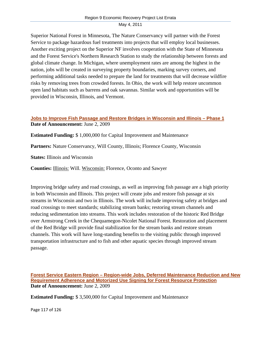Superior National Forest in Minnesota, The Nature Conservancy will partner with the Forest Service to package hazardous fuel treatments into projects that will employ local businesses. Another exciting project on the Superior NF involves cooperation with the State of Minnesota and the Forest Service's Northern Research Station to study the relationship between forests and global climate change. In Michigan, where unemployment rates are among the highest in the nation, jobs will be created in surveying property boundaries, marking survey corners, and performing additional tasks needed to prepare the land for treatments that will decrease wildfire risks by removing trees from crowded forests. In Ohio, the work will help restore uncommon open land habitats such as barrens and oak savannas. Similar work and opportunities will be provided in Wisconsin, Illinois, and Vermont.

## **Jobs to Improve Fish Passage and Restore Bridges in Wisconsin and Illinois – Phase 1 Date of Announcement:** June 2, 2009

**Estimated Funding:** \$ 1,000,000 for Capital Improvement and Maintenance

**Partners:** Nature Conservancy, Will County, Illinois; Florence County, Wisconsin

**States:** Illinois and Wisconsin

**Counties:** Illinois: Will. Wisconsin: Florence, Oconto and Sawyer

Improving bridge safety and road crossings, as well as improving fish passage are a high priority in both Wisconsin and Illinois. This project will create jobs and restore fish passage at six streams in Wisconsin and two in Illinois. The work will include improving safety at bridges and road crossings to meet standards; stabilizing stream banks; restoring stream channels and reducing sedimentation into streams. This work includes restoration of the historic Red Bridge over Armstrong Creek in the Chequamegon-Nicolet National Forest. Restoration and placement of the Red Bridge will provide final stabilization for the stream banks and restore stream channels. This work will have long-standing benefits to the visiting public through improved transportation infrastructure and to fish and other aquatic species through improved stream passage.

**Forest Service Eastern Region – Region-wide Jobs, Deferred Maintenance Reduction and New Requirement Adherence and Motorized Use Signing for Forest Resource Protection Date of Announcement:** June 2, 2009

**Estimated Funding:** \$ 3,500,000 for Capital Improvement and Maintenance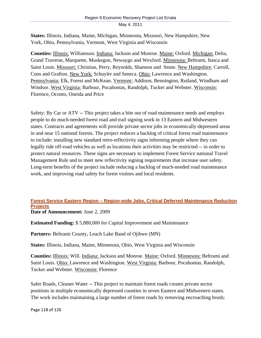**States:** Illinois, Indiana, Maine, Michigan, Minnesota, Missouri, New Hampshire, New York, Ohio, Pennsylvania, Vermont, West Virginia and Wisconsin

**Counties:** Illinois: Williamson. Indiana: Jackson and Monroe. Maine: Oxford. Michigan: Delta, Grand Traverse, Marquette, Muskegon, Newaygo and Wexford. Minnesota: Beltrami, Itasca and Saint Louis. Missouri: Christian, Perry, Reynolds, Shannon and Stone. New Hampshire: Carroll, Coos and Grafton. New York: Schuyler and Seneca. Ohio: Lawrence and Washington. Pennsylvania: Elk, Forest and McKean. Vermont: Addison, Bennington, Rutland, Windham and Windsor. West Virginia: Barbour, Pocahontas, Randolph, Tucker and Webster. Wisconsin: Florence, Oconto, Oneida and Price

Safety: By Car or ATV -- This project takes a bite out of road maintenance needs and employs people to do much-needed forest road and trail signing work in 13 Eastern and Midwestern states. Contracts and agreements will provide private sector jobs in economically-depressed areas in and near 15 national forests. The project reduces a backlog of critical forest road maintenance to include: installing new standard retro-reflectivity signs informing people where they can legally ride off-road vehicles as well as locations their activities may be restricted -- in order to protect natural resources. These signs are necessary to implement Forest Service national Travel Management Rule and to meet new reflectivity signing requirements that increase user safety. Long-term benefits of the project include reducing a backlog of much-needed road maintenance work, and improving road safety for forest visitors and local residents.

## **Forest Service Eastern Region – Region-wide Jobs, Critical Deferred Maintenance Reduction Projects**

**Date of Announcement:** June 2, 2009

**Estimated Funding:** \$ 5,880,000 for Capital Improvement and Maintenance

**Partners:** Beltrami County, Leach Lake Band of Ojibwe (MN)

**States:** Illinois, Indiana, Maine, Minnesota, Ohio, West Virginia and Wisconsin

**Counties:** Illinois: Will. Indiana: Jackson and Monroe. Maine: Oxford. Minnesota: Beltrami and Saint Louis. Ohio: Lawrence and Washington. West Virginia: Barbour, Pocahontas, Randolph, Tucker and Webster. Wisconsin: Florence

Safer Roads, Cleaner Water -- This project to maintain forest roads creates private sector positions in multiple economically depressed counties in seven Eastern and Midwestern states. The work includes maintaining a large number of forest roads by removing encroaching brush;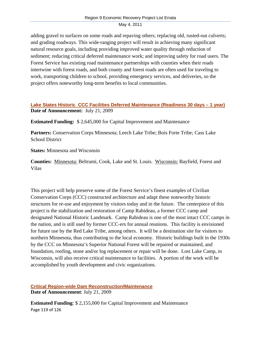adding gravel to surfaces on some roads and repaving others; replacing old, rusted-out culverts; and grading roadways. This wide-ranging project will result in achieving many significant natural resource goals, including providing improved water quality through reduction of sediment; reducing critical deferred maintenance work; and improving safety for road users. The Forest Service has existing road maintenance partnerships with counties when their roads intertwine with forest roads, and both county and forest roads are often used for traveling to work, transporting children to school, providing emergency services, and deliveries, so the project offers noteworthy long-term benefits to local communities.

## **Lake States Historic CCC Facilities Deferred Maintenance (Readiness 30 days – 1 year) Date of Announcement:** July 21, 2009

**Estimated Funding:** \$ 2,645,000 for Capital Improvement and Maintenance

**Partners:** Conservation Corps Minnesota; Leech Lake Tribe; Bois Forte Tribe; Cass Lake School District

**States:** Minnesota and Wisconsin

**Counties:** Minnesota: Beltrami, Cook, Lake and St. Louis. Wisconsin: Bayfield, Forest and Vilas

This project will help preserve some of the Forest Service's finest examples of Civilian Conservation Corps (CCC) constructed architecture and adapt these noteworthy historic structures for re-use and enjoyment by visitors today and in the future. The centerpiece of this project is the stabilization and restoration of Camp Rabideau, a former CCC camp and designated National Historic Landmark. Camp Rabideau is one of the most intact CCC camps in the nation, and is still used by former CCC-ers for annual reunions. This facility is envisioned for future use by the Red Lake Tribe, among others. It will be a destination site for visitors to northern Minnesota, thus contributing to the local economy. Historic buildings built in the 1930s by the CCC on Minnesota's Superior National Forest will be repaired or maintained, and foundation, roofing, stone and/or log replacement or repair will be done. Lost Lake Camp, in Wisconsin, will also receive critical maintenance to facilities. A portion of the work will be accomplished by youth development and civic organizations.

# **Critical Region-wide Dam Reconstruction/Maintenance**

**Date of Announcement**: July 21, 2009

Page 119 of 126 **Estimated Funding**: \$ 2,155,000 for Capital Improvement and Maintenance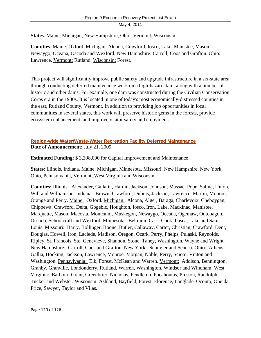**States**: Maine, Michigan, New Hampshire, Ohio, Vermont, Wisconsin

**Counties**: Maine: Oxford. Michigan: Alcona, Crawford, Iosco, Lake, Manistee, Mason, Newaygo, Oceana, Oscoda and Wexford. New Hampshire: Carroll, Coos and Grafton. Ohio: Lawrence. Vermont: Rutland. Wisconsin: Forest.

This project will significantly improve public safety and upgrade infrastructure in a six-state area through conducting deferred maintenance work on a high-hazard dam, along with a number of historic and other dams. For example, one dam was constructed during the Civilian Conservation Corps era in the 1930s. It is located in one of today's most economically-distressed counties in the east, Rutland County, Vermont. In addition to providing job opportunities in local communities in several states, this work will preserve historic gems in the forests, provide ecosystem enhancement, and improve visitor safety and enjoyment.

## **Region-wide Water/Waste-Water Recreation Facility Deferred Maintenance Date of Announcement**: July 21, 2009

**Estimated Funding**: \$ 3,398,000 for Capital Improvement and Maintenance

**States**: Illinois, Indiana, Maine, Michigan, Minnesota, Missouri, New Hampshire, New York, Ohio, Pennsylvania, Vermont, West Virginia and Wisconsin

**Counties:** Illinois: Alexander, Gallatin, Hardin, Jackson, Johnson, Massac, Pope, Saline, Union, Will and Williamson. Indiana: Brown, Crawford, Dubois, Jackson, Lawrence, Martin, Monroe, Orange and Perry. Maine: Oxford. Michigan: Alcona, Alger, Baraga, Charlevoix, Cheboygan, Chippewa, Crawford, Delta, Gogebic, Houghton, Iosco, Iron, Lake, Mackinac, Manistee, Marquette, Mason, Mecosta, Montcalm, Muskegon, Newaygo, Oceana, Ogemaw, Ontonagon, Oscoda, Schoolcraft and Wexford. Minnesota: Beltrami, Cass, Cook, Itasca, Lake and Saint Louis. Missouri: Barry, Bollinger, Boone, Butler, Callaway, Carter, Christian, Crawford, Dent, Douglas, Howell, Iron, Laclede, Madison, Oregon, Ozark, Perry, Phelps, Pulaski, Reynolds, Ripley, St. Francois, Ste. Genevieve, Shannon, Stone, Taney, Washington, Wayne and Wright. New Hampshire: Carroll, Coos and Grafton. New York: Schuyler and Seneca. Ohio: Athens, Gallia, Hocking, Jackson, Lawrence, Monroe, Morgan, Noble, Perry, Scioto, Vinton and Washington. Pennsylvania: Elk, Forest, McKean and Warren. Vermont: Addison, Bennington, Granby, Granville, Londonderry, Rutland, Warren, Washington, Windsor and Windham. West Virginia: Barbour, Grant, Greenbrier, Nicholas, Pendleton, Pocahontas, Preston, Randolph, Tucker and Webster. Wisconsin: Ashland, Bayfield, Forest, Florence, Langlade, Oconto, Oneida, Price, Sawyer, Taylor and Vilas.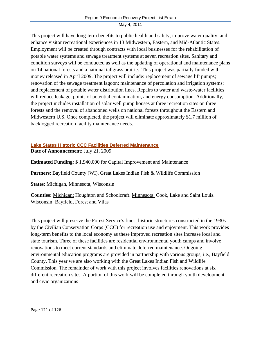This project will have long-term benefits to public health and safety, improve water quality, and enhance visitor recreational experiences in 13 Midwestern, Eastern, and Mid-Atlantic States. Employment will be created through contracts with local businesses for the rehabilitation of potable water systems and sewage treatment systems at seven recreation sites. Sanitary and condition surveys will be conducted as well as the updating of operational and maintenance plans on 14 national forests and a national tallgrass prairie. This project was partially funded with money released in April 2009. The project will include: replacement of sewage lift pumps; renovation of the sewage treatment lagoon; maintenance of percolation and irrigation systems; and replacement of potable water distribution lines. Repairs to water and waste-water facilities will reduce leakage, points of potential contamination, and energy consumption. Additionally, the project includes installation of solar well pump houses at three recreation sites on three forests and the removal of abandoned wells on national forests throughout the Eastern and Midwestern U.S. Once completed, the project will eliminate approximately \$1.7 million of backlogged recreation facility maintenance needs.

### **Lake States Historic CCC Facilities Deferred Maintenance Date of Announcement**: July 21, 2009

**Estimated Funding**: \$ 1,940,000 for Capital Improvement and Maintenance

**Partners**: Bayfield County (WI), Great Lakes Indian Fish & Wildlife Commission

**States**: Michigan, Minnesota, Wisconsin

**Counties:** Michigan: Houghton and Schoolcraft. Minnesota: Cook, Lake and Saint Louis. Wisconsin: Bayfield, Forest and Vilas

This project will preserve the Forest Service's finest historic structures constructed in the 1930s by the Civilian Conservation Corps (CCC) for recreation use and enjoyment. This work provides long-term benefits to the local economy as these improved recreation sites increase local and state tourism. Three of these facilities are residential environmental youth camps and involve renovations to meet current standards and eliminate deferred maintenance. Ongoing environmental education programs are provided in partnership with various groups, i.e., Bayfield County. This year we are also working with the Great Lakes Indian Fish and Wildlife Commission. The remainder of work with this project involves facilities renovations at six different recreation sites. A portion of this work will be completed through youth development and civic organizations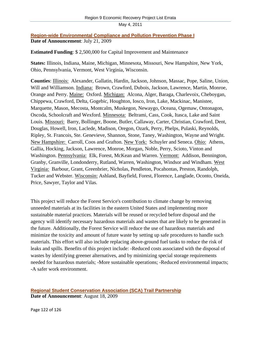## **Region-wide Environmental Compliance and Pollution Prevention Phase I Date of Announcement**: July 21, 2009

**Estimated Funding**: \$ 2,500,000 for Capital Improvement and Maintenance

**States:** Illinois, Indiana, Maine, Michigan, Minnesota, Missouri, New Hampshire, New York, Ohio, Pennsylvania, Vermont, West Virginia, Wisconsin.

**Counties**: Illinois: Alexander, Gallatin, Hardin, Jackson, Johnson, Massac, Pope, Saline, Union, Will and Williamson. Indiana: Brown, Crawford, Dubois, Jackson, Lawrence, Martin, Monroe, Orange and Perry. Maine: Oxford. Michigan: Alcona, Alger, Baraga, Charlevoix, Cheboygan, Chippewa, Crawford, Delta, Gogebic, Houghton, Iosco, Iron, Lake, Mackinac, Manistee, Marquette, Mason, Mecosta, Montcalm, Muskegon, Newaygo, Oceana, Ogemaw, Ontonagon, Oscoda, Schoolcraft and Wexford. Minnesota: Beltrami, Cass, Cook, Itasca, Lake and Saint Louis. Missouri: Barry, Bollinger, Boone, Butler, Callaway, Carter, Christian, Crawford, Dent, Douglas, Howell, Iron, Laclede, Madison, Oregon, Ozark, Perry, Phelps, Pulaski, Reynolds, Ripley, St. Francois, Ste. Genevieve, Shannon, Stone, Taney, Washington, Wayne and Wright. New Hampshire: Carroll, Coos and Grafton. New York: Schuyler and Seneca. Ohio: Athens, Gallia, Hocking, Jackson, Lawrence, Monroe, Morgan, Noble, Perry, Scioto, Vinton and Washington. Pennsylvania: Elk, Forest, McKean and Warren. Vermont: Addison, Bennington, Granby, Granville, Londonderry, Rutland, Warren, Washington, Windsor and Windham. West Virginia: Barbour, Grant, Greenbrier, Nicholas, Pendleton, Pocahontas, Preston, Randolph, Tucker and Webster. Wisconsin: Ashland, Bayfield, Forest, Florence, Langlade, Oconto, Oneida, Price, Sawyer, Taylor and Vilas.

This project will reduce the Forest Service's contribution to climate change by removing unneeded materials at its facilities in the eastern United States and implementing more sustainable material practices. Materials will be reused or recycled before disposal and the agency will identify necessary hazardous materials and wastes that are likely to be generated in the future. Additionally, the Forest Service will reduce the use of hazardous materials and minimize the toxicity and amount of future waste by setting up safe procedures to handle such materials. This effort will also include replacing above-ground fuel tanks to reduce the risk of leaks and spills. Benefits of this project include: -Reduced costs associated with the disposal of wastes by identifying greener alternatives, and by minimizing special storage requirements needed for hazardous materials; -More sustainable operations; -Reduced environmental impacts; -A safer work environment.

## **Regional Student Conservation Association (SCA) Trail Partnership Date of Announcement**: August 18, 2009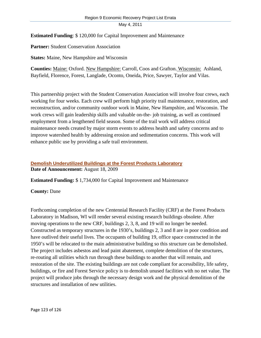**Estimated Funding**: \$ 120,000 for Capital Improvement and Maintenance

**Partner:** Student Conservation Association

**States:** Maine, New Hampshire and Wisconsin

**Counties:** Maine: Oxford. New Hampshire: Carroll, Coos and Grafton. Wisconsin: Ashland, Bayfield, Florence, Forest, Langlade, Oconto, Oneida, Price, Sawyer, Taylor and Vilas.

This partnership project with the Student Conservation Association will involve four crews, each working for four weeks. Each crew will perform high priority trail maintenance, restoration, and reconstruction, and/or community outdoor work in Maine, New Hampshire, and Wisconsin. The work crews will gain leadership skills and valuable on-the- job training, as well as continued employment from a lengthened field season. Some of the trail work will address critical maintenance needs created by major storm events to address health and safety concerns and to improve watershed health by addressing erosion and sedimentation concerns. This work will enhance public use by providing a safe trail environment.

## **Demolish Underutilized Buildings at the Forest Products Laboratory Date of Announcement:** August 18, 2009

**Estimated Funding:** \$ 1,734,000 for Capital Improvement and Maintenance

**County:** Dane

Forthcoming completion of the new Centennial Research Facility (CRF) at the Forest Products Laboratory in Madison, WI will render several existing research buildings obsolete. After moving operations to the new CRF, buildings 2, 3, 8, and 19 will no longer be needed. Constructed as temporary structures in the 1930's, buildings 2, 3 and 8 are in poor condition and have outlived their useful lives. The occupants of building 19, office space constructed in the 1950's will be relocated to the main administrative building so this structure can be demolished. The project includes asbestos and lead paint abatement, complete demolition of the structures, re-routing all utilities which run through these buildings to another that will remain, and restoration of the site. The existing buildings are not code compliant for accessibility, life safety, buildings, or fire and Forest Service policy is to demolish unused facilities with no net value. The project will produce jobs through the necessary design work and the physical demolition of the structures and installation of new utilities.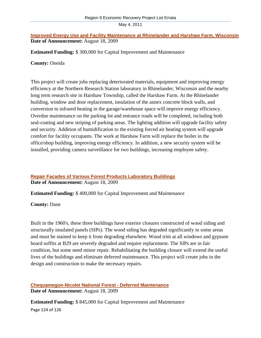## **Improved Energy Use and Facility Maintenance at Rhinelander and Harshaw Farm, Wisconsin Date of Announcement:** August 18, 2009

**Estimated Funding:** \$ 300,000 for Capital Improvement and Maintenance

**County:** Oneida

This project will create jobs replacing deteriorated materials, equipment and improving energy efficiency at the Northern Research Station laboratory in Rhinelander, Wisconsin and the nearby long term research site in Harshaw Township, called the Harshaw Farm. At the Rhinelander building, window and door replacement, insulation of the annex concrete block walls, and conversion to infrared heating in the garage/warehouse space will improve energy efficiency. Overdue maintenance on the parking lot and entrance roads will be completed, including both seal-coating and new striping of parking areas. The lighting addition will upgrade facility safety and security. Addition of humidification to the existing forced air heating system will upgrade comfort for facility occupants. The work at Harshaw Farm will replace the boiler in the office/shop building, improving energy efficiency. In addition, a new security system will be installed, providing camera surveillance for two buildings, increasing employee safety.

**Repair Facades of Various Forest Products Laboratory Buildings Date of Announcement:** August 18, 2009

**Estimated Funding:** \$ 400,000 for Capital Improvement and Maintenance

**County:** Dane

Built in the 1960's, these three buildings have exterior closures constructed of wood siding and structurally insulated panels (SIPs). The wood siding has degraded significantly in some areas and must be stained to keep it from degrading elsewhere. Wood trim at all windows and gypsum board soffits at B29 are severely degraded and require replacement. The SIPs are in fair condition, but some need minor repair. Rehabilitating the building closure will extend the useful lives of the buildings and eliminate deferred maintenance. This project will create jobs in the design and construction to make the necessary repairs.

**Chequamegon-Nicolet National Forest - Deferred Maintenance Date of Announcement:** August 18, 2009

Page 124 of 126 **Estimated Funding:** \$ 845,000 for Capital Improvement and Maintenance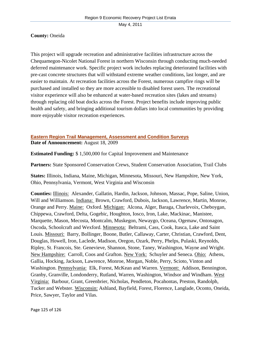## **County:** Oneida

This project will upgrade recreation and administrative facilities infrastructure across the Chequamegon-Nicolet National Forest in northern Wisconsin through conducting much-needed deferred maintenance work. Specific project work includes replacing deteriorated facilities with pre-cast concrete structures that will withstand extreme weather conditions, last longer, and are easier to maintain. At recreation facilities across the Forest, numerous campfire rings will be purchased and installed so they are more accessible to disabled forest users. The recreational visitor experience will also be enhanced at water-based recreation sites (lakes and streams) through replacing old boat docks across the Forest. Project benefits include improving public health and safety, and bringing additional tourism dollars into local communities by providing more enjoyable visitor recreation experiences.

## **Eastern Region Trail Management, Assessment and Condition Surveys Date of Announcement:** August 18, 2009

**Estimated Funding:** \$ 1,500,000 for Capital Improvement and Maintenance

**Partners:** State Sponsored Conservation Crews, Student Conservation Association, Trail Clubs

**States:** Illinois, Indiana, Maine, Michigan, Minnesota, Missouri, New Hampshire, New York, Ohio, Pennsylvania, Vermont, West Virginia and Wisconsin

**Counties:** Illinois: Alexander, Gallatin, Hardin, Jackson, Johnson, Massac, Pope, Saline, Union, Will and Williamson. Indiana: Brown, Crawford, Dubois, Jackson, Lawrence, Martin, Monroe, Orange and Perry. Maine: Oxford. Michigan: Alcona, Alger, Baraga, Charlevoix, Cheboygan, Chippewa, Crawford, Delta, Gogebic, Houghton, Iosco, Iron, Lake, Mackinac, Manistee, Marquette, Mason, Mecosta, Montcalm, Muskegon, Newaygo, Oceana, Ogemaw, Ontonagon, Oscoda, Schoolcraft and Wexford. Minnesota: Beltrami, Cass, Cook, Itasca, Lake and Saint Louis. Missouri: Barry, Bollinger, Boone, Butler, Callaway, Carter, Christian, Crawford, Dent, Douglas, Howell, Iron, Laclede, Madison, Oregon, Ozark, Perry, Phelps, Pulaski, Reynolds, Ripley, St. Francois, Ste. Genevieve, Shannon, Stone, Taney, Washington, Wayne and Wright. New Hampshire: Carroll, Coos and Grafton. New York: Schuyler and Seneca. Ohio: Athens, Gallia, Hocking, Jackson, Lawrence, Monroe, Morgan, Noble, Perry, Scioto, Vinton and Washington. Pennsylvania: Elk, Forest, McKean and Warren. Vermont: Addison, Bennington, Granby, Granville, Londonderry, Rutland, Warren, Washington, Windsor and Windham. West Virginia: Barbour, Grant, Greenbrier, Nicholas, Pendleton, Pocahontas, Preston, Randolph, Tucker and Webster. Wisconsin: Ashland, Bayfield, Forest, Florence, Langlade, Oconto, Oneida, Price, Sawyer, Taylor and Vilas.